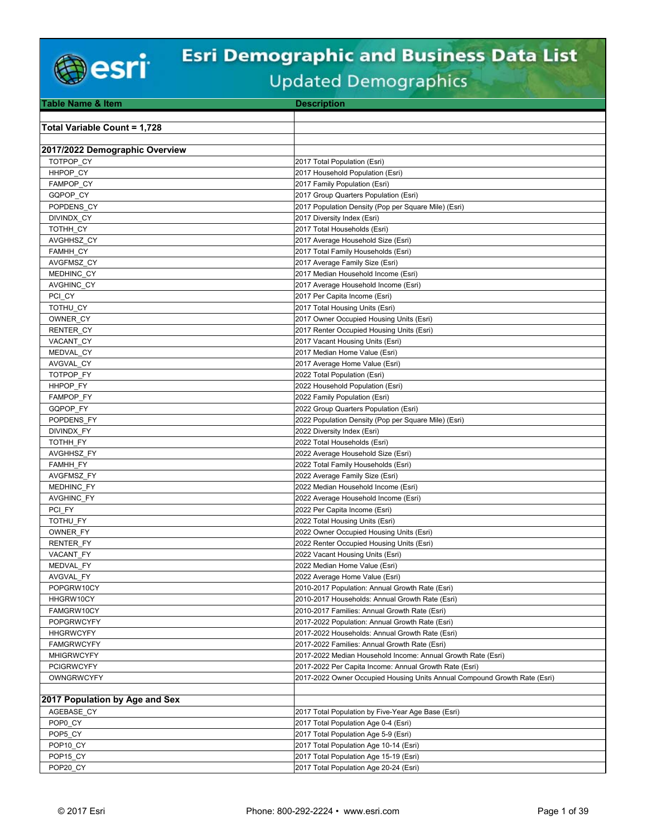

# **Esri Demographic and Business Data List**

|  | Updated Demographics |  |
|--|----------------------|--|
|--|----------------------|--|

| <b>Table Name &amp; Item</b>        | <b>Description</b>                                                        |
|-------------------------------------|---------------------------------------------------------------------------|
|                                     |                                                                           |
| <b>Total Variable Count = 1,728</b> |                                                                           |
|                                     |                                                                           |
| 2017/2022 Demographic Overview      |                                                                           |
| TOTPOP CY                           | 2017 Total Population (Esri)                                              |
| HHPOP CY                            | 2017 Household Population (Esri)                                          |
| FAMPOP CY                           | 2017 Family Population (Esri)                                             |
| GQPOP CY                            | 2017 Group Quarters Population (Esri)                                     |
| POPDENS CY                          | 2017 Population Density (Pop per Square Mile) (Esri)                      |
| DIVINDX CY                          | 2017 Diversity Index (Esri)                                               |
| TOTHH CY                            | 2017 Total Households (Esri)                                              |
| AVGHHSZ CY                          | 2017 Average Household Size (Esri)                                        |
| FAMHH_CY                            | 2017 Total Family Households (Esri)                                       |
| AVGFMSZ_CY                          | 2017 Average Family Size (Esri)                                           |
| MEDHINC_CY                          | 2017 Median Household Income (Esri)                                       |
| AVGHINC_CY                          | 2017 Average Household Income (Esri)                                      |
| PCI CY                              | 2017 Per Capita Income (Esri)                                             |
| TOTHU CY                            | 2017 Total Housing Units (Esri)                                           |
| OWNER CY                            | 2017 Owner Occupied Housing Units (Esri)                                  |
| RENTER CY                           | 2017 Renter Occupied Housing Units (Esri)                                 |
| VACANT CY                           | 2017 Vacant Housing Units (Esri)                                          |
| MEDVAL CY                           | 2017 Median Home Value (Esri)                                             |
| AVGVAL CY                           | 2017 Average Home Value (Esri)                                            |
| TOTPOP FY                           | 2022 Total Population (Esri)                                              |
| HHPOP FY                            | 2022 Household Population (Esri)                                          |
| <b>FAMPOP FY</b>                    | 2022 Family Population (Esri)                                             |
| GQPOP FY                            | 2022 Group Quarters Population (Esri)                                     |
| POPDENS FY                          | 2022 Population Density (Pop per Square Mile) (Esri)                      |
| DIVINDX FY                          | 2022 Diversity Index (Esri)                                               |
| TOTHH FY                            | 2022 Total Households (Esri)                                              |
| AVGHHSZ_FY                          | 2022 Average Household Size (Esri)                                        |
| <b>FAMHH FY</b>                     | 2022 Total Family Households (Esri)                                       |
| AVGFMSZ FY                          | 2022 Average Family Size (Esri)                                           |
| MEDHINC FY                          | 2022 Median Household Income (Esri)                                       |
| AVGHINC_FY                          | 2022 Average Household Income (Esri)                                      |
| PCI FY                              | 2022 Per Capita Income (Esri)                                             |
| TOTHU FY                            | 2022 Total Housing Units (Esri)                                           |
| OWNER FY                            | 2022 Owner Occupied Housing Units (Esri)                                  |
| <b>RENTER FY</b>                    | 2022 Renter Occupied Housing Units (Esri)                                 |
| VACANT FY                           | 2022 Vacant Housing Units (Esri)                                          |
| MEDVAL_FY                           | 2022 Median Home Value (Esri)                                             |
| <b>AVGVAL FY</b>                    | 2022 Average Home Value (Esri)                                            |
| POPGRW10CY                          | 2010-2017 Population: Annual Growth Rate (Esri)                           |
| HHGRW10CY                           | 2010-2017 Households: Annual Growth Rate (Esri)                           |
| FAMGRW10CY                          | 2010-2017 Families: Annual Growth Rate (Esri)                             |
| <b>POPGRWCYFY</b>                   | 2017-2022 Population: Annual Growth Rate (Esri)                           |
| <b>HHGRWCYFY</b>                    | 2017-2022 Households: Annual Growth Rate (Esri)                           |
| <b>FAMGRWCYFY</b>                   | 2017-2022 Families: Annual Growth Rate (Esri)                             |
| <b>MHIGRWCYFY</b>                   | 2017-2022 Median Household Income: Annual Growth Rate (Esri)              |
| <b>PCIGRWCYFY</b>                   | 2017-2022 Per Capita Income: Annual Growth Rate (Esri)                    |
| <b>OWNGRWCYFY</b>                   | 2017-2022 Owner Occupied Housing Units Annual Compound Growth Rate (Esri) |
|                                     |                                                                           |
| 2017 Population by Age and Sex      |                                                                           |
| AGEBASE CY                          | 2017 Total Population by Five-Year Age Base (Esri)                        |
| POP0 CY                             | 2017 Total Population Age 0-4 (Esri)                                      |
| POP5 CY                             | 2017 Total Population Age 5-9 (Esri)                                      |
| POP10 CY                            | 2017 Total Population Age 10-14 (Esri)                                    |
| POP15 CY                            | 2017 Total Population Age 15-19 (Esri)                                    |
| POP20_CY                            | 2017 Total Population Age 20-24 (Esri)                                    |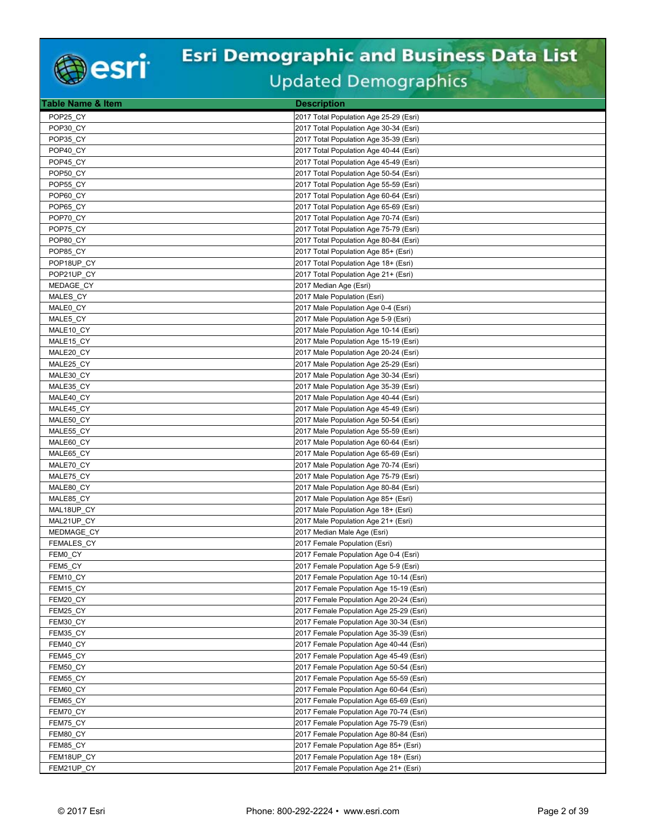

| Table Name & Item | <b>Description</b>                                                                 |
|-------------------|------------------------------------------------------------------------------------|
| POP25 CY          | 2017 Total Population Age 25-29 (Esri)                                             |
| POP30 CY          | 2017 Total Population Age 30-34 (Esri)                                             |
| POP35 CY          | 2017 Total Population Age 35-39 (Esri)                                             |
| POP40 CY          | 2017 Total Population Age 40-44 (Esri)                                             |
| POP45 CY          | 2017 Total Population Age 45-49 (Esri)                                             |
| POP50 CY          | 2017 Total Population Age 50-54 (Esri)                                             |
| POP55 CY          | 2017 Total Population Age 55-59 (Esri)                                             |
| POP60 CY          | 2017 Total Population Age 60-64 (Esri)                                             |
| POP65 CY          | 2017 Total Population Age 65-69 (Esri)                                             |
| POP70 CY          | 2017 Total Population Age 70-74 (Esri)                                             |
| POP75_CY          | 2017 Total Population Age 75-79 (Esri)                                             |
| POP80 CY          | 2017 Total Population Age 80-84 (Esri)                                             |
| POP85 CY          | 2017 Total Population Age 85+ (Esri)                                               |
| POP18UP CY        | 2017 Total Population Age 18+ (Esri)                                               |
| POP21UP CY        | 2017 Total Population Age 21+ (Esri)                                               |
| MEDAGE CY         | 2017 Median Age (Esri)                                                             |
| MALES CY          | 2017 Male Population (Esri)                                                        |
| MALE0 CY          | 2017 Male Population Age 0-4 (Esri)                                                |
| MALE5 CY          | 2017 Male Population Age 5-9 (Esri)                                                |
| MALE10_CY         | 2017 Male Population Age 10-14 (Esri)                                              |
| MALE15 CY         | 2017 Male Population Age 15-19 (Esri)                                              |
| MALE20 CY         | 2017 Male Population Age 20-24 (Esri)                                              |
| MALE25 CY         | 2017 Male Population Age 25-29 (Esri)                                              |
| MALE30_CY         | 2017 Male Population Age 30-34 (Esri)                                              |
| MALE35 CY         | 2017 Male Population Age 35-39 (Esri)                                              |
| MALE40 CY         | 2017 Male Population Age 40-44 (Esri)                                              |
| MALE45 CY         | 2017 Male Population Age 45-49 (Esri)                                              |
| MALE50 CY         | 2017 Male Population Age 50-54 (Esri)                                              |
| MALE55 CY         | 2017 Male Population Age 55-59 (Esri)                                              |
| MALE60 CY         | 2017 Male Population Age 60-64 (Esri)                                              |
| MALE65 CY         | 2017 Male Population Age 65-69 (Esri)                                              |
| MALE70_CY         | 2017 Male Population Age 70-74 (Esri)                                              |
| MALE75_CY         | 2017 Male Population Age 75-79 (Esri)                                              |
| MALE80_CY         | 2017 Male Population Age 80-84 (Esri)                                              |
| MALE85_CY         | 2017 Male Population Age 85+ (Esri)                                                |
| MAL18UP CY        | 2017 Male Population Age 18+ (Esri)                                                |
| MAL21UP CY        | 2017 Male Population Age 21+ (Esri)                                                |
| <b>MEDMAGE CY</b> | 2017 Median Male Age (Esri)                                                        |
| <b>FEMALES CY</b> | 2017 Female Population (Esri)                                                      |
| FEM0 CY           | 2017 Female Population Age 0-4 (Esri)                                              |
| FEM5 CY           | 2017 Female Population Age 5-9 (Esri)                                              |
| FEM10 CY          | 2017 Female Population Age 10-14 (Esri)                                            |
| FEM15 CY          | 2017 Female Population Age 15-19 (Esri)                                            |
| FEM20 CY          | 2017 Female Population Age 20-24 (Esri)                                            |
| FEM25_CY          | 2017 Female Population Age 25-29 (Esri)                                            |
| FEM30_CY          | 2017 Female Population Age 30-34 (Esri)                                            |
| FEM35 CY          | 2017 Female Population Age 35-39 (Esri)                                            |
| FEM40_CY          | 2017 Female Population Age 40-44 (Esri)                                            |
| FEM45_CY          | 2017 Female Population Age 45-49 (Esri)                                            |
| FEM50 CY          | 2017 Female Population Age 50-54 (Esri)                                            |
| FEM55 CY          | 2017 Female Population Age 55-59 (Esri)                                            |
| FEM60_CY          | 2017 Female Population Age 60-64 (Esri)<br>2017 Female Population Age 65-69 (Esri) |
| FEM65 CY          |                                                                                    |
| FEM70_CY          | 2017 Female Population Age 70-74 (Esri)                                            |
| FEM75_CY          | 2017 Female Population Age 75-79 (Esri)                                            |
| FEM80 CY          | 2017 Female Population Age 80-84 (Esri)                                            |
| FEM85_CY          | 2017 Female Population Age 85+ (Esri)                                              |
| FEM18UP_CY        | 2017 Female Population Age 18+ (Esri)                                              |
| FEM21UP_CY        | 2017 Female Population Age 21+ (Esri)                                              |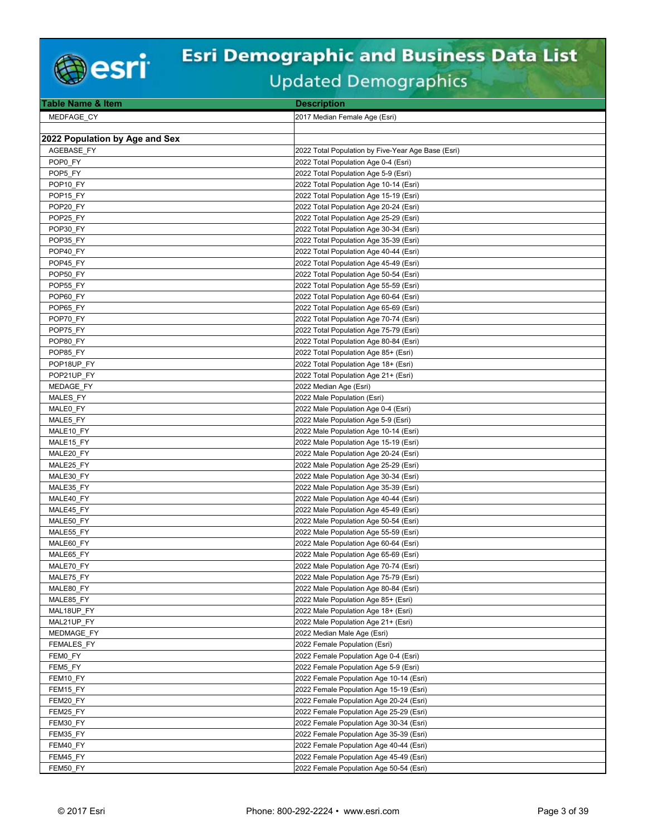

| Table Name & Item              | <b>Description</b>                                                                 |
|--------------------------------|------------------------------------------------------------------------------------|
| MEDFAGE CY                     | 2017 Median Female Age (Esri)                                                      |
|                                |                                                                                    |
| 2022 Population by Age and Sex |                                                                                    |
| AGEBASE FY                     | 2022 Total Population by Five-Year Age Base (Esri)                                 |
| POP0 FY                        | 2022 Total Population Age 0-4 (Esri)                                               |
| POP5 FY                        | 2022 Total Population Age 5-9 (Esri)                                               |
| POP <sub>10</sub> FY           | 2022 Total Population Age 10-14 (Esri)                                             |
| POP <sub>15</sub> FY           | 2022 Total Population Age 15-19 (Esri)                                             |
| POP20 FY                       | 2022 Total Population Age 20-24 (Esri)                                             |
| POP25 FY                       | 2022 Total Population Age 25-29 (Esri)                                             |
| POP30 FY                       |                                                                                    |
|                                | 2022 Total Population Age 30-34 (Esri)                                             |
| POP35 FY                       | 2022 Total Population Age 35-39 (Esri)                                             |
| POP40 FY                       | 2022 Total Population Age 40-44 (Esri)                                             |
| POP45 FY                       | 2022 Total Population Age 45-49 (Esri)                                             |
| POP50 FY                       | 2022 Total Population Age 50-54 (Esri)                                             |
| POP55 FY                       | 2022 Total Population Age 55-59 (Esri)                                             |
| POP60 FY                       | 2022 Total Population Age 60-64 (Esri)                                             |
| POP65 FY                       | 2022 Total Population Age 65-69 (Esri)                                             |
| POP70 FY                       | 2022 Total Population Age 70-74 (Esri)                                             |
| POP75 FY                       | 2022 Total Population Age 75-79 (Esri)                                             |
| POP80 FY                       | 2022 Total Population Age 80-84 (Esri)                                             |
| POP85 FY                       | 2022 Total Population Age 85+ (Esri)                                               |
| POP18UP FY                     | 2022 Total Population Age 18+ (Esri)                                               |
| POP21UP FY                     | 2022 Total Population Age 21+ (Esri)                                               |
| MEDAGE FY                      | 2022 Median Age (Esri)                                                             |
| MALES FY                       | 2022 Male Population (Esri)                                                        |
| MALE0 FY                       | 2022 Male Population Age 0-4 (Esri)                                                |
| MALE5 FY                       | 2022 Male Population Age 5-9 (Esri)                                                |
| MALE10 FY                      | 2022 Male Population Age 10-14 (Esri)                                              |
| MALE15_FY                      | 2022 Male Population Age 15-19 (Esri)                                              |
| MALE20 FY                      | 2022 Male Population Age 20-24 (Esri)                                              |
| MALE25 FY                      | 2022 Male Population Age 25-29 (Esri)                                              |
| MALE30 FY                      | 2022 Male Population Age 30-34 (Esri)                                              |
| MALE35 FY                      | 2022 Male Population Age 35-39 (Esri)                                              |
| MALE40 FY                      | 2022 Male Population Age 40-44 (Esri)                                              |
| MALE45 FY                      | 2022 Male Population Age 45-49 (Esri)                                              |
| MALE50 FY                      | 2022 Male Population Age 50-54 (Esri)                                              |
| MALE55 FY                      | 2022 Male Population Age 55-59 (Esri)                                              |
| MALE60 FY                      | 2022 Male Population Age 60-64 (Esri)                                              |
| MALE65 FY                      | 2022 Male Population Age 65-69 (Esri)                                              |
| MALE70 FY                      | 2022 Male Population Age 70-74 (Esri)                                              |
| MALE75_FY                      | 2022 Male Population Age 75-79 (Esri)                                              |
| MALE80_FY                      | 2022 Male Population Age 80-84 (Esri)                                              |
| MALE85 FY                      | 2022 Male Population Age 85+ (Esri)                                                |
| MAL18UP FY                     | 2022 Male Population Age 18+ (Esri)                                                |
| MAL21UP_FY                     | 2022 Male Population Age 21+ (Esri)                                                |
| MEDMAGE FY                     | 2022 Median Male Age (Esri)                                                        |
| <b>FEMALES FY</b>              | 2022 Female Population (Esri)                                                      |
| FEM0_FY                        | 2022 Female Population Age 0-4 (Esri)                                              |
| FEM5 FY                        | 2022 Female Population Age 5-9 (Esri)                                              |
|                                |                                                                                    |
| FEM10 FY                       | 2022 Female Population Age 10-14 (Esri)<br>2022 Female Population Age 15-19 (Esri) |
| FEM15_FY                       |                                                                                    |
| FEM20 FY                       | 2022 Female Population Age 20-24 (Esri)                                            |
| FEM25 FY                       | 2022 Female Population Age 25-29 (Esri)                                            |
| FEM30 FY                       | 2022 Female Population Age 30-34 (Esri)                                            |
| FEM35 FY                       | 2022 Female Population Age 35-39 (Esri)                                            |
| FEM40_FY                       | 2022 Female Population Age 40-44 (Esri)                                            |
| FEM45_FY                       | 2022 Female Population Age 45-49 (Esri)                                            |
| FEM50_FY                       | 2022 Female Population Age 50-54 (Esri)                                            |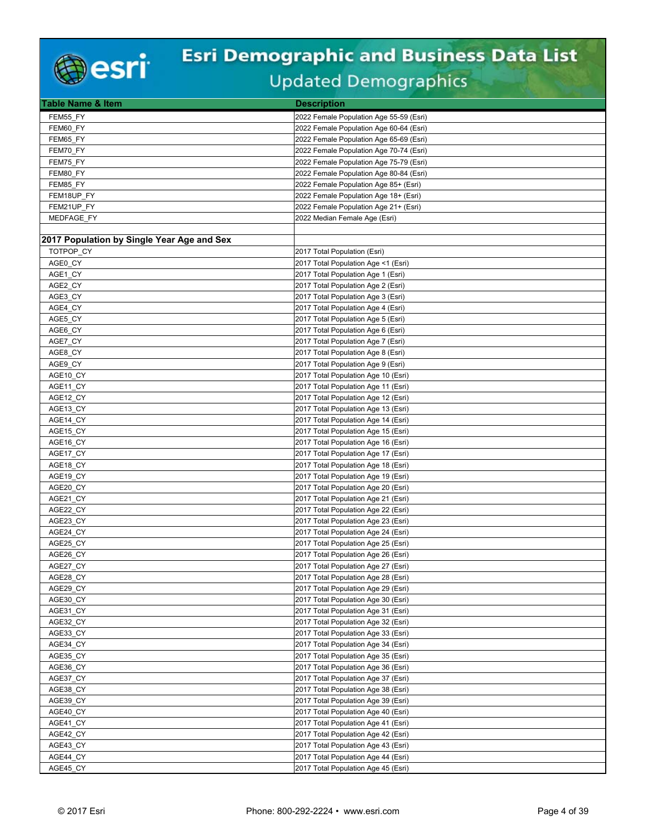

| Table Name & Item                          | <b>Description</b>                      |
|--------------------------------------------|-----------------------------------------|
| FEM55 FY                                   | 2022 Female Population Age 55-59 (Esri) |
| FEM60 FY                                   | 2022 Female Population Age 60-64 (Esri) |
| FEM65 FY                                   | 2022 Female Population Age 65-69 (Esri) |
| FEM70 FY                                   | 2022 Female Population Age 70-74 (Esri) |
| FEM75_FY                                   | 2022 Female Population Age 75-79 (Esri) |
| FEM80 FY                                   | 2022 Female Population Age 80-84 (Esri) |
| FEM85_FY                                   | 2022 Female Population Age 85+ (Esri)   |
| FEM18UP FY                                 | 2022 Female Population Age 18+ (Esri)   |
| FEM21UP_FY                                 | 2022 Female Population Age 21+ (Esri)   |
| MEDFAGE FY                                 | 2022 Median Female Age (Esri)           |
|                                            |                                         |
| 2017 Population by Single Year Age and Sex |                                         |
| TOTPOP_CY                                  | 2017 Total Population (Esri)            |
| AGE0_CY                                    | 2017 Total Population Age <1 (Esri)     |
| AGE1 CY                                    | 2017 Total Population Age 1 (Esri)      |
| AGE2_CY                                    | 2017 Total Population Age 2 (Esri)      |
| AGE3 CY                                    | 2017 Total Population Age 3 (Esri)      |
| AGE4 CY                                    | 2017 Total Population Age 4 (Esri)      |
| AGE5 CY                                    | 2017 Total Population Age 5 (Esri)      |
| AGE6_CY                                    | 2017 Total Population Age 6 (Esri)      |
| AGE7 CY                                    | 2017 Total Population Age 7 (Esri)      |
| AGE8 CY                                    | 2017 Total Population Age 8 (Esri)      |
| AGE9_CY                                    | 2017 Total Population Age 9 (Esri)      |
| AGE10_CY                                   | 2017 Total Population Age 10 (Esri)     |
| AGE11 CY                                   | 2017 Total Population Age 11 (Esri)     |
| AGE12_CY                                   | 2017 Total Population Age 12 (Esri)     |
| AGE13_CY                                   | 2017 Total Population Age 13 (Esri)     |
| AGE14_CY                                   | 2017 Total Population Age 14 (Esri)     |
| AGE15_CY                                   | 2017 Total Population Age 15 (Esri)     |
| AGE16_CY                                   | 2017 Total Population Age 16 (Esri)     |
| AGE17_CY                                   | 2017 Total Population Age 17 (Esri)     |
| AGE18_CY                                   | 2017 Total Population Age 18 (Esri)     |
| AGE19_CY                                   | 2017 Total Population Age 19 (Esri)     |
| AGE20 CY                                   | 2017 Total Population Age 20 (Esri)     |
| AGE21 CY                                   | 2017 Total Population Age 21 (Esri)     |
| AGE22_CY                                   | 2017 Total Population Age 22 (Esri)     |
| AGE23_CY                                   | 2017 Total Population Age 23 (Esri)     |
| AGE24_CY                                   | 2017 Total Population Age 24 (Esri)     |
| AGE25_CY                                   | 2017 Total Population Age 25 (Esri)     |
| AGE26 CY                                   | 2017 Total Population Age 26 (Esri)     |
| AGE27 CY                                   | 2017 Total Population Age 27 (Esri)     |
| AGE28_CY                                   | 2017 Total Population Age 28 (Esri)     |
| AGE29 CY                                   | 2017 Total Population Age 29 (Esri)     |
| AGE30 CY                                   | 2017 Total Population Age 30 (Esri)     |
| AGE31_CY                                   | 2017 Total Population Age 31 (Esri)     |
| AGE32_CY                                   | 2017 Total Population Age 32 (Esri)     |
| AGE33 CY                                   | 2017 Total Population Age 33 (Esri)     |
| AGE34_CY                                   | 2017 Total Population Age 34 (Esri)     |
| AGE35_CY                                   | 2017 Total Population Age 35 (Esri)     |
| AGE36_CY                                   | 2017 Total Population Age 36 (Esri)     |
| AGE37_CY                                   | 2017 Total Population Age 37 (Esri)     |
| AGE38_CY                                   | 2017 Total Population Age 38 (Esri)     |
| AGE39 CY                                   | 2017 Total Population Age 39 (Esri)     |
| AGE40_CY                                   | 2017 Total Population Age 40 (Esri)     |
| AGE41_CY                                   | 2017 Total Population Age 41 (Esri)     |
| AGE42 CY                                   | 2017 Total Population Age 42 (Esri)     |
| AGE43 CY                                   | 2017 Total Population Age 43 (Esri)     |
| AGE44_CY                                   | 2017 Total Population Age 44 (Esri)     |
| AGE45_CY                                   | 2017 Total Population Age 45 (Esri)     |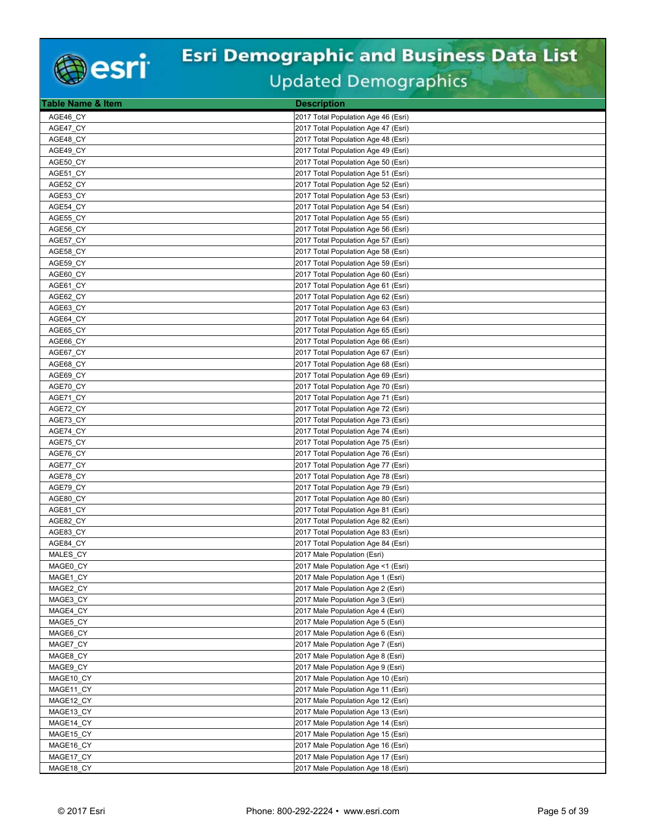

| Table Name & Item | <b>Description</b>                  |
|-------------------|-------------------------------------|
| AGE46 CY          | 2017 Total Population Age 46 (Esri) |
| AGE47 CY          | 2017 Total Population Age 47 (Esri) |
| AGE48_CY          | 2017 Total Population Age 48 (Esri) |
| AGE49 CY          | 2017 Total Population Age 49 (Esri) |
| AGE50 CY          | 2017 Total Population Age 50 (Esri) |
| AGE51_CY          | 2017 Total Population Age 51 (Esri) |
| AGE52_CY          | 2017 Total Population Age 52 (Esri) |
| AGE53 CY          | 2017 Total Population Age 53 (Esri) |
| AGE54_CY          | 2017 Total Population Age 54 (Esri) |
| AGE55_CY          | 2017 Total Population Age 55 (Esri) |
| AGE56_CY          | 2017 Total Population Age 56 (Esri) |
| AGE57 CY          | 2017 Total Population Age 57 (Esri) |
| AGE58 CY          | 2017 Total Population Age 58 (Esri) |
| AGE59 CY          | 2017 Total Population Age 59 (Esri) |
| AGE60 CY          | 2017 Total Population Age 60 (Esri) |
| AGE61_CY          | 2017 Total Population Age 61 (Esri) |
| AGE62 CY          | 2017 Total Population Age 62 (Esri) |
| AGE63 CY          | 2017 Total Population Age 63 (Esri) |
| AGE64 CY          | 2017 Total Population Age 64 (Esri) |
| AGE65_CY          | 2017 Total Population Age 65 (Esri) |
| AGE66 CY          | 2017 Total Population Age 66 (Esri) |
| AGE67 CY          | 2017 Total Population Age 67 (Esri) |
| AGE68_CY          | 2017 Total Population Age 68 (Esri) |
| AGE69 CY          | 2017 Total Population Age 69 (Esri) |
| AGE70 CY          | 2017 Total Population Age 70 (Esri) |
| AGE71_CY          | 2017 Total Population Age 71 (Esri) |
| AGE72_CY          | 2017 Total Population Age 72 (Esri) |
| AGE73 CY          | 2017 Total Population Age 73 (Esri) |
| AGE74_CY          | 2017 Total Population Age 74 (Esri) |
| AGE75_CY          | 2017 Total Population Age 75 (Esri) |
| AGE76 CY          | 2017 Total Population Age 76 (Esri) |
| AGE77_CY          | 2017 Total Population Age 77 (Esri) |
| AGE78_CY          | 2017 Total Population Age 78 (Esri) |
| AGE79 CY          | 2017 Total Population Age 79 (Esri) |
| AGE80_CY          | 2017 Total Population Age 80 (Esri) |
| AGE81_CY          | 2017 Total Population Age 81 (Esri) |
| AGE82_CY          | 2017 Total Population Age 82 (Esri) |
| AGE83_CY          | 2017 Total Population Age 83 (Esri) |
| AGE84 CY          | 2017 Total Population Age 84 (Esri) |
| MALES CY          | 2017 Male Population (Esri)         |
| MAGE0 CY          | 2017 Male Population Age <1 (Esri)  |
| MAGE1_CY          | 2017 Male Population Age 1 (Esri)   |
| MAGE2 CY          | 2017 Male Population Age 2 (Esri)   |
| MAGE3 CY          | 2017 Male Population Age 3 (Esri)   |
| MAGE4_CY          | 2017 Male Population Age 4 (Esri)   |
| MAGE5_CY          | 2017 Male Population Age 5 (Esri)   |
| MAGE6 CY          | 2017 Male Population Age 6 (Esri)   |
| MAGE7_CY          | 2017 Male Population Age 7 (Esri)   |
| MAGE8_CY          | 2017 Male Population Age 8 (Esri)   |
| MAGE9_CY          | 2017 Male Population Age 9 (Esri)   |
| MAGE10 CY         | 2017 Male Population Age 10 (Esri)  |
| MAGE11_CY         | 2017 Male Population Age 11 (Esri)  |
| MAGE12 CY         | 2017 Male Population Age 12 (Esri)  |
| MAGE13_CY         | 2017 Male Population Age 13 (Esri)  |
| MAGE14_CY         | 2017 Male Population Age 14 (Esri)  |
| MAGE15 CY         | 2017 Male Population Age 15 (Esri)  |
| MAGE16 CY         | 2017 Male Population Age 16 (Esri)  |
| MAGE17_CY         | 2017 Male Population Age 17 (Esri)  |
| MAGE18_CY         | 2017 Male Population Age 18 (Esri)  |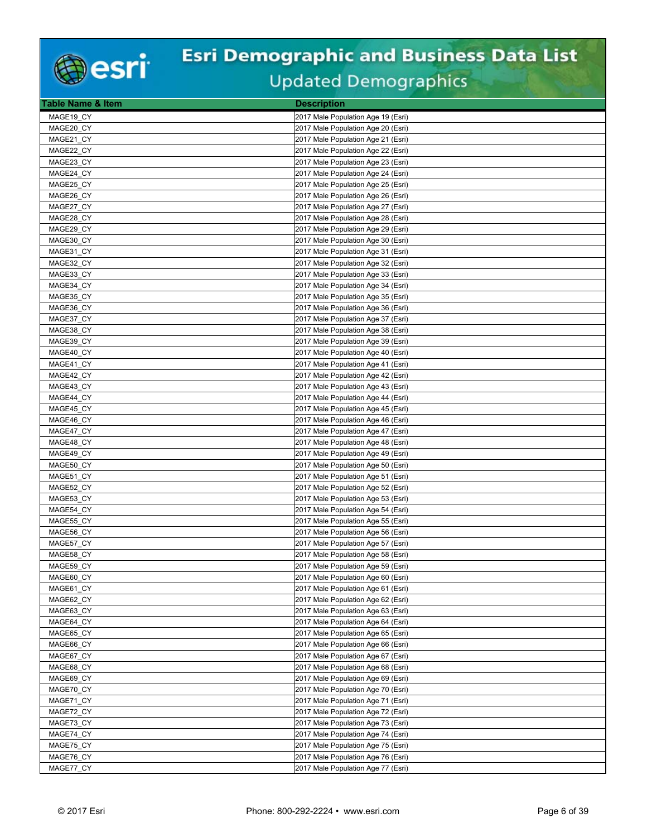

| MAGE19 CY<br>2017 Male Population Age 19 (Esri)<br>MAGE20_CY<br>2017 Male Population Age 20 (Esri)<br>MAGE21 CY<br>2017 Male Population Age 21 (Esri) |  |
|-------------------------------------------------------------------------------------------------------------------------------------------------------|--|
|                                                                                                                                                       |  |
|                                                                                                                                                       |  |
|                                                                                                                                                       |  |
| MAGE22 CY<br>2017 Male Population Age 22 (Esri)                                                                                                       |  |
| MAGE23_CY<br>2017 Male Population Age 23 (Esri)                                                                                                       |  |
| MAGE24_CY<br>2017 Male Population Age 24 (Esri)                                                                                                       |  |
| MAGE25_CY<br>2017 Male Population Age 25 (Esri)                                                                                                       |  |
| MAGE26_CY<br>2017 Male Population Age 26 (Esri)                                                                                                       |  |
| MAGE27_CY<br>2017 Male Population Age 27 (Esri)                                                                                                       |  |
| MAGE28_CY<br>2017 Male Population Age 28 (Esri)                                                                                                       |  |
| MAGE29_CY<br>2017 Male Population Age 29 (Esri)                                                                                                       |  |
| MAGE30 CY<br>2017 Male Population Age 30 (Esri)                                                                                                       |  |
| MAGE31 CY<br>2017 Male Population Age 31 (Esri)                                                                                                       |  |
| MAGE32_CY<br>2017 Male Population Age 32 (Esri)                                                                                                       |  |
| MAGE33 CY<br>2017 Male Population Age 33 (Esri)                                                                                                       |  |
| MAGE34 CY<br>2017 Male Population Age 34 (Esri)                                                                                                       |  |
| MAGE35 CY<br>2017 Male Population Age 35 (Esri)                                                                                                       |  |
| MAGE36 CY<br>2017 Male Population Age 36 (Esri)                                                                                                       |  |
| MAGE37_CY<br>2017 Male Population Age 37 (Esri)                                                                                                       |  |
| MAGE38_CY<br>2017 Male Population Age 38 (Esri)                                                                                                       |  |
| MAGE39 CY<br>2017 Male Population Age 39 (Esri)                                                                                                       |  |
| MAGE40 CY<br>2017 Male Population Age 40 (Esri)                                                                                                       |  |
| MAGE41 CY<br>2017 Male Population Age 41 (Esri)                                                                                                       |  |
| 2017 Male Population Age 42 (Esri)<br>MAGE42 CY                                                                                                       |  |
| MAGE43 CY<br>2017 Male Population Age 43 (Esri)                                                                                                       |  |
| 2017 Male Population Age 44 (Esri)<br>MAGE44_CY                                                                                                       |  |
| MAGE45_CY<br>2017 Male Population Age 45 (Esri)                                                                                                       |  |
| 2017 Male Population Age 46 (Esri)<br>MAGE46_CY                                                                                                       |  |
| MAGE47_CY<br>2017 Male Population Age 47 (Esri)                                                                                                       |  |
| MAGE48 CY<br>2017 Male Population Age 48 (Esri)                                                                                                       |  |
| 2017 Male Population Age 49 (Esri)<br>MAGE49 CY                                                                                                       |  |
| MAGE50 CY<br>2017 Male Population Age 50 (Esri)                                                                                                       |  |
| MAGE51 CY<br>2017 Male Population Age 51 (Esri)                                                                                                       |  |
| MAGE52_CY<br>2017 Male Population Age 52 (Esri)                                                                                                       |  |
| MAGE53 CY<br>2017 Male Population Age 53 (Esri)                                                                                                       |  |
| MAGE54_CY<br>2017 Male Population Age 54 (Esri)                                                                                                       |  |
| MAGE55_CY<br>2017 Male Population Age 55 (Esri)                                                                                                       |  |
| MAGE56 CY<br>2017 Male Population Age 56 (Esri)                                                                                                       |  |
| MAGE57_CY<br>2017 Male Population Age 57 (Esri)                                                                                                       |  |
| MAGE58 CY<br>2017 Male Population Age 58 (Esri)                                                                                                       |  |
| MAGE59 CY<br>2017 Male Population Age 59 (Esri)                                                                                                       |  |
| MAGE60_CY<br>2017 Male Population Age 60 (Esri)                                                                                                       |  |
| MAGE61 CY<br>2017 Male Population Age 61 (Esri)                                                                                                       |  |
| MAGE62 CY<br>2017 Male Population Age 62 (Esri)                                                                                                       |  |
| MAGE63_CY<br>2017 Male Population Age 63 (Esri)                                                                                                       |  |
| MAGE64_CY<br>2017 Male Population Age 64 (Esri)                                                                                                       |  |
| MAGE65 CY<br>2017 Male Population Age 65 (Esri)                                                                                                       |  |
| MAGE66 CY<br>2017 Male Population Age 66 (Esri)                                                                                                       |  |
| MAGE67_CY<br>2017 Male Population Age 67 (Esri)                                                                                                       |  |
| MAGE68 CY<br>2017 Male Population Age 68 (Esri)                                                                                                       |  |
| MAGE69 CY<br>2017 Male Population Age 69 (Esri)<br>2017 Male Population Age 70 (Esri)                                                                 |  |
| MAGE70_CY<br>MAGE71 CY<br>2017 Male Population Age 71 (Esri)                                                                                          |  |
|                                                                                                                                                       |  |
| MAGE72_CY<br>2017 Male Population Age 72 (Esri)<br>MAGE73_CY<br>2017 Male Population Age 73 (Esri)                                                    |  |
| MAGE74 CY<br>2017 Male Population Age 74 (Esri)                                                                                                       |  |
| MAGE75 CY<br>2017 Male Population Age 75 (Esri)                                                                                                       |  |
| MAGE76_CY<br>2017 Male Population Age 76 (Esri)                                                                                                       |  |
| MAGE77_CY<br>2017 Male Population Age 77 (Esri)                                                                                                       |  |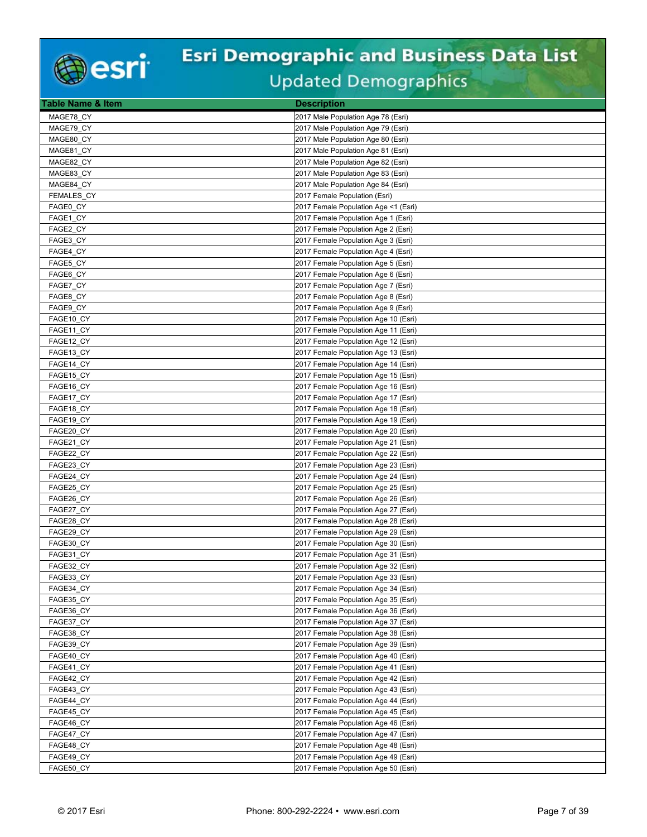

| <b>Table Name &amp; Item</b> | <b>Description</b>                                                           |
|------------------------------|------------------------------------------------------------------------------|
| MAGE78 CY                    | 2017 Male Population Age 78 (Esri)                                           |
| MAGE79_CY                    | 2017 Male Population Age 79 (Esri)                                           |
| MAGE80 CY                    | 2017 Male Population Age 80 (Esri)                                           |
| MAGE81 CY                    | 2017 Male Population Age 81 (Esri)                                           |
| MAGE82_CY                    | 2017 Male Population Age 82 (Esri)                                           |
| MAGE83 CY                    | 2017 Male Population Age 83 (Esri)                                           |
| MAGE84_CY                    | 2017 Male Population Age 84 (Esri)                                           |
| FEMALES_CY                   | 2017 Female Population (Esri)                                                |
| FAGE0 CY                     | 2017 Female Population Age <1 (Esri)                                         |
| FAGE1_CY                     | 2017 Female Population Age 1 (Esri)                                          |
| FAGE2_CY                     | 2017 Female Population Age 2 (Esri)                                          |
| FAGE3 CY                     | 2017 Female Population Age 3 (Esri)                                          |
| FAGE4_CY                     | 2017 Female Population Age 4 (Esri)                                          |
| FAGE5_CY                     | 2017 Female Population Age 5 (Esri)                                          |
| FAGE6 CY                     | 2017 Female Population Age 6 (Esri)                                          |
| FAGE7_CY                     | 2017 Female Population Age 7 (Esri)                                          |
| FAGE8 CY                     | 2017 Female Population Age 8 (Esri)                                          |
| FAGE9_CY                     | 2017 Female Population Age 9 (Esri)                                          |
| FAGE10_CY                    | 2017 Female Population Age 10 (Esri)                                         |
| FAGE11_CY                    | 2017 Female Population Age 11 (Esri)                                         |
| FAGE12_CY                    | 2017 Female Population Age 12 (Esri)                                         |
| FAGE13_CY                    | 2017 Female Population Age 13 (Esri)                                         |
| FAGE14_CY                    | 2017 Female Population Age 14 (Esri)                                         |
| FAGE15_CY                    | 2017 Female Population Age 15 (Esri)                                         |
| FAGE16 CY                    | 2017 Female Population Age 16 (Esri)                                         |
| FAGE17_CY                    | 2017 Female Population Age 17 (Esri)                                         |
| FAGE18_CY                    | 2017 Female Population Age 18 (Esri)                                         |
| FAGE19_CY                    | 2017 Female Population Age 19 (Esri)                                         |
| FAGE20_CY                    | 2017 Female Population Age 20 (Esri)                                         |
| FAGE21 CY                    | 2017 Female Population Age 21 (Esri)                                         |
| FAGE22_CY                    | 2017 Female Population Age 22 (Esri)                                         |
| FAGE23 CY                    | 2017 Female Population Age 23 (Esri)                                         |
| FAGE24_CY                    | 2017 Female Population Age 24 (Esri)                                         |
| FAGE25 CY<br>FAGE26_CY       | 2017 Female Population Age 25 (Esri)                                         |
| FAGE27_CY                    | 2017 Female Population Age 26 (Esri)<br>2017 Female Population Age 27 (Esri) |
| FAGE28 CY                    | 2017 Female Population Age 28 (Esri)                                         |
| FAGE29 CY                    | 2017 Female Population Age 29 (Esri)                                         |
| FAGE30_CY                    | 2017 Female Population Age 30 (Esri)                                         |
| FAGE31 CY                    | 2017 Female Population Age 31 (Esri)                                         |
| FAGE32 CY                    | 2017 Female Population Age 32 (Esri)                                         |
| FAGE33_CY                    | 2017 Female Population Age 33 (Esri)                                         |
| FAGE34 CY                    | 2017 Female Population Age 34 (Esri)                                         |
| FAGE35 CY                    | 2017 Female Population Age 35 (Esri)                                         |
| FAGE36_CY                    | 2017 Female Population Age 36 (Esri)                                         |
| FAGE37_CY                    | 2017 Female Population Age 37 (Esri)                                         |
| FAGE38 CY                    | 2017 Female Population Age 38 (Esri)                                         |
| FAGE39 CY                    | 2017 Female Population Age 39 (Esri)                                         |
| FAGE40_CY                    | 2017 Female Population Age 40 (Esri)                                         |
| FAGE41_CY                    | 2017 Female Population Age 41 (Esri)                                         |
| FAGE42 CY                    | 2017 Female Population Age 42 (Esri)                                         |
| FAGE43_CY                    | 2017 Female Population Age 43 (Esri)                                         |
| FAGE44 CY                    | 2017 Female Population Age 44 (Esri)                                         |
| FAGE45_CY                    | 2017 Female Population Age 45 (Esri)                                         |
| FAGE46_CY                    | 2017 Female Population Age 46 (Esri)                                         |
| FAGE47 CY                    | 2017 Female Population Age 47 (Esri)                                         |
| FAGE48 CY                    | 2017 Female Population Age 48 (Esri)                                         |
| FAGE49_CY                    | 2017 Female Population Age 49 (Esri)                                         |
| FAGE50_CY                    | 2017 Female Population Age 50 (Esri)                                         |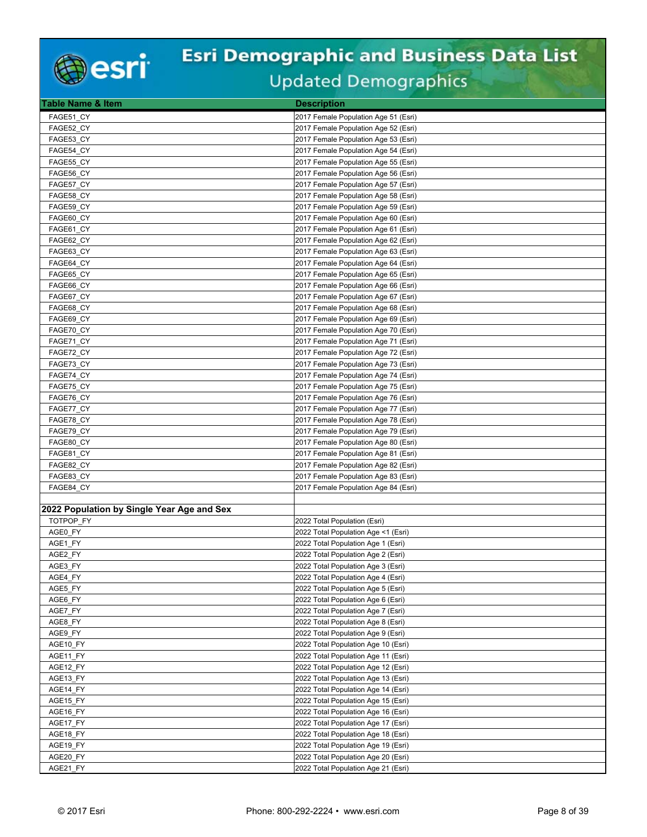

| <b>Table Name &amp; Item</b>               | <b>Description</b>                                                         |
|--------------------------------------------|----------------------------------------------------------------------------|
| FAGE51 CY                                  | 2017 Female Population Age 51 (Esri)                                       |
| FAGE52_CY                                  | 2017 Female Population Age 52 (Esri)                                       |
| FAGE53 CY                                  | 2017 Female Population Age 53 (Esri)                                       |
| FAGE54 CY                                  | 2017 Female Population Age 54 (Esri)                                       |
| FAGE55_CY                                  | 2017 Female Population Age 55 (Esri)                                       |
| FAGE56 CY                                  | 2017 Female Population Age 56 (Esri)                                       |
| FAGE57_CY                                  | 2017 Female Population Age 57 (Esri)                                       |
| FAGE58_CY                                  | 2017 Female Population Age 58 (Esri)                                       |
| FAGE59 CY                                  | 2017 Female Population Age 59 (Esri)                                       |
| FAGE60 CY                                  | 2017 Female Population Age 60 (Esri)                                       |
| FAGE61_CY                                  | 2017 Female Population Age 61 (Esri)                                       |
| FAGE62_CY                                  | 2017 Female Population Age 62 (Esri)                                       |
| FAGE63 CY                                  | 2017 Female Population Age 63 (Esri)                                       |
| FAGE64 CY                                  | 2017 Female Population Age 64 (Esri)                                       |
| FAGE65 CY                                  | 2017 Female Population Age 65 (Esri)                                       |
| FAGE66 CY                                  | 2017 Female Population Age 66 (Esri)                                       |
| FAGE67_CY                                  | 2017 Female Population Age 67 (Esri)                                       |
| FAGE68 CY                                  | 2017 Female Population Age 68 (Esri)                                       |
| FAGE69 CY                                  | 2017 Female Population Age 69 (Esri)                                       |
| FAGE70_CY                                  | 2017 Female Population Age 70 (Esri)                                       |
| FAGE71_CY                                  | 2017 Female Population Age 71 (Esri)                                       |
| FAGE72 CY                                  | 2017 Female Population Age 72 (Esri)                                       |
| FAGE73_CY                                  | 2017 Female Population Age 73 (Esri)                                       |
| FAGE74_CY                                  | 2017 Female Population Age 74 (Esri)                                       |
| FAGE75_CY                                  | 2017 Female Population Age 75 (Esri)                                       |
| FAGE76_CY                                  | 2017 Female Population Age 76 (Esri)                                       |
| FAGE77_CY                                  | 2017 Female Population Age 77 (Esri)                                       |
| FAGE78_CY                                  | 2017 Female Population Age 78 (Esri)                                       |
| FAGE79_CY                                  | 2017 Female Population Age 79 (Esri)                                       |
| FAGE80_CY                                  | 2017 Female Population Age 80 (Esri)                                       |
| FAGE81 CY                                  | 2017 Female Population Age 81 (Esri)                                       |
| FAGE82_CY                                  | 2017 Female Population Age 82 (Esri)                                       |
| FAGE83_CY                                  | 2017 Female Population Age 83 (Esri)                                       |
| FAGE84_CY                                  | 2017 Female Population Age 84 (Esri)                                       |
|                                            |                                                                            |
| 2022 Population by Single Year Age and Sex |                                                                            |
| TOTPOP FY                                  | 2022 Total Population (Esri)                                               |
| AGE0 FY                                    | 2022 Total Population Age <1 (Esri)                                        |
| AGE1_FY                                    | 2022 Total Population Age 1 (Esri)                                         |
| AGE2 FY                                    | 2022 Total Population Age 2 (Esri)                                         |
| AGE3 FY                                    | 2022 Total Population Age 3 (Esri)                                         |
| AGE4_FY                                    | 2022 Total Population Age 4 (Esri)                                         |
| AGE5 FY<br>AGE6 FY                         | 2022 Total Population Age 5 (Esri)<br>2022 Total Population Age 6 (Esri)   |
| AGE7_FY                                    | 2022 Total Population Age 7 (Esri)                                         |
| AGE8_FY                                    | 2022 Total Population Age 8 (Esri)                                         |
| AGE9_FY                                    | 2022 Total Population Age 9 (Esri)                                         |
| AGE10 FY                                   | 2022 Total Population Age 10 (Esri)                                        |
| AGE11 FY                                   | 2022 Total Population Age 11 (Esri)                                        |
| AGE12_FY                                   | 2022 Total Population Age 12 (Esri)                                        |
| AGE13_FY                                   | 2022 Total Population Age 13 (Esri)                                        |
| AGE14_FY                                   | 2022 Total Population Age 14 (Esri)                                        |
| AGE15 FY                                   | 2022 Total Population Age 15 (Esri)                                        |
|                                            |                                                                            |
| AGE16_FY<br>AGE17_FY                       | 2022 Total Population Age 16 (Esri)<br>2022 Total Population Age 17 (Esri) |
| AGE18_FY                                   | 2022 Total Population Age 18 (Esri)                                        |
| AGE19_FY                                   | 2022 Total Population Age 19 (Esri)                                        |
| AGE20_FY                                   | 2022 Total Population Age 20 (Esri)                                        |
| AGE21_FY                                   | 2022 Total Population Age 21 (Esri)                                        |
|                                            |                                                                            |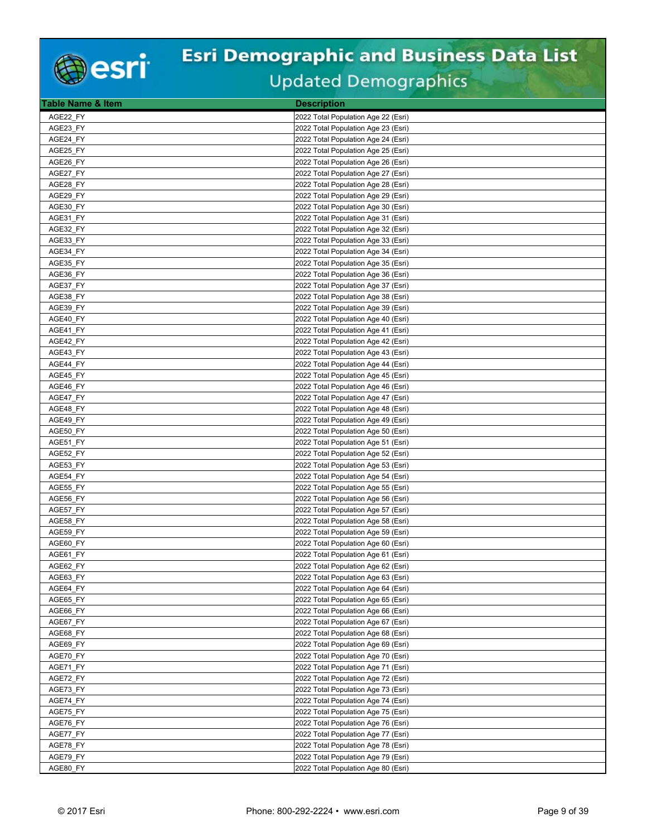

| <b>Table Name &amp; Item</b> | <b>Description</b>                                                         |
|------------------------------|----------------------------------------------------------------------------|
| AGE22 FY                     | 2022 Total Population Age 22 (Esri)                                        |
| AGE23_FY                     | 2022 Total Population Age 23 (Esri)                                        |
| AGE24_FY                     | 2022 Total Population Age 24 (Esri)                                        |
| AGE25 FY                     | 2022 Total Population Age 25 (Esri)                                        |
| AGE26 FY                     | 2022 Total Population Age 26 (Esri)                                        |
| AGE27 FY                     | 2022 Total Population Age 27 (Esri)                                        |
| AGE28_FY                     | 2022 Total Population Age 28 (Esri)                                        |
| AGE29_FY                     | 2022 Total Population Age 29 (Esri)                                        |
| AGE30 FY                     | 2022 Total Population Age 30 (Esri)                                        |
| AGE31_FY                     | 2022 Total Population Age 31 (Esri)                                        |
| AGE32_FY                     | 2022 Total Population Age 32 (Esri)                                        |
| AGE33_FY                     | 2022 Total Population Age 33 (Esri)                                        |
| AGE34 FY                     | 2022 Total Population Age 34 (Esri)                                        |
| AGE35 FY                     | 2022 Total Population Age 35 (Esri)                                        |
| AGE36 FY                     | 2022 Total Population Age 36 (Esri)                                        |
| AGE37_FY                     | 2022 Total Population Age 37 (Esri)                                        |
| AGE38_FY                     | 2022 Total Population Age 38 (Esri)                                        |
| AGE39 FY                     | 2022 Total Population Age 39 (Esri)                                        |
| AGE40 FY                     | 2022 Total Population Age 40 (Esri)                                        |
| AGE41_FY                     | 2022 Total Population Age 41 (Esri)                                        |
| AGE42 FY                     | 2022 Total Population Age 42 (Esri)                                        |
| AGE43 FY                     | 2022 Total Population Age 43 (Esri)                                        |
| AGE44 FY                     | 2022 Total Population Age 44 (Esri)                                        |
| AGE45_FY                     | 2022 Total Population Age 45 (Esri)                                        |
| AGE46 FY                     | 2022 Total Population Age 46 (Esri)                                        |
| AGE47_FY                     | 2022 Total Population Age 47 (Esri)                                        |
| AGE48_FY                     | 2022 Total Population Age 48 (Esri)                                        |
| AGE49 FY                     |                                                                            |
| AGE50 FY                     | 2022 Total Population Age 49 (Esri)<br>2022 Total Population Age 50 (Esri) |
| AGE51_FY                     | 2022 Total Population Age 51 (Esri)                                        |
| AGE52 FY                     | 2022 Total Population Age 52 (Esri)                                        |
| AGE53_FY                     | 2022 Total Population Age 53 (Esri)                                        |
| AGE54_FY                     | 2022 Total Population Age 54 (Esri)                                        |
| AGE55 FY                     | 2022 Total Population Age 55 (Esri)                                        |
| AGE56_FY                     | 2022 Total Population Age 56 (Esri)                                        |
| AGE57_FY                     | 2022 Total Population Age 57 (Esri)                                        |
| AGE58_FY                     | 2022 Total Population Age 58 (Esri)                                        |
| AGE59 FY                     | 2022 Total Population Age 59 (Esri)                                        |
| AGE60 FY                     | 2022 Total Population Age 60 (Esri)                                        |
| AGE61 FY                     | 2022 Total Population Age 61 (Esri)                                        |
| AGE62 FY                     | 2022 Total Population Age 62 (Esri)                                        |
| AGE63 FY                     | 2022 Total Population Age 63 (Esri)                                        |
| AGE64 FY                     | 2022 Total Population Age 64 (Esri)                                        |
| AGE65 FY                     | 2022 Total Population Age 65 (Esri)                                        |
| AGE66_FY                     | 2022 Total Population Age 66 (Esri)                                        |
| AGE67 FY                     | 2022 Total Population Age 67 (Esri)                                        |
| AGE68 FY                     | 2022 Total Population Age 68 (Esri)                                        |
| AGE69_FY                     | 2022 Total Population Age 69 (Esri)                                        |
| AGE70_FY                     | 2022 Total Population Age 70 (Esri)                                        |
| AGE71_FY                     | 2022 Total Population Age 71 (Esri)                                        |
| AGE72_FY                     | 2022 Total Population Age 72 (Esri)                                        |
| AGE73_FY                     | 2022 Total Population Age 73 (Esri)                                        |
| AGE74_FY                     | 2022 Total Population Age 74 (Esri)                                        |
| AGE75_FY                     | 2022 Total Population Age 75 (Esri)                                        |
| AGE76_FY                     | 2022 Total Population Age 76 (Esri)                                        |
| AGE77_FY                     | 2022 Total Population Age 77 (Esri)                                        |
| AGE78_FY                     | 2022 Total Population Age 78 (Esri)                                        |
| AGE79_FY                     | 2022 Total Population Age 79 (Esri)                                        |
| AGE80_FY                     | 2022 Total Population Age 80 (Esri)                                        |
|                              |                                                                            |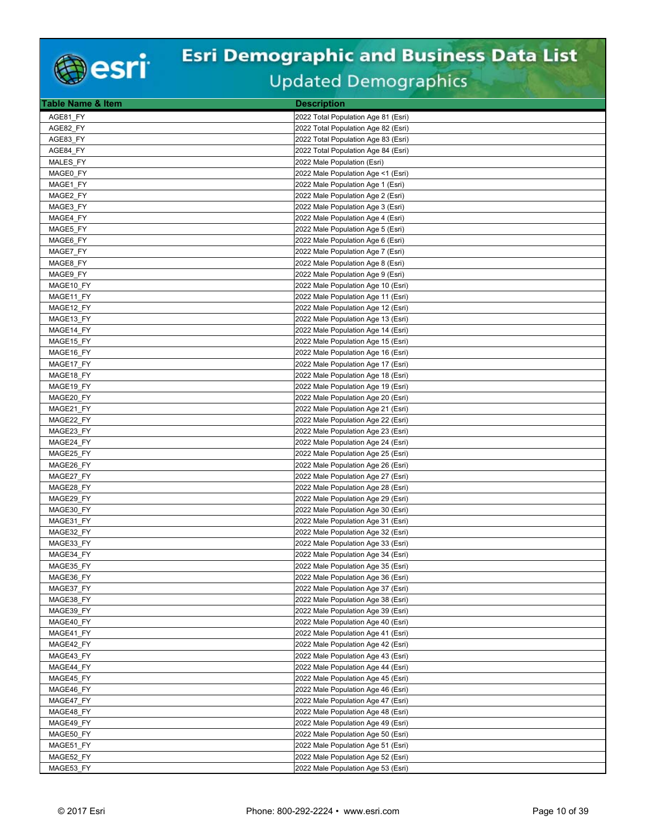

| <b>Table Name &amp; Item</b> | <b>Description</b>                  |
|------------------------------|-------------------------------------|
| AGE81 FY                     | 2022 Total Population Age 81 (Esri) |
| AGE82 FY                     | 2022 Total Population Age 82 (Esri) |
| AGE83 FY                     | 2022 Total Population Age 83 (Esri) |
| AGE84 FY                     | 2022 Total Population Age 84 (Esri) |
| MALES FY                     | 2022 Male Population (Esri)         |
| MAGE0 FY                     | 2022 Male Population Age <1 (Esri)  |
| MAGE1 FY                     | 2022 Male Population Age 1 (Esri)   |
| MAGE2 FY                     | 2022 Male Population Age 2 (Esri)   |
| MAGE3 FY                     | 2022 Male Population Age 3 (Esri)   |
| MAGE4_FY                     | 2022 Male Population Age 4 (Esri)   |
| MAGE5_FY                     | 2022 Male Population Age 5 (Esri)   |
| MAGE6 FY                     | 2022 Male Population Age 6 (Esri)   |
| MAGE7 FY                     | 2022 Male Population Age 7 (Esri)   |
| MAGE8 FY                     | 2022 Male Population Age 8 (Esri)   |
| MAGE9 FY                     | 2022 Male Population Age 9 (Esri)   |
| MAGE10 FY                    | 2022 Male Population Age 10 (Esri)  |
| MAGE11 FY                    | 2022 Male Population Age 11 (Esri)  |
| MAGE12 FY                    | 2022 Male Population Age 12 (Esri)  |
| MAGE13_FY                    | 2022 Male Population Age 13 (Esri)  |
| MAGE14_FY                    | 2022 Male Population Age 14 (Esri)  |
| MAGE15_FY                    | 2022 Male Population Age 15 (Esri)  |
| MAGE16_FY                    | 2022 Male Population Age 16 (Esri)  |
| MAGE17_FY                    | 2022 Male Population Age 17 (Esri)  |
| MAGE18 FY                    | 2022 Male Population Age 18 (Esri)  |
| MAGE19 FY                    | 2022 Male Population Age 19 (Esri)  |
| MAGE20 FY                    | 2022 Male Population Age 20 (Esri)  |
| MAGE21_FY                    | 2022 Male Population Age 21 (Esri)  |
| MAGE22 FY                    | 2022 Male Population Age 22 (Esri)  |
| MAGE23 FY                    | 2022 Male Population Age 23 (Esri)  |
| MAGE24 FY                    | 2022 Male Population Age 24 (Esri)  |
| MAGE25 FY                    | 2022 Male Population Age 25 (Esri)  |
| MAGE26_FY                    | 2022 Male Population Age 26 (Esri)  |
| MAGE27_FY                    | 2022 Male Population Age 27 (Esri)  |
| MAGE28 FY                    | 2022 Male Population Age 28 (Esri)  |
| MAGE29_FY                    | 2022 Male Population Age 29 (Esri)  |
| MAGE30_FY                    | 2022 Male Population Age 30 (Esri)  |
| MAGE31_FY                    | 2022 Male Population Age 31 (Esri)  |
| MAGE32_FY                    | 2022 Male Population Age 32 (Esri)  |
| MAGE33 FY                    | 2022 Male Population Age 33 (Esri)  |
| MAGE34 FY                    | 2022 Male Population Age 34 (Esri)  |
| MAGE35 FY                    | 2022 Male Population Age 35 (Esri)  |
| MAGE36_FY                    | 2022 Male Population Age 36 (Esri)  |
| MAGE37 FY                    | 2022 Male Population Age 37 (Esri)  |
| MAGE38 FY                    | 2022 Male Population Age 38 (Esri)  |
| MAGE39_FY                    | 2022 Male Population Age 39 (Esri)  |
| MAGE40_FY                    | 2022 Male Population Age 40 (Esri)  |
| MAGE41 FY                    | 2022 Male Population Age 41 (Esri)  |
| MAGE42_FY                    | 2022 Male Population Age 42 (Esri)  |
| MAGE43_FY                    | 2022 Male Population Age 43 (Esri)  |
| MAGE44_FY                    | 2022 Male Population Age 44 (Esri)  |
| MAGE45 FY                    | 2022 Male Population Age 45 (Esri)  |
| MAGE46 FY                    | 2022 Male Population Age 46 (Esri)  |
| MAGE47 FY                    | 2022 Male Population Age 47 (Esri)  |
| MAGE48_FY                    | 2022 Male Population Age 48 (Esri)  |
| MAGE49_FY                    | 2022 Male Population Age 49 (Esri)  |
| MAGE50 FY                    | 2022 Male Population Age 50 (Esri)  |
| MAGE51 FY                    | 2022 Male Population Age 51 (Esri)  |
| MAGE52_FY                    | 2022 Male Population Age 52 (Esri)  |
| MAGE53_FY                    | 2022 Male Population Age 53 (Esri)  |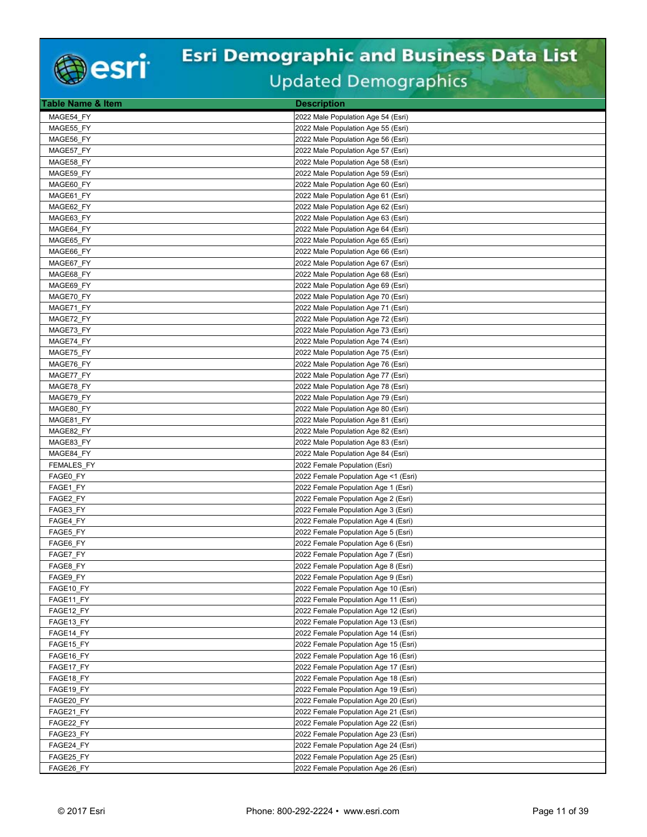

| Table Name & Item | <b>Description</b>                   |
|-------------------|--------------------------------------|
| MAGE54_FY         | 2022 Male Population Age 54 (Esri)   |
| MAGE55_FY         | 2022 Male Population Age 55 (Esri)   |
| MAGE56 FY         | 2022 Male Population Age 56 (Esri)   |
| MAGE57 FY         | 2022 Male Population Age 57 (Esri)   |
| MAGE58_FY         | 2022 Male Population Age 58 (Esri)   |
| MAGE59 FY         | 2022 Male Population Age 59 (Esri)   |
| MAGE60 FY         | 2022 Male Population Age 60 (Esri)   |
| MAGE61 FY         | 2022 Male Population Age 61 (Esri)   |
| MAGE62 FY         | 2022 Male Population Age 62 (Esri)   |
| MAGE63 FY         | 2022 Male Population Age 63 (Esri)   |
| MAGE64_FY         | 2022 Male Population Age 64 (Esri)   |
| MAGE65 FY         | 2022 Male Population Age 65 (Esri)   |
| MAGE66 FY         | 2022 Male Population Age 66 (Esri)   |
| MAGE67_FY         | 2022 Male Population Age 67 (Esri)   |
| MAGE68 FY         | 2022 Male Population Age 68 (Esri)   |
| MAGE69 FY         | 2022 Male Population Age 69 (Esri)   |
| MAGE70 FY         | 2022 Male Population Age 70 (Esri)   |
| MAGE71 FY         | 2022 Male Population Age 71 (Esri)   |
| MAGE72_FY         | 2022 Male Population Age 72 (Esri)   |
| MAGE73_FY         | 2022 Male Population Age 73 (Esri)   |
| MAGE74 FY         | 2022 Male Population Age 74 (Esri)   |
| MAGE75 FY         | 2022 Male Population Age 75 (Esri)   |
| MAGE76_FY         | 2022 Male Population Age 76 (Esri)   |
| MAGE77_FY         | 2022 Male Population Age 77 (Esri)   |
| MAGE78 FY         | 2022 Male Population Age 78 (Esri)   |
| MAGE79 FY         | 2022 Male Population Age 79 (Esri)   |
| MAGE80 FY         | 2022 Male Population Age 80 (Esri)   |
| MAGE81 FY         | 2022 Male Population Age 81 (Esri)   |
| MAGE82 FY         | 2022 Male Population Age 82 (Esri)   |
| MAGE83 FY         | 2022 Male Population Age 83 (Esri)   |
| MAGE84 FY         | 2022 Male Population Age 84 (Esri)   |
| <b>FEMALES FY</b> | 2022 Female Population (Esri)        |
| FAGE0 FY          | 2022 Female Population Age <1 (Esri) |
| FAGE1 FY          | 2022 Female Population Age 1 (Esri)  |
| FAGE2 FY          | 2022 Female Population Age 2 (Esri)  |
| FAGE3 FY          | 2022 Female Population Age 3 (Esri)  |
| FAGE4 FY          | 2022 Female Population Age 4 (Esri)  |
| FAGE5 FY          | 2022 Female Population Age 5 (Esri)  |
| FAGE6 FY          | 2022 Female Population Age 6 (Esri)  |
| FAGE7 FY          | 2022 Female Population Age 7 (Esri)  |
| FAGE8 FY          | 2022 Female Population Age 8 (Esri)  |
| FAGE9_FY          | 2022 Female Population Age 9 (Esri)  |
| FAGE10 FY         | 2022 Female Population Age 10 (Esri) |
| FAGE11_FY         | 2022 Female Population Age 11 (Esri) |
| FAGE12_FY         | 2022 Female Population Age 12 (Esri) |
| FAGE13 FY         | 2022 Female Population Age 13 (Esri) |
| FAGE14 FY         | 2022 Female Population Age 14 (Esri) |
| FAGE15_FY         | 2022 Female Population Age 15 (Esri) |
| FAGE16_FY         | 2022 Female Population Age 16 (Esri) |
| FAGE17_FY         | 2022 Female Population Age 17 (Esri) |
| FAGE18_FY         | 2022 Female Population Age 18 (Esri) |
| FAGE19_FY         | 2022 Female Population Age 19 (Esri) |
| FAGE20 FY         | 2022 Female Population Age 20 (Esri) |
| FAGE21_FY         | 2022 Female Population Age 21 (Esri) |
| FAGE22_FY         | 2022 Female Population Age 22 (Esri) |
| FAGE23 FY         | 2022 Female Population Age 23 (Esri) |
| FAGE24_FY         | 2022 Female Population Age 24 (Esri) |
| FAGE25_FY         | 2022 Female Population Age 25 (Esri) |
| FAGE26 FY         | 2022 Female Population Age 26 (Esri) |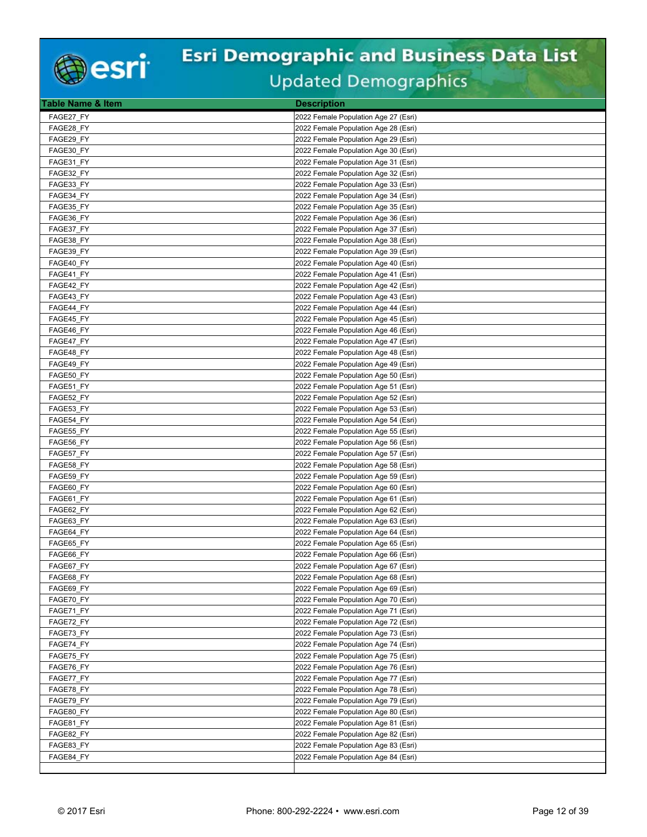

| <b>Table Name &amp; Item</b> | <b>Description</b>                   |
|------------------------------|--------------------------------------|
| FAGE27 FY                    | 2022 Female Population Age 27 (Esri) |
| FAGE28 FY                    | 2022 Female Population Age 28 (Esri) |
| FAGE29_FY                    | 2022 Female Population Age 29 (Esri) |
| FAGE30 FY                    | 2022 Female Population Age 30 (Esri) |
| FAGE31 FY                    | 2022 Female Population Age 31 (Esri) |
| FAGE32_FY                    | 2022 Female Population Age 32 (Esri) |
| FAGE33 FY                    | 2022 Female Population Age 33 (Esri) |
| FAGE34 FY                    | 2022 Female Population Age 34 (Esri) |
| FAGE35 FY                    | 2022 Female Population Age 35 (Esri) |
|                              |                                      |
| FAGE36_FY                    | 2022 Female Population Age 36 (Esri) |
| FAGE37_FY                    | 2022 Female Population Age 37 (Esri) |
| FAGE38_FY                    | 2022 Female Population Age 38 (Esri) |
| FAGE39 FY                    | 2022 Female Population Age 39 (Esri) |
| FAGE40_FY                    | 2022 Female Population Age 40 (Esri) |
| FAGE41 FY                    | 2022 Female Population Age 41 (Esri) |
| FAGE42_FY                    | 2022 Female Population Age 42 (Esri) |
| FAGE43 FY                    | 2022 Female Population Age 43 (Esri) |
| FAGE44 FY                    | 2022 Female Population Age 44 (Esri) |
| FAGE45_FY                    | 2022 Female Population Age 45 (Esri) |
| FAGE46_FY                    | 2022 Female Population Age 46 (Esri) |
| FAGE47 FY                    | 2022 Female Population Age 47 (Esri) |
| FAGE48 FY                    | 2022 Female Population Age 48 (Esri) |
| FAGE49_FY                    | 2022 Female Population Age 49 (Esri) |
| FAGE50_FY                    | 2022 Female Population Age 50 (Esri) |
| FAGE51 FY                    | 2022 Female Population Age 51 (Esri) |
| FAGE52_FY                    | 2022 Female Population Age 52 (Esri) |
| FAGE53_FY                    | 2022 Female Population Age 53 (Esri) |
| FAGE54 FY                    | 2022 Female Population Age 54 (Esri) |
| FAGE55_FY                    | 2022 Female Population Age 55 (Esri) |
| FAGE56 FY                    | 2022 Female Population Age 56 (Esri) |
| FAGE57 FY                    | 2022 Female Population Age 57 (Esri) |
| FAGE58_FY                    | 2022 Female Population Age 58 (Esri) |
| FAGE59_FY                    | 2022 Female Population Age 59 (Esri) |
| FAGE60 FY                    | 2022 Female Population Age 60 (Esri) |
| FAGE61 FY                    | 2022 Female Population Age 61 (Esri) |
| FAGE62_FY                    | 2022 Female Population Age 62 (Esri) |
| FAGE63_FY                    | 2022 Female Population Age 63 (Esri) |
| FAGE64_FY                    | 2022 Female Population Age 64 (Esri) |
| FAGE65 FY                    | 2022 Female Population Age 65 (Esri) |
|                              | 2022 Female Population Age 66 (Esri) |
| FAGE66 FY                    |                                      |
| FAGE67 FY                    | 2022 Female Population Age 67 (Esri) |
| FAGE68_FY                    | 2022 Female Population Age 68 (Esri) |
| FAGE69 FY                    | 2022 Female Population Age 69 (Esri) |
| FAGE70 FY                    | 2022 Female Population Age 70 (Esri) |
| FAGE71_FY                    | 2022 Female Population Age 71 (Esri) |
| FAGE72_FY                    | 2022 Female Population Age 72 (Esri) |
| FAGE73 FY                    | 2022 Female Population Age 73 (Esri) |
| FAGE74_FY                    | 2022 Female Population Age 74 (Esri) |
| FAGE75_FY                    | 2022 Female Population Age 75 (Esri) |
| FAGE76_FY                    | 2022 Female Population Age 76 (Esri) |
| FAGE77 FY                    | 2022 Female Population Age 77 (Esri) |
| FAGE78_FY                    | 2022 Female Population Age 78 (Esri) |
| FAGE79 FY                    | 2022 Female Population Age 79 (Esri) |
| FAGE80_FY                    | 2022 Female Population Age 80 (Esri) |
| FAGE81_FY                    | 2022 Female Population Age 81 (Esri) |
| FAGE82 FY                    | 2022 Female Population Age 82 (Esri) |
| FAGE83 FY                    | 2022 Female Population Age 83 (Esri) |
| FAGE84 FY                    | 2022 Female Population Age 84 (Esri) |
|                              |                                      |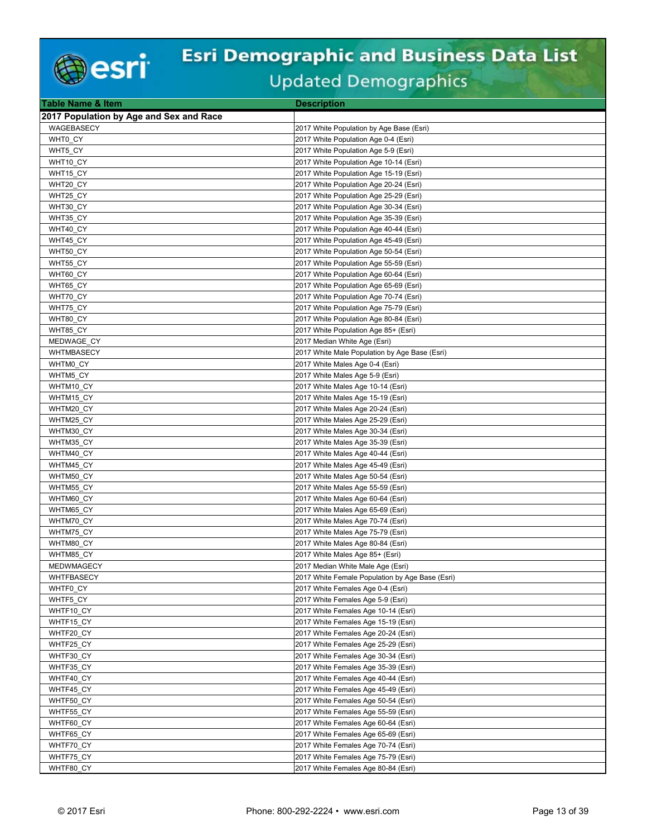

| Table Name & Item                       | <b>Description</b>                                                            |
|-----------------------------------------|-------------------------------------------------------------------------------|
| 2017 Population by Age and Sex and Race |                                                                               |
| WAGEBASECY                              | 2017 White Population by Age Base (Esri)                                      |
| WHT0 CY                                 | 2017 White Population Age 0-4 (Esri)                                          |
| WHT5 CY                                 | 2017 White Population Age 5-9 (Esri)                                          |
| WHT10_CY                                | 2017 White Population Age 10-14 (Esri)                                        |
| WHT15 CY                                | 2017 White Population Age 15-19 (Esri)                                        |
| WHT20_CY                                | 2017 White Population Age 20-24 (Esri)                                        |
| WHT25_CY                                | 2017 White Population Age 25-29 (Esri)                                        |
| WHT30 CY                                | 2017 White Population Age 30-34 (Esri)                                        |
| WHT35_CY                                | 2017 White Population Age 35-39 (Esri)                                        |
| WHT40_CY                                | 2017 White Population Age 40-44 (Esri)                                        |
| WHT45 CY                                | 2017 White Population Age 45-49 (Esri)                                        |
| WHT50 CY                                | 2017 White Population Age 50-54 (Esri)                                        |
| WHT55_CY                                | 2017 White Population Age 55-59 (Esri)                                        |
| WHT60_CY                                | 2017 White Population Age 60-64 (Esri)                                        |
| WHT65 CY                                | 2017 White Population Age 65-69 (Esri)                                        |
| WHT70 CY                                | 2017 White Population Age 70-74 (Esri)                                        |
| WHT75_CY                                | 2017 White Population Age 75-79 (Esri)                                        |
| WHT80 CY                                | 2017 White Population Age 80-84 (Esri)                                        |
| WHT85 CY                                | 2017 White Population Age 85+ (Esri)                                          |
| MEDWAGE_CY                              |                                                                               |
| <b>WHTMBASECY</b>                       | 2017 Median White Age (Esri)<br>2017 White Male Population by Age Base (Esri) |
|                                         |                                                                               |
| WHTM0 CY                                | 2017 White Males Age 0-4 (Esri)                                               |
| WHTM5_CY                                | 2017 White Males Age 5-9 (Esri)                                               |
| WHTM10 CY                               | 2017 White Males Age 10-14 (Esri)                                             |
| WHTM15 CY                               | 2017 White Males Age 15-19 (Esri)                                             |
| WHTM20_CY                               | 2017 White Males Age 20-24 (Esri)                                             |
| WHTM25 CY                               | 2017 White Males Age 25-29 (Esri)                                             |
| WHTM30 CY                               | 2017 White Males Age 30-34 (Esri)                                             |
| WHTM35 CY                               | 2017 White Males Age 35-39 (Esri)                                             |
| WHTM40_CY                               | 2017 White Males Age 40-44 (Esri)                                             |
| WHTM45_CY                               | 2017 White Males Age 45-49 (Esri)                                             |
| WHTM50_CY                               | 2017 White Males Age 50-54 (Esri)                                             |
| WHTM55 CY                               | 2017 White Males Age 55-59 (Esri)                                             |
| WHTM60_CY                               | 2017 White Males Age 60-64 (Esri)                                             |
| WHTM65_CY                               | 2017 White Males Age 65-69 (Esri)                                             |
| WHTM70 CY                               | 2017 White Males Age 70-74 (Esri)                                             |
| WHTM75 CY                               | 2017 White Males Age 75-79 (Esri)                                             |
| WHTM80_CY                               | 2017 White Males Age 80-84 (Esri)                                             |
| WHTM85 CY                               | 2017 White Males Age 85+ (Esri)                                               |
| <b>MEDWMAGECY</b>                       | 2017 Median White Male Age (Esri)                                             |
| WHTFBASECY                              | 2017 White Female Population by Age Base (Esri)                               |
| WHTF0_CY                                | 2017 White Females Age 0-4 (Esri)                                             |
| WHTF5_CY                                | 2017 White Females Age 5-9 (Esri)                                             |
| WHTF10_CY                               | 2017 White Females Age 10-14 (Esri)                                           |
| WHTF15 CY                               | 2017 White Females Age 15-19 (Esri)                                           |
| WHTF20 CY                               | 2017 White Females Age 20-24 (Esri)                                           |
| WHTF25_CY                               | 2017 White Females Age 25-29 (Esri)                                           |
| WHTF30_CY                               | 2017 White Females Age 30-34 (Esri)                                           |
| WHTF35_CY                               | 2017 White Females Age 35-39 (Esri)                                           |
| WHTF40 CY                               | 2017 White Females Age 40-44 (Esri)                                           |
| WHTF45 CY                               | 2017 White Females Age 45-49 (Esri)                                           |
| WHTF50_CY                               | 2017 White Females Age 50-54 (Esri)                                           |
| WHTF55_CY                               | 2017 White Females Age 55-59 (Esri)                                           |
| WHTF60 CY                               | 2017 White Females Age 60-64 (Esri)                                           |
| WHTF65 CY                               | 2017 White Females Age 65-69 (Esri)                                           |
| WHTF70_CY                               | 2017 White Females Age 70-74 (Esri)                                           |
| WHTF75_CY                               | 2017 White Females Age 75-79 (Esri)                                           |
| WHTF80_CY                               | 2017 White Females Age 80-84 (Esri)                                           |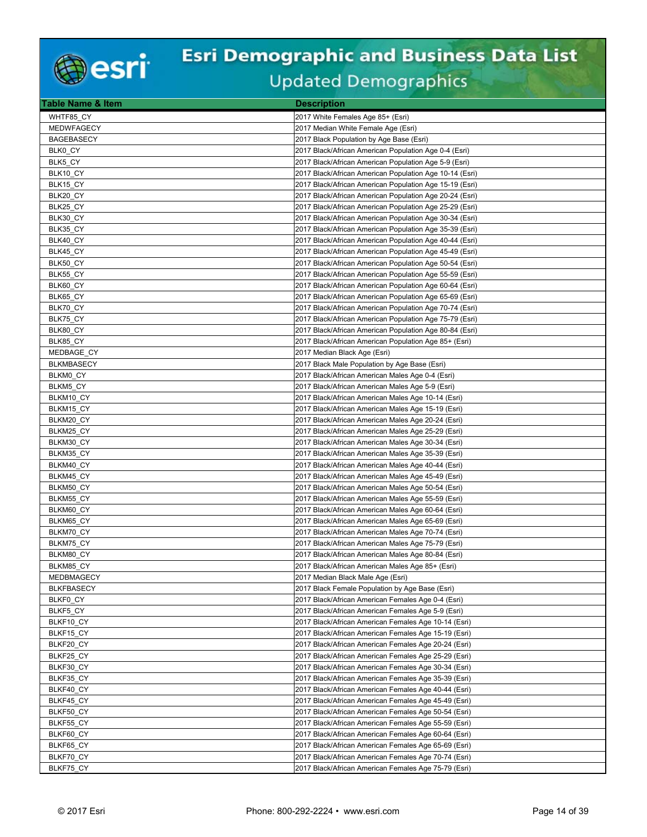

| Table Name & Item      | <b>Description</b>                                                                                       |
|------------------------|----------------------------------------------------------------------------------------------------------|
| WHTF85 CY              | 2017 White Females Age 85+ (Esri)                                                                        |
| <b>MEDWFAGECY</b>      | 2017 Median White Female Age (Esri)                                                                      |
| <b>BAGEBASECY</b>      | 2017 Black Population by Age Base (Esri)                                                                 |
| BLK0_CY                | 2017 Black/African American Population Age 0-4 (Esri)                                                    |
| BLK5 CY                | 2017 Black/African American Population Age 5-9 (Esri)                                                    |
| BLK10 CY               | 2017 Black/African American Population Age 10-14 (Esri)                                                  |
| BLK15_CY               | 2017 Black/African American Population Age 15-19 (Esri)                                                  |
| BLK20_CY               | 2017 Black/African American Population Age 20-24 (Esri)                                                  |
| BLK25 CY               | 2017 Black/African American Population Age 25-29 (Esri)                                                  |
| BLK30_CY               | 2017 Black/African American Population Age 30-34 (Esri)                                                  |
| BLK35_CY               | 2017 Black/African American Population Age 35-39 (Esri)                                                  |
| BLK40 CY               | 2017 Black/African American Population Age 40-44 (Esri)                                                  |
| BLK45_CY               | 2017 Black/African American Population Age 45-49 (Esri)                                                  |
| BLK50_CY               | 2017 Black/African American Population Age 50-54 (Esri)                                                  |
| BLK55 CY               | 2017 Black/African American Population Age 55-59 (Esri)                                                  |
| BLK60_CY               | 2017 Black/African American Population Age 60-64 (Esri)                                                  |
| BLK65 CY               | 2017 Black/African American Population Age 65-69 (Esri)                                                  |
| BLK70 CY               | 2017 Black/African American Population Age 70-74 (Esri)                                                  |
| BLK75_CY               | 2017 Black/African American Population Age 75-79 (Esri)                                                  |
| BLK80_CY               | 2017 Black/African American Population Age 80-84 (Esri)                                                  |
| BLK85_CY               | 2017 Black/African American Population Age 85+ (Esri)                                                    |
| MEDBAGE CY             | 2017 Median Black Age (Esri)                                                                             |
| <b>BLKMBASECY</b>      | 2017 Black Male Population by Age Base (Esri)                                                            |
| BLKM0 CY               | 2017 Black/African American Males Age 0-4 (Esri)                                                         |
| BLKM5_CY               | 2017 Black/African American Males Age 5-9 (Esri)                                                         |
| BLKM10_CY              | 2017 Black/African American Males Age 10-14 (Esri)                                                       |
| BLKM15_CY              | 2017 Black/African American Males Age 15-19 (Esri)                                                       |
| BLKM20 CY              | 2017 Black/African American Males Age 20-24 (Esri)                                                       |
| BLKM25_CY              | 2017 Black/African American Males Age 25-29 (Esri)                                                       |
| BLKM30_CY              | 2017 Black/African American Males Age 30-34 (Esri)                                                       |
| BLKM35 CY              | 2017 Black/African American Males Age 35-39 (Esri)                                                       |
| BLKM40 CY              | 2017 Black/African American Males Age 40-44 (Esri)                                                       |
| BLKM45_CY              | 2017 Black/African American Males Age 45-49 (Esri)                                                       |
| BLKM50 CY              | 2017 Black/African American Males Age 50-54 (Esri)                                                       |
| BLKM55_CY              | 2017 Black/African American Males Age 55-59 (Esri)                                                       |
| BLKM60_CY              | 2017 Black/African American Males Age 60-64 (Esri)                                                       |
| BLKM65 CY<br>BLKM70_CY | 2017 Black/African American Males Age 65-69 (Esri)<br>2017 Black/African American Males Age 70-74 (Esri) |
| BLKM75 CY              | 2017 Black/African American Males Age 75-79 (Esri)                                                       |
| BLKM80 CY              | 2017 Black/African American Males Age 80-84 (Esri)                                                       |
| BLKM85 CY              | 2017 Black/African American Males Age 85+ (Esri)                                                         |
| MEDBMAGECY             | 2017 Median Black Male Age (Esri)                                                                        |
| <b>BLKFBASECY</b>      | 2017 Black Female Population by Age Base (Esri)                                                          |
| BLKF0 CY               | 2017 Black/African American Females Age 0-4 (Esri)                                                       |
| BLKF5_CY               | 2017 Black/African American Females Age 5-9 (Esri)                                                       |
| BLKF10 CY              | 2017 Black/African American Females Age 10-14 (Esri)                                                     |
| BLKF15_CY              | 2017 Black/African American Females Age 15-19 (Esri)                                                     |
| BLKF20_CY              | 2017 Black/African American Females Age 20-24 (Esri)                                                     |
| BLKF25_CY              | 2017 Black/African American Females Age 25-29 (Esri)                                                     |
| BLKF30_CY              | 2017 Black/African American Females Age 30-34 (Esri)                                                     |
| BLKF35 CY              | 2017 Black/African American Females Age 35-39 (Esri)                                                     |
| BLKF40 CY              | 2017 Black/African American Females Age 40-44 (Esri)                                                     |
| BLKF45 CY              | 2017 Black/African American Females Age 45-49 (Esri)                                                     |
| BLKF50 CY              | 2017 Black/African American Females Age 50-54 (Esri)                                                     |
| BLKF55_CY              | 2017 Black/African American Females Age 55-59 (Esri)                                                     |
| BLKF60 CY              | 2017 Black/African American Females Age 60-64 (Esri)                                                     |
| BLKF65 CY              | 2017 Black/African American Females Age 65-69 (Esri)                                                     |
| BLKF70_CY              | 2017 Black/African American Females Age 70-74 (Esri)                                                     |
| BLKF75_CY              | 2017 Black/African American Females Age 75-79 (Esri)                                                     |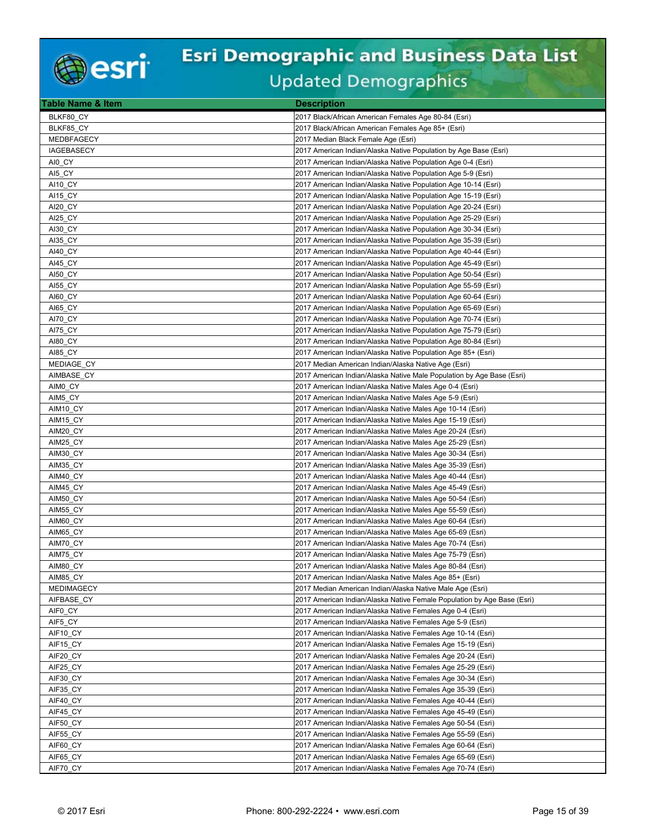

| <b>Table Name &amp; Item</b> | <b>Description</b>                                                                                                         |
|------------------------------|----------------------------------------------------------------------------------------------------------------------------|
| BLKF80 CY                    | 2017 Black/African American Females Age 80-84 (Esri)                                                                       |
| BLKF85_CY                    | 2017 Black/African American Females Age 85+ (Esri)                                                                         |
| MEDBFAGECY                   | 2017 Median Black Female Age (Esri)                                                                                        |
| <b>IAGEBASECY</b>            | 2017 American Indian/Alaska Native Population by Age Base (Esri)                                                           |
| AI0 CY                       | 2017 American Indian/Alaska Native Population Age 0-4 (Esri)                                                               |
| AI5 CY                       | 2017 American Indian/Alaska Native Population Age 5-9 (Esri)                                                               |
| AI10 CY                      | 2017 American Indian/Alaska Native Population Age 10-14 (Esri)                                                             |
| AI15 CY                      | 2017 American Indian/Alaska Native Population Age 15-19 (Esri)                                                             |
| AI20_CY                      | 2017 American Indian/Alaska Native Population Age 20-24 (Esri)                                                             |
| AI25 CY                      | 2017 American Indian/Alaska Native Population Age 25-29 (Esri)                                                             |
| AI30_CY                      | 2017 American Indian/Alaska Native Population Age 30-34 (Esri)                                                             |
| AI35 CY                      | 2017 American Indian/Alaska Native Population Age 35-39 (Esri)                                                             |
| AI40 CY                      | 2017 American Indian/Alaska Native Population Age 40-44 (Esri)                                                             |
| AI45_CY                      | 2017 American Indian/Alaska Native Population Age 45-49 (Esri)                                                             |
| AI50 CY                      | 2017 American Indian/Alaska Native Population Age 50-54 (Esri)                                                             |
| AI55 CY                      | 2017 American Indian/Alaska Native Population Age 55-59 (Esri)                                                             |
| AI60_CY                      | 2017 American Indian/Alaska Native Population Age 60-64 (Esri)                                                             |
| AI65 CY                      | 2017 American Indian/Alaska Native Population Age 65-69 (Esri)                                                             |
| AI70 CY                      | 2017 American Indian/Alaska Native Population Age 70-74 (Esri)                                                             |
| AI75 CY                      | 2017 American Indian/Alaska Native Population Age 75-79 (Esri)                                                             |
| AI80_CY                      | 2017 American Indian/Alaska Native Population Age 80-84 (Esri)                                                             |
| <b>AI85 CY</b>               | 2017 American Indian/Alaska Native Population Age 85+ (Esri)                                                               |
| MEDIAGE_CY                   | 2017 Median American Indian/Alaska Native Age (Esri)                                                                       |
| AIMBASE_CY                   | 2017 American Indian/Alaska Native Male Population by Age Base (Esri)                                                      |
| AIMO CY                      | 2017 American Indian/Alaska Native Males Age 0-4 (Esri)                                                                    |
| AIM5_CY                      | 2017 American Indian/Alaska Native Males Age 5-9 (Esri)                                                                    |
| AIM10_CY                     | 2017 American Indian/Alaska Native Males Age 10-14 (Esri)                                                                  |
| AIM15_CY                     | 2017 American Indian/Alaska Native Males Age 15-19 (Esri)                                                                  |
| AIM20 CY                     | 2017 American Indian/Alaska Native Males Age 20-24 (Esri)                                                                  |
| AIM25_CY                     | 2017 American Indian/Alaska Native Males Age 25-29 (Esri)                                                                  |
| AIM30 CY                     | 2017 American Indian/Alaska Native Males Age 30-34 (Esri)                                                                  |
| AIM35_CY                     | 2017 American Indian/Alaska Native Males Age 35-39 (Esri)                                                                  |
| AIM40 CY                     | 2017 American Indian/Alaska Native Males Age 40-44 (Esri)                                                                  |
| AIM45 CY                     | 2017 American Indian/Alaska Native Males Age 45-49 (Esri)                                                                  |
| AIM50_CY                     | 2017 American Indian/Alaska Native Males Age 50-54 (Esri)                                                                  |
| AIM55_CY                     | 2017 American Indian/Alaska Native Males Age 55-59 (Esri)                                                                  |
| AIM60 CY                     | 2017 American Indian/Alaska Native Males Age 60-64 (Esri)                                                                  |
| AIM65_CY                     | 2017 American Indian/Alaska Native Males Age 65-69 (Esri)                                                                  |
| AIM70 CY                     | 2017 American Indian/Alaska Native Males Age 70-74 (Esri)                                                                  |
| AIM75 CY                     | 2017 American Indian/Alaska Native Males Age 75-79 (Esri)                                                                  |
| AIM80_CY                     | 2017 American Indian/Alaska Native Males Age 80-84 (Esri)                                                                  |
| AIM85_CY                     | 2017 American Indian/Alaska Native Males Age 85+ (Esri)                                                                    |
| <b>MEDIMAGECY</b>            | 2017 Median American Indian/Alaska Native Male Age (Esri)                                                                  |
| AIFBASE_CY                   | 2017 American Indian/Alaska Native Female Population by Age Base (Esri)                                                    |
| AIF0 CY                      | 2017 American Indian/Alaska Native Females Age 0-4 (Esri)                                                                  |
| AIF5_CY                      | 2017 American Indian/Alaska Native Females Age 5-9 (Esri)                                                                  |
| AIF10 CY                     | 2017 American Indian/Alaska Native Females Age 10-14 (Esri)                                                                |
| AIF15_CY                     | 2017 American Indian/Alaska Native Females Age 15-19 (Esri)                                                                |
| AIF20_CY                     | 2017 American Indian/Alaska Native Females Age 20-24 (Esri)                                                                |
| AIF25_CY                     | 2017 American Indian/Alaska Native Females Age 25-29 (Esri)                                                                |
| AIF30 CY                     | 2017 American Indian/Alaska Native Females Age 30-34 (Esri)                                                                |
| AIF35_CY                     | 2017 American Indian/Alaska Native Females Age 35-39 (Esri)                                                                |
| AIF40 CY                     | 2017 American Indian/Alaska Native Females Age 40-44 (Esri)                                                                |
| AIF45_CY<br>AIF50_CY         | 2017 American Indian/Alaska Native Females Age 45-49 (Esri)                                                                |
| AIF55 CY                     | 2017 American Indian/Alaska Native Females Age 50-54 (Esri)<br>2017 American Indian/Alaska Native Females Age 55-59 (Esri) |
| AIF60_CY                     | 2017 American Indian/Alaska Native Females Age 60-64 (Esri)                                                                |
| AIF65_CY                     | 2017 American Indian/Alaska Native Females Age 65-69 (Esri)                                                                |
| AIF70 CY                     | 2017 American Indian/Alaska Native Females Age 70-74 (Esri)                                                                |
|                              |                                                                                                                            |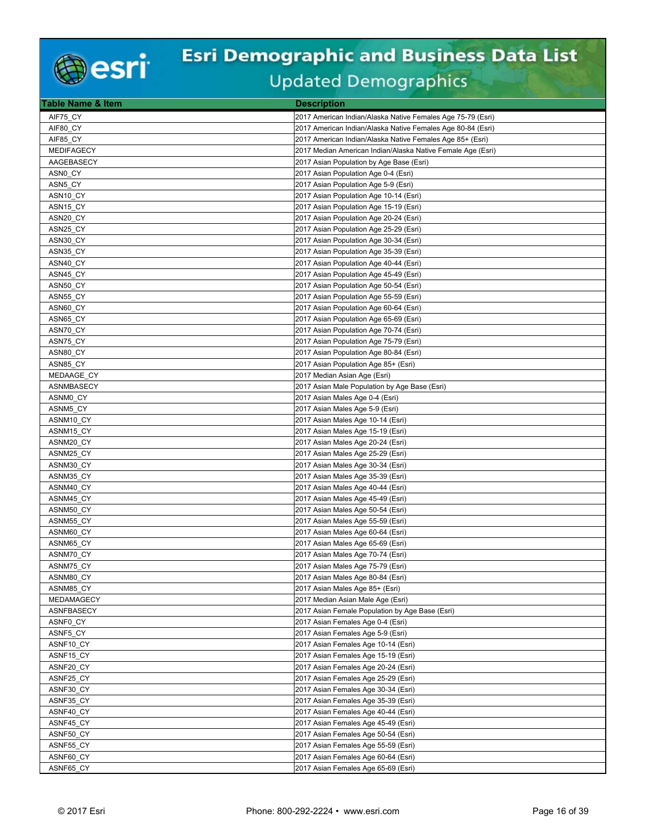

| <b>Table Name &amp; Item</b> | <b>Description</b>                                          |
|------------------------------|-------------------------------------------------------------|
| AIF75 CY                     | 2017 American Indian/Alaska Native Females Age 75-79 (Esri) |
| AIF80 CY                     | 2017 American Indian/Alaska Native Females Age 80-84 (Esri) |
| AIF85 CY                     | 2017 American Indian/Alaska Native Females Age 85+ (Esri)   |
| <b>MEDIFAGECY</b>            | 2017 Median American Indian/Alaska Native Female Age (Esri) |
| AAGEBASECY                   | 2017 Asian Population by Age Base (Esri)                    |
| ASN0 CY                      | 2017 Asian Population Age 0-4 (Esri)                        |
| ASN5 CY                      | 2017 Asian Population Age 5-9 (Esri)                        |
| ASN10 CY                     | 2017 Asian Population Age 10-14 (Esri)                      |
| ASN15_CY                     | 2017 Asian Population Age 15-19 (Esri)                      |
| ASN20_CY                     | 2017 Asian Population Age 20-24 (Esri)                      |
| ASN25_CY                     | 2017 Asian Population Age 25-29 (Esri)                      |
| ASN30 CY                     | 2017 Asian Population Age 30-34 (Esri)                      |
| ASN35_CY                     | 2017 Asian Population Age 35-39 (Esri)                      |
| ASN40_CY                     | 2017 Asian Population Age 40-44 (Esri)                      |
| ASN45_CY                     | 2017 Asian Population Age 45-49 (Esri)                      |
| ASN50 CY                     | 2017 Asian Population Age 50-54 (Esri)                      |
| ASN55_CY                     | 2017 Asian Population Age 55-59 (Esri)                      |
| ASN60_CY                     | 2017 Asian Population Age 60-64 (Esri)                      |
| ASN65 CY                     | 2017 Asian Population Age 65-69 (Esri)                      |
| ASN70 CY                     | 2017 Asian Population Age 70-74 (Esri)                      |
| ASN75_CY                     | 2017 Asian Population Age 75-79 (Esri)                      |
| ASN80_CY                     | 2017 Asian Population Age 80-84 (Esri)                      |
| ASN85_CY                     | 2017 Asian Population Age 85+ (Esri)                        |
| MEDAAGE_CY                   | 2017 Median Asian Age (Esri)                                |
| <b>ASNMBASECY</b>            | 2017 Asian Male Population by Age Base (Esri)               |
| ASNM0 CY                     | 2017 Asian Males Age 0-4 (Esri)                             |
| ASNM5_CY                     | 2017 Asian Males Age 5-9 (Esri)                             |
| ASNM10 CY                    | 2017 Asian Males Age 10-14 (Esri)                           |
| ASNM15_CY                    | 2017 Asian Males Age 15-19 (Esri)                           |
| ASNM20_CY                    | 2017 Asian Males Age 20-24 (Esri)                           |
| ASNM25_CY                    | 2017 Asian Males Age 25-29 (Esri)                           |
| ASNM30 CY                    | 2017 Asian Males Age 30-34 (Esri)                           |
| ASNM35 CY                    | 2017 Asian Males Age 35-39 (Esri)                           |
| ASNM40 CY                    | 2017 Asian Males Age 40-44 (Esri)                           |
| ASNM45_CY                    | 2017 Asian Males Age 45-49 (Esri)                           |
| ASNM50_CY                    | 2017 Asian Males Age 50-54 (Esri)                           |
| ASNM55 CY                    | 2017 Asian Males Age 55-59 (Esri)                           |
| ASNM60_CY                    | 2017 Asian Males Age 60-64 (Esri)                           |
| ASNM65_CY                    | 2017 Asian Males Age 65-69 (Esri)                           |
| ASNM70_CY                    | 2017 Asian Males Age 70-74 (Esri)                           |
| ASNM75_CY                    | 2017 Asian Males Age 75-79 (Esri)                           |
| ASNM80_CY                    | 2017 Asian Males Age 80-84 (Esri)                           |
| ASNM85 CY                    | 2017 Asian Males Age 85+ (Esri)                             |
| MEDAMAGECY                   | 2017 Median Asian Male Age (Esri)                           |
| ASNFBASECY                   | 2017 Asian Female Population by Age Base (Esri)             |
| ASNF0_CY                     | 2017 Asian Females Age 0-4 (Esri)                           |
| ASNF5_CY                     | 2017 Asian Females Age 5-9 (Esri)                           |
| ASNF10_CY                    | 2017 Asian Females Age 10-14 (Esri)                         |
| ASNF15_CY                    | 2017 Asian Females Age 15-19 (Esri)                         |
| ASNF20_CY                    | 2017 Asian Females Age 20-24 (Esri)                         |
| ASNF25 CY                    | 2017 Asian Females Age 25-29 (Esri)                         |
| ASNF30_CY                    | 2017 Asian Females Age 30-34 (Esri)                         |
| ASNF35 CY                    | 2017 Asian Females Age 35-39 (Esri)                         |
| ASNF40_CY                    | 2017 Asian Females Age 40-44 (Esri)                         |
| ASNF45 CY                    | 2017 Asian Females Age 45-49 (Esri)                         |
| ASNF50 CY                    | 2017 Asian Females Age 50-54 (Esri)                         |
| ASNF55 CY                    | 2017 Asian Females Age 55-59 (Esri)                         |
| ASNF60_CY                    | 2017 Asian Females Age 60-64 (Esri)                         |
| ASNF65 CY                    | 2017 Asian Females Age 65-69 (Esri)                         |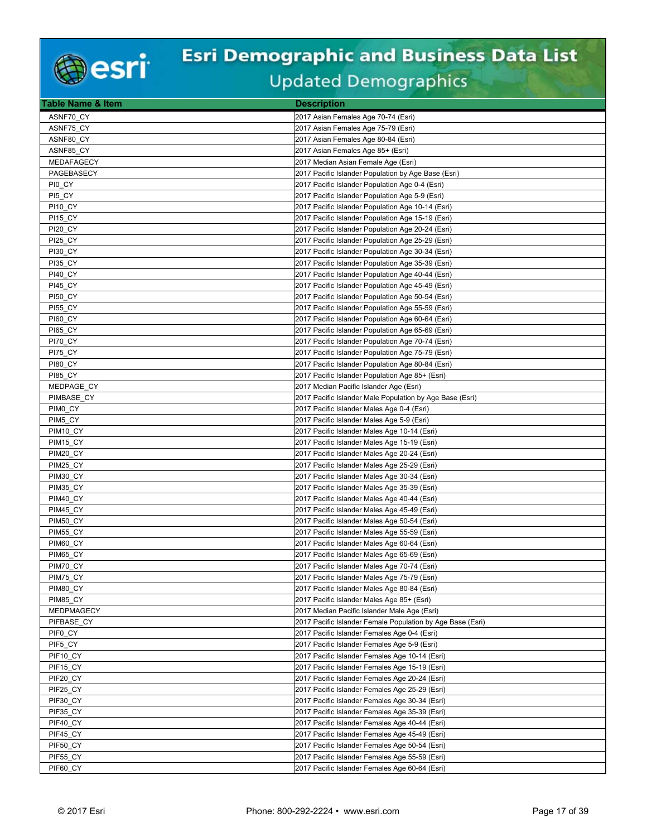

| <b>Table Name &amp; Item</b> | <b>Description</b>                                         |
|------------------------------|------------------------------------------------------------|
| ASNF70 CY                    | 2017 Asian Females Age 70-74 (Esri)                        |
| ASNF75_CY                    | 2017 Asian Females Age 75-79 (Esri)                        |
| ASNF80 CY                    | 2017 Asian Females Age 80-84 (Esri)                        |
| ASNF85 CY                    | 2017 Asian Females Age 85+ (Esri)                          |
| MEDAFAGECY                   | 2017 Median Asian Female Age (Esri)                        |
| PAGEBASECY                   | 2017 Pacific Islander Population by Age Base (Esri)        |
| PI0_CY                       | 2017 Pacific Islander Population Age 0-4 (Esri)            |
| PI5 CY                       | 2017 Pacific Islander Population Age 5-9 (Esri)            |
| PI10 CY                      | 2017 Pacific Islander Population Age 10-14 (Esri)          |
| <b>PI15 CY</b>               | 2017 Pacific Islander Population Age 15-19 (Esri)          |
| <b>PI20_CY</b>               | 2017 Pacific Islander Population Age 20-24 (Esri)          |
| PI25 CY                      | 2017 Pacific Islander Population Age 25-29 (Esri)          |
| PI30 CY                      | 2017 Pacific Islander Population Age 30-34 (Esri)          |
| <b>PI35_CY</b>               | 2017 Pacific Islander Population Age 35-39 (Esri)          |
| PI40 CY                      | 2017 Pacific Islander Population Age 40-44 (Esri)          |
| PI45 CY                      | 2017 Pacific Islander Population Age 45-49 (Esri)          |
| <b>PI50 CY</b>               | 2017 Pacific Islander Population Age 50-54 (Esri)          |
| <b>PI55 CY</b>               | 2017 Pacific Islander Population Age 55-59 (Esri)          |
| <b>PI60_CY</b>               | 2017 Pacific Islander Population Age 60-64 (Esri)          |
| PI65_CY                      | 2017 Pacific Islander Population Age 65-69 (Esri)          |
| PI70 CY                      | 2017 Pacific Islander Population Age 70-74 (Esri)          |
| PI75 CY                      | 2017 Pacific Islander Population Age 75-79 (Esri)          |
| <b>PI80 CY</b>               | 2017 Pacific Islander Population Age 80-84 (Esri)          |
| <b>PI85_CY</b>               | 2017 Pacific Islander Population Age 85+ (Esri)            |
| MEDPAGE CY                   | 2017 Median Pacific Islander Age (Esri)                    |
| PIMBASE CY                   | 2017 Pacific Islander Male Population by Age Base (Esri)   |
| PIMO_CY                      | 2017 Pacific Islander Males Age 0-4 (Esri)                 |
| PIM5 CY                      | 2017 Pacific Islander Males Age 5-9 (Esri)                 |
| PIM <sub>10</sub> CY         | 2017 Pacific Islander Males Age 10-14 (Esri)               |
| PIM15 CY                     | 2017 Pacific Islander Males Age 15-19 (Esri)               |
| PIM20 CY                     | 2017 Pacific Islander Males Age 20-24 (Esri)               |
| PIM25 CY                     | 2017 Pacific Islander Males Age 25-29 (Esri)               |
| PIM30_CY                     | 2017 Pacific Islander Males Age 30-34 (Esri)               |
| PIM35_CY                     | 2017 Pacific Islander Males Age 35-39 (Esri)               |
| PIM40 CY                     | 2017 Pacific Islander Males Age 40-44 (Esri)               |
| PIM45 CY                     | 2017 Pacific Islander Males Age 45-49 (Esri)               |
| PIM50_CY                     | 2017 Pacific Islander Males Age 50-54 (Esri)               |
| PIM55 CY                     | 2017 Pacific Islander Males Age 55-59 (Esri)               |
| PIM60_CY                     | 2017 Pacific Islander Males Age 60-64 (Esri)               |
| PIM65 CY                     | 2017 Pacific Islander Males Age 65-69 (Esri)               |
| PIM70 CY                     | 2017 Pacific Islander Males Age 70-74 (Esri)               |
| PIM75_CY                     | 2017 Pacific Islander Males Age 75-79 (Esri)               |
| PIM80 CY                     | 2017 Pacific Islander Males Age 80-84 (Esri)               |
| PIM85_CY                     | 2017 Pacific Islander Males Age 85+ (Esri)                 |
| <b>MEDPMAGECY</b>            | 2017 Median Pacific Islander Male Age (Esri)               |
| PIFBASE_CY                   | 2017 Pacific Islander Female Population by Age Base (Esri) |
| PIF0 CY                      | 2017 Pacific Islander Females Age 0-4 (Esri)               |
| PIF5_CY                      | 2017 Pacific Islander Females Age 5-9 (Esri)               |
| PIF10_CY                     | 2017 Pacific Islander Females Age 10-14 (Esri)             |
| PIF15_CY                     | 2017 Pacific Islander Females Age 15-19 (Esri)             |
| PIF20_CY                     | 2017 Pacific Islander Females Age 20-24 (Esri)             |
| PIF25_CY                     | 2017 Pacific Islander Females Age 25-29 (Esri)             |
| PIF30_CY                     | 2017 Pacific Islander Females Age 30-34 (Esri)             |
| PIF35_CY                     | 2017 Pacific Islander Females Age 35-39 (Esri)             |
| PIF40_CY                     | 2017 Pacific Islander Females Age 40-44 (Esri)             |
| PIF45 CY                     | 2017 Pacific Islander Females Age 45-49 (Esri)             |
| PIF50 CY                     | 2017 Pacific Islander Females Age 50-54 (Esri)             |
| PIF55_CY                     | 2017 Pacific Islander Females Age 55-59 (Esri)             |
| PIF60_CY                     | 2017 Pacific Islander Females Age 60-64 (Esri)             |
|                              |                                                            |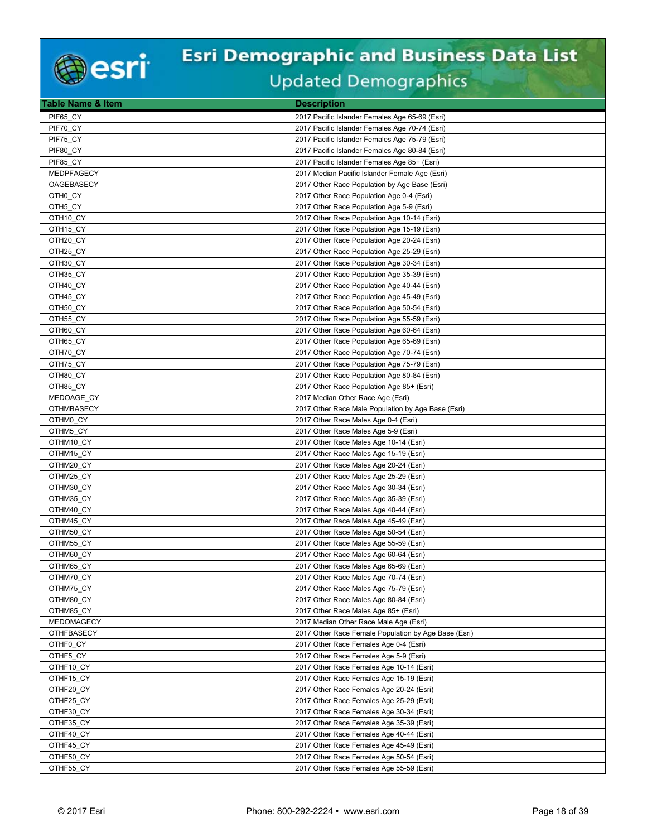

| <b>Table Name &amp; Item</b> | <b>Description</b>                                   |
|------------------------------|------------------------------------------------------|
| PIF65 CY                     | 2017 Pacific Islander Females Age 65-69 (Esri)       |
| PIF70 CY                     | 2017 Pacific Islander Females Age 70-74 (Esri)       |
| PIF75_CY                     | 2017 Pacific Islander Females Age 75-79 (Esri)       |
| PIF80 CY                     | 2017 Pacific Islander Females Age 80-84 (Esri)       |
| PIF85 CY                     | 2017 Pacific Islander Females Age 85+ (Esri)         |
| MEDPFAGECY                   | 2017 Median Pacific Islander Female Age (Esri)       |
| OAGEBASECY                   | 2017 Other Race Population by Age Base (Esri)        |
| OTH0 CY                      | 2017 Other Race Population Age 0-4 (Esri)            |
| OTH5 CY                      | 2017 Other Race Population Age 5-9 (Esri)            |
| OTH <sub>10_CY</sub>         | 2017 Other Race Population Age 10-14 (Esri)          |
| OTH <sub>15_CY</sub>         | 2017 Other Race Population Age 15-19 (Esri)          |
| OTH20 CY                     | 2017 Other Race Population Age 20-24 (Esri)          |
| OTH25 CY                     | 2017 Other Race Population Age 25-29 (Esri)          |
| OTH30_CY                     | 2017 Other Race Population Age 30-34 (Esri)          |
| OTH35 CY                     | 2017 Other Race Population Age 35-39 (Esri)          |
| OTH40 CY                     | 2017 Other Race Population Age 40-44 (Esri)          |
| OTH45 CY                     | 2017 Other Race Population Age 45-49 (Esri)          |
| OTH50 CY                     | 2017 Other Race Population Age 50-54 (Esri)          |
| OTH55 CY                     | 2017 Other Race Population Age 55-59 (Esri)          |
| OTH60_CY                     | 2017 Other Race Population Age 60-64 (Esri)          |
| OTH65 CY                     | 2017 Other Race Population Age 65-69 (Esri)          |
| OTH70 CY                     | 2017 Other Race Population Age 70-74 (Esri)          |
| OTH75_CY                     | 2017 Other Race Population Age 75-79 (Esri)          |
| OTH80_CY                     | 2017 Other Race Population Age 80-84 (Esri)          |
| OTH85 CY                     | 2017 Other Race Population Age 85+ (Esri)            |
| MEDOAGE_CY                   | 2017 Median Other Race Age (Esri)                    |
| <b>OTHMBASECY</b>            | 2017 Other Race Male Population by Age Base (Esri)   |
| OTHM0 CY                     | 2017 Other Race Males Age 0-4 (Esri)                 |
| OTHM5_CY                     | 2017 Other Race Males Age 5-9 (Esri)                 |
| OTHM10 CY                    | 2017 Other Race Males Age 10-14 (Esri)               |
| OTHM15 CY                    | 2017 Other Race Males Age 15-19 (Esri)               |
| OTHM20_CY                    | 2017 Other Race Males Age 20-24 (Esri)               |
| OTHM25_CY                    | 2017 Other Race Males Age 25-29 (Esri)               |
| OTHM30_CY                    | 2017 Other Race Males Age 30-34 (Esri)               |
| OTHM35 CY                    | 2017 Other Race Males Age 35-39 (Esri)               |
| OTHM40_CY                    | 2017 Other Race Males Age 40-44 (Esri)               |
| OTHM45 CY                    | 2017 Other Race Males Age 45-49 (Esri)               |
| OTHM50 CY                    | 2017 Other Race Males Age 50-54 (Esri)               |
| OTHM55_CY                    | 2017 Other Race Males Age 55-59 (Esri)               |
| OTHM60 CY                    | 2017 Other Race Males Age 60-64 (Esri)               |
| OTHM65 CY                    | 2017 Other Race Males Age 65-69 (Esri)               |
| OTHM70_CY                    | 2017 Other Race Males Age 70-74 (Esri)               |
| OTHM75_CY                    | 2017 Other Race Males Age 75-79 (Esri)               |
| OTHM80_CY                    | 2017 Other Race Males Age 80-84 (Esri)               |
| OTHM85_CY                    | 2017 Other Race Males Age 85+ (Esri)                 |
| MEDOMAGECY                   | 2017 Median Other Race Male Age (Esri)               |
| <b>OTHFBASECY</b>            | 2017 Other Race Female Population by Age Base (Esri) |
| OTHF0 CY                     | 2017 Other Race Females Age 0-4 (Esri)               |
| OTHF5_CY                     | 2017 Other Race Females Age 5-9 (Esri)               |
| OTHF10_CY                    | 2017 Other Race Females Age 10-14 (Esri)             |
| OTHF15_CY                    | 2017 Other Race Females Age 15-19 (Esri)             |
| OTHF20_CY                    | 2017 Other Race Females Age 20-24 (Esri)             |
| OTHF25_CY                    | 2017 Other Race Females Age 25-29 (Esri)             |
| OTHF30_CY                    | 2017 Other Race Females Age 30-34 (Esri)             |
| OTHF35_CY                    | 2017 Other Race Females Age 35-39 (Esri)             |
| OTHF40 CY                    | 2017 Other Race Females Age 40-44 (Esri)             |
| OTHF45 CY                    | 2017 Other Race Females Age 45-49 (Esri)             |
| OTHF50_CY                    | 2017 Other Race Females Age 50-54 (Esri)             |
| OTHF55_CY                    | 2017 Other Race Females Age 55-59 (Esri)             |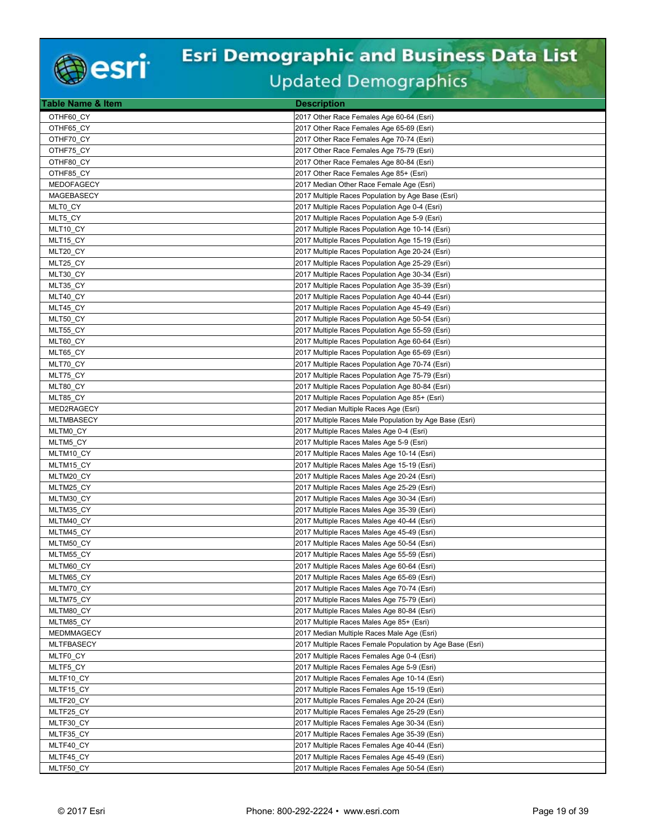

| <b>Table Name &amp; Item</b> | <b>Description</b>                                       |
|------------------------------|----------------------------------------------------------|
| OTHF60 CY                    | 2017 Other Race Females Age 60-64 (Esri)                 |
| OTHF65 CY                    | 2017 Other Race Females Age 65-69 (Esri)                 |
| OTHF70_CY                    | 2017 Other Race Females Age 70-74 (Esri)                 |
| OTHF75_CY                    | 2017 Other Race Females Age 75-79 (Esri)                 |
| OTHF80 CY                    | 2017 Other Race Females Age 80-84 (Esri)                 |
| OTHF85 CY                    | 2017 Other Race Females Age 85+ (Esri)                   |
| <b>MEDOFAGECY</b>            | 2017 Median Other Race Female Age (Esri)                 |
| MAGEBASECY                   | 2017 Multiple Races Population by Age Base (Esri)        |
| MLT0 CY                      | 2017 Multiple Races Population Age 0-4 (Esri)            |
| MLT5_CY                      | 2017 Multiple Races Population Age 5-9 (Esri)            |
| MLT10 CY                     | 2017 Multiple Races Population Age 10-14 (Esri)          |
| MLT15 CY                     | 2017 Multiple Races Population Age 15-19 (Esri)          |
| MLT20 CY                     | 2017 Multiple Races Population Age 20-24 (Esri)          |
| MLT25_CY                     | 2017 Multiple Races Population Age 25-29 (Esri)          |
| MLT30_CY                     | 2017 Multiple Races Population Age 30-34 (Esri)          |
| MLT35_CY                     | 2017 Multiple Races Population Age 35-39 (Esri)          |
| MLT40 CY                     | 2017 Multiple Races Population Age 40-44 (Esri)          |
| MLT45_CY                     | 2017 Multiple Races Population Age 45-49 (Esri)          |
| MLT50_CY                     | 2017 Multiple Races Population Age 50-54 (Esri)          |
| MLT55_CY                     | 2017 Multiple Races Population Age 55-59 (Esri)          |
| MLT60_CY                     | 2017 Multiple Races Population Age 60-64 (Esri)          |
| MLT65 CY                     | 2017 Multiple Races Population Age 65-69 (Esri)          |
| MLT70_CY                     | 2017 Multiple Races Population Age 70-74 (Esri)          |
| MLT75_CY                     | 2017 Multiple Races Population Age 75-79 (Esri)          |
| MLT80 CY                     | 2017 Multiple Races Population Age 80-84 (Esri)          |
| MLT85_CY                     | 2017 Multiple Races Population Age 85+ (Esri)            |
| MED2RAGECY                   | 2017 Median Multiple Races Age (Esri)                    |
| <b>MLTMBASECY</b>            | 2017 Multiple Races Male Population by Age Base (Esri)   |
| MLTM0 CY                     | 2017 Multiple Races Males Age 0-4 (Esri)                 |
| MLTM5 CY                     | 2017 Multiple Races Males Age 5-9 (Esri)                 |
| MLTM10_CY                    | 2017 Multiple Races Males Age 10-14 (Esri)               |
| MLTM15_CY                    | 2017 Multiple Races Males Age 15-19 (Esri)               |
| MLTM20_CY                    | 2017 Multiple Races Males Age 20-24 (Esri)               |
| MLTM25 CY                    | 2017 Multiple Races Males Age 25-29 (Esri)               |
| MLTM30 CY                    | 2017 Multiple Races Males Age 30-34 (Esri)               |
| MLTM35 CY                    | 2017 Multiple Races Males Age 35-39 (Esri)               |
| MLTM40 CY                    | 2017 Multiple Races Males Age 40-44 (Esri)               |
| MLTM45_CY                    | 2017 Multiple Races Males Age 45-49 (Esri)               |
| MLTM50 CY                    | 2017 Multiple Races Males Age 50-54 (Esri)               |
| MLTM55 CY                    | 2017 Multiple Races Males Age 55-59 (Esri)               |
| MLTM60 CY                    | 2017 Multiple Races Males Age 60-64 (Esri)               |
| MLTM65_CY                    | 2017 Multiple Races Males Age 65-69 (Esri)               |
| MLTM70_CY                    | 2017 Multiple Races Males Age 70-74 (Esri)               |
| MLTM75_CY                    | 2017 Multiple Races Males Age 75-79 (Esri)               |
| MLTM80_CY                    | 2017 Multiple Races Males Age 80-84 (Esri)               |
| MLTM85_CY                    | 2017 Multiple Races Males Age 85+ (Esri)                 |
| MEDMMAGECY                   | 2017 Median Multiple Races Male Age (Esri)               |
| <b>MLTFBASECY</b>            | 2017 Multiple Races Female Population by Age Base (Esri) |
| MLTF0_CY                     | 2017 Multiple Races Females Age 0-4 (Esri)               |
| MLTF5_CY                     | 2017 Multiple Races Females Age 5-9 (Esri)               |
| MLTF10_CY                    | 2017 Multiple Races Females Age 10-14 (Esri)             |
| MLTF15_CY                    | 2017 Multiple Races Females Age 15-19 (Esri)             |
| MLTF20_CY                    | 2017 Multiple Races Females Age 20-24 (Esri)             |
| MLTF25_CY                    | 2017 Multiple Races Females Age 25-29 (Esri)             |
| MLTF30_CY                    | 2017 Multiple Races Females Age 30-34 (Esri)             |
| MLTF35_CY                    | 2017 Multiple Races Females Age 35-39 (Esri)             |
| MLTF40_CY                    | 2017 Multiple Races Females Age 40-44 (Esri)             |
| MLTF45_CY                    | 2017 Multiple Races Females Age 45-49 (Esri)             |
| MLTF50_CY                    | 2017 Multiple Races Females Age 50-54 (Esri)             |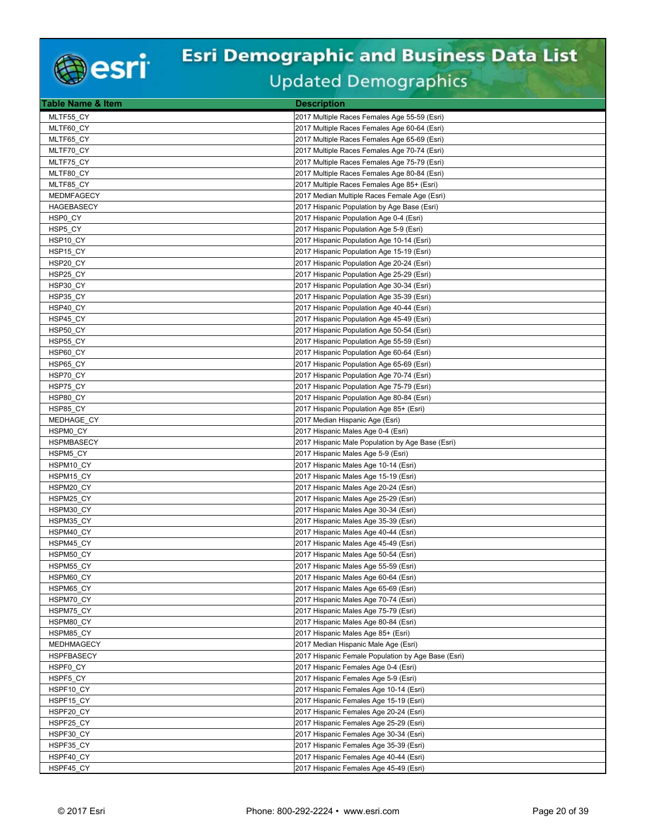

| Table Name & Item               | <b>Description</b>                                                           |
|---------------------------------|------------------------------------------------------------------------------|
| MLTF55 CY                       | 2017 Multiple Races Females Age 55-59 (Esri)                                 |
| MLTF60_CY                       | 2017 Multiple Races Females Age 60-64 (Esri)                                 |
| MLTF65_CY                       | 2017 Multiple Races Females Age 65-69 (Esri)                                 |
| MLTF70 CY                       | 2017 Multiple Races Females Age 70-74 (Esri)                                 |
| MLTF75_CY                       | 2017 Multiple Races Females Age 75-79 (Esri)                                 |
| MLTF80 CY                       | 2017 Multiple Races Females Age 80-84 (Esri)                                 |
| MLTF85 CY                       | 2017 Multiple Races Females Age 85+ (Esri)                                   |
| MEDMFAGECY                      | 2017 Median Multiple Races Female Age (Esri)                                 |
| <b>HAGEBASECY</b>               | 2017 Hispanic Population by Age Base (Esri)                                  |
| HSP0_CY                         | 2017 Hispanic Population Age 0-4 (Esri)                                      |
| HSP5_CY                         | 2017 Hispanic Population Age 5-9 (Esri)                                      |
| HSP10_CY                        | 2017 Hispanic Population Age 10-14 (Esri)                                    |
| HSP15 CY                        | 2017 Hispanic Population Age 15-19 (Esri)                                    |
| HSP20_CY                        | 2017 Hispanic Population Age 20-24 (Esri)                                    |
| HSP25 CY                        | 2017 Hispanic Population Age 25-29 (Esri)                                    |
| HSP30_CY                        | 2017 Hispanic Population Age 30-34 (Esri)                                    |
| HSP35_CY                        | 2017 Hispanic Population Age 35-39 (Esri)                                    |
| HSP40 CY                        | 2017 Hispanic Population Age 40-44 (Esri)                                    |
| HSP45 CY                        | 2017 Hispanic Population Age 45-49 (Esri)                                    |
| HSP50 CY                        | 2017 Hispanic Population Age 50-54 (Esri)                                    |
| HSP55 CY                        | 2017 Hispanic Population Age 55-59 (Esri)                                    |
| HSP60 CY                        | 2017 Hispanic Population Age 60-64 (Esri)                                    |
| HSP65_CY                        | 2017 Hispanic Population Age 65-69 (Esri)                                    |
| HSP70_CY                        | 2017 Hispanic Population Age 70-74 (Esri)                                    |
| HSP75 CY                        | 2017 Hispanic Population Age 75-79 (Esri)                                    |
| HSP80 CY                        | 2017 Hispanic Population Age 80-84 (Esri)                                    |
| HSP85_CY                        | 2017 Hispanic Population Age 85+ (Esri)                                      |
| MEDHAGE CY                      | 2017 Median Hispanic Age (Esri)                                              |
| HSPM0_CY                        | 2017 Hispanic Males Age 0-4 (Esri)                                           |
| <b>HSPMBASECY</b>               | 2017 Hispanic Male Population by Age Base (Esri)                             |
| HSPM5 CY                        | 2017 Hispanic Males Age 5-9 (Esri)                                           |
| HSPM <sub>10</sub> CY           | 2017 Hispanic Males Age 10-14 (Esri)                                         |
| HSPM15_CY                       | 2017 Hispanic Males Age 15-19 (Esri)                                         |
| HSPM20 CY                       | 2017 Hispanic Males Age 20-24 (Esri)                                         |
| HSPM25_CY                       | 2017 Hispanic Males Age 25-29 (Esri)                                         |
| HSPM30_CY                       | 2017 Hispanic Males Age 30-34 (Esri)                                         |
| HSPM35_CY                       | 2017 Hispanic Males Age 35-39 (Esri)                                         |
| HSPM40_CY                       | 2017 Hispanic Males Age 40-44 (Esri)                                         |
| HSPM45 CY                       | 2017 Hispanic Males Age 45-49 (Esri)                                         |
| HSPM50 CY                       | 2017 Hispanic Males Age 50-54 (Esri)                                         |
| HSPM55 CY                       | 2017 Hispanic Males Age 55-59 (Esri)                                         |
| HSPM60_CY                       | 2017 Hispanic Males Age 60-64 (Esri)                                         |
| HSPM65 CY                       | 2017 Hispanic Males Age 65-69 (Esri)                                         |
| HSPM70 CY                       | 2017 Hispanic Males Age 70-74 (Esri)                                         |
| HSPM75_CY                       | 2017 Hispanic Males Age 75-79 (Esri)                                         |
| HSPM80_CY<br>HSPM85_CY          | 2017 Hispanic Males Age 80-84 (Esri)                                         |
|                                 | 2017 Hispanic Males Age 85+ (Esri)                                           |
| MEDHMAGECY<br><b>HSPFBASECY</b> | 2017 Median Hispanic Male Age (Esri)                                         |
|                                 | 2017 Hispanic Female Population by Age Base (Esri)                           |
| HSPF0_CY<br>HSPF5 CY            | 2017 Hispanic Females Age 0-4 (Esri)<br>2017 Hispanic Females Age 5-9 (Esri) |
| HSPF10 CY                       |                                                                              |
|                                 | 2017 Hispanic Females Age 10-14 (Esri)                                       |
| HSPF15 CY                       | 2017 Hispanic Females Age 15-19 (Esri)                                       |
| HSPF20_CY<br>HSPF25_CY          | 2017 Hispanic Females Age 20-24 (Esri)                                       |
| HSPF30 CY                       | 2017 Hispanic Females Age 25-29 (Esri)                                       |
| HSPF35 CY                       | 2017 Hispanic Females Age 30-34 (Esri)                                       |
|                                 | 2017 Hispanic Females Age 35-39 (Esri)                                       |
| HSPF40_CY                       | 2017 Hispanic Females Age 40-44 (Esri)                                       |
| HSPF45_CY                       | 2017 Hispanic Females Age 45-49 (Esri)                                       |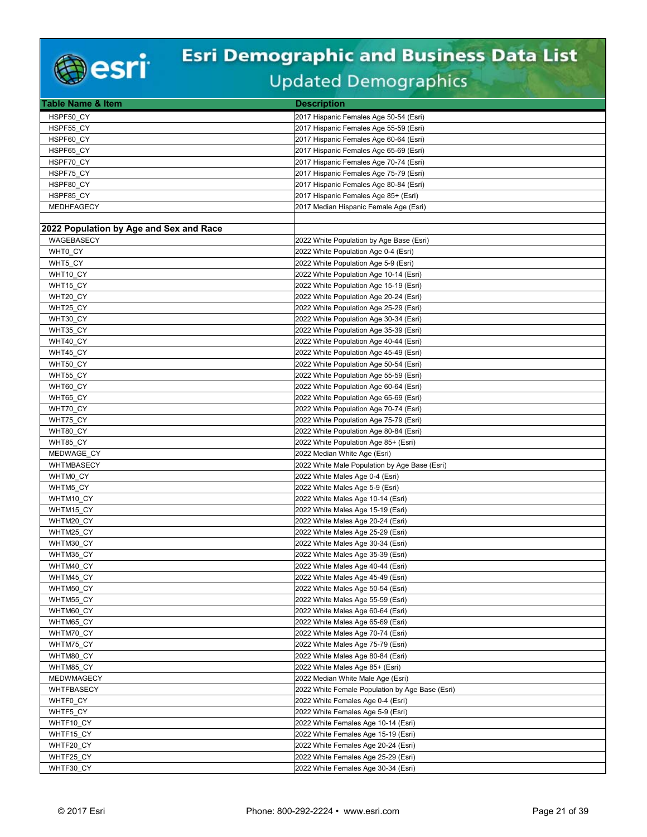

| <b>Table Name &amp; Item</b>            | <b>Description</b>                              |
|-----------------------------------------|-------------------------------------------------|
| HSPF50 CY                               | 2017 Hispanic Females Age 50-54 (Esri)          |
| HSPF55_CY                               | 2017 Hispanic Females Age 55-59 (Esri)          |
| HSPF60 CY                               | 2017 Hispanic Females Age 60-64 (Esri)          |
| HSPF65 CY                               | 2017 Hispanic Females Age 65-69 (Esri)          |
| HSPF70 CY                               | 2017 Hispanic Females Age 70-74 (Esri)          |
| HSPF75 CY                               | 2017 Hispanic Females Age 75-79 (Esri)          |
| HSPF80 CY                               | 2017 Hispanic Females Age 80-84 (Esri)          |
| HSPF85_CY                               | 2017 Hispanic Females Age 85+ (Esri)            |
| <b>MEDHFAGECY</b>                       | 2017 Median Hispanic Female Age (Esri)          |
|                                         |                                                 |
| 2022 Population by Age and Sex and Race |                                                 |
| WAGEBASECY                              | 2022 White Population by Age Base (Esri)        |
| WHT0 CY                                 | 2022 White Population Age 0-4 (Esri)            |
| WHT5_CY                                 | 2022 White Population Age 5-9 (Esri)            |
| WHT10_CY                                | 2022 White Population Age 10-14 (Esri)          |
| WHT15_CY                                | 2022 White Population Age 15-19 (Esri)          |
| WHT20_CY                                | 2022 White Population Age 20-24 (Esri)          |
| WHT25 CY                                | 2022 White Population Age 25-29 (Esri)          |
| WHT30 CY                                | 2022 White Population Age 30-34 (Esri)          |
| WHT35_CY                                | 2022 White Population Age 35-39 (Esri)          |
| WHT40_CY                                | 2022 White Population Age 40-44 (Esri)          |
| WHT45 CY                                | 2022 White Population Age 45-49 (Esri)          |
| WHT50_CY                                | 2022 White Population Age 50-54 (Esri)          |
| WHT55_CY                                | 2022 White Population Age 55-59 (Esri)          |
| WHT60 CY                                | 2022 White Population Age 60-64 (Esri)          |
| WHT65_CY                                | 2022 White Population Age 65-69 (Esri)          |
| WHT70_CY                                | 2022 White Population Age 70-74 (Esri)          |
| WHT75 CY                                | 2022 White Population Age 75-79 (Esri)          |
| WHT80_CY                                | 2022 White Population Age 80-84 (Esri)          |
| WHT85 CY                                | 2022 White Population Age 85+ (Esri)            |
| MEDWAGE CY                              | 2022 Median White Age (Esri)                    |
| WHTMBASECY                              | 2022 White Male Population by Age Base (Esri)   |
| WHTM0_CY                                | 2022 White Males Age 0-4 (Esri)                 |
| WHTM5_CY                                | 2022 White Males Age 5-9 (Esri)                 |
| WHTM10_CY                               | 2022 White Males Age 10-14 (Esri)               |
| WHTM15_CY                               | 2022 White Males Age 15-19 (Esri)               |
| WHTM20_CY                               | 2022 White Males Age 20-24 (Esri)               |
| WHTM25_CY                               | 2022 White Males Age 25-29 (Esri)               |
| WHTM30 CY                               | 2022 White Males Age 30-34 (Esri)               |
| WHTM35 CY                               | 2022 White Males Age 35-39 (Esri)               |
| WHTM40 CY                               | 2022 White Males Age 40-44 (Esri)               |
| WHTM45_CY                               | 2022 White Males Age 45-49 (Esri)               |
| WHTM50 CY                               | 2022 White Males Age 50-54 (Esri)               |
| WHTM55 CY                               | 2022 White Males Age 55-59 (Esri)               |
| WHTM60_CY                               | 2022 White Males Age 60-64 (Esri)               |
| WHTM65_CY                               | 2022 White Males Age 65-69 (Esri)               |
| WHTM70 CY                               | 2022 White Males Age 70-74 (Esri)               |
| WHTM75 CY                               | 2022 White Males Age 75-79 (Esri)               |
| WHTM80_CY                               | 2022 White Males Age 80-84 (Esri)               |
| WHTM85_CY                               | 2022 White Males Age 85+ (Esri)                 |
| MEDWMAGECY                              | 2022 Median White Male Age (Esri)               |
| WHTFBASECY                              | 2022 White Female Population by Age Base (Esri) |
| WHTF0 CY                                | 2022 White Females Age 0-4 (Esri)               |
| WHTF5_CY                                | 2022 White Females Age 5-9 (Esri)               |
| WHTF10_CY                               | 2022 White Females Age 10-14 (Esri)             |
| WHTF15_CY                               | 2022 White Females Age 15-19 (Esri)             |
| WHTF20 CY                               | 2022 White Females Age 20-24 (Esri)             |
| WHTF25_CY                               | 2022 White Females Age 25-29 (Esri)             |
| WHTF30_CY                               | 2022 White Females Age 30-34 (Esri)             |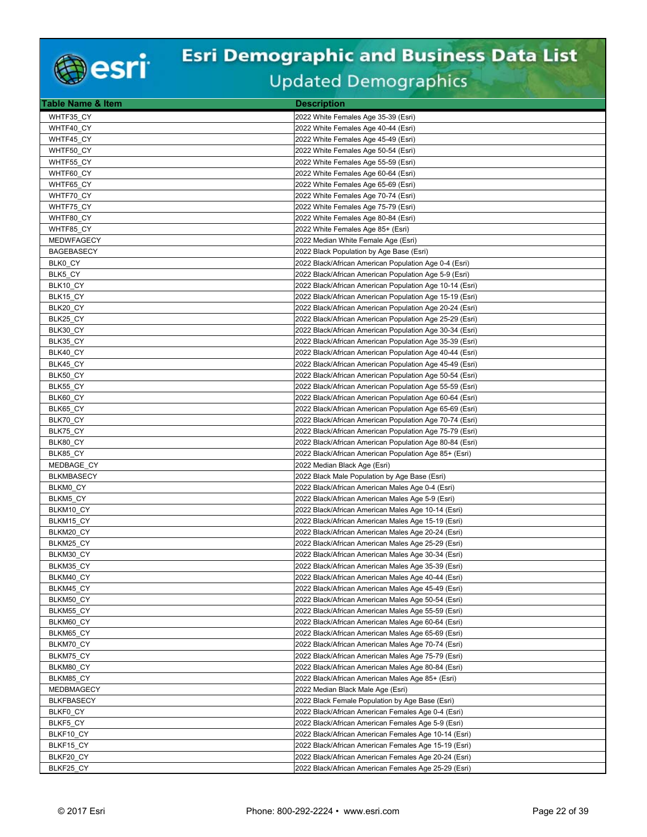

| Table Name & Item      | <b>Description</b>                                                                                       |
|------------------------|----------------------------------------------------------------------------------------------------------|
| WHTF35 CY              | 2022 White Females Age 35-39 (Esri)                                                                      |
| WHTF40_CY              | 2022 White Females Age 40-44 (Esri)                                                                      |
| WHTF45_CY              | 2022 White Females Age 45-49 (Esri)                                                                      |
| WHTF50 CY              | 2022 White Females Age 50-54 (Esri)                                                                      |
| WHTF55_CY              | 2022 White Females Age 55-59 (Esri)                                                                      |
| WHTF60_CY              | 2022 White Females Age 60-64 (Esri)                                                                      |
| WHTF65_CY              | 2022 White Females Age 65-69 (Esri)                                                                      |
| WHTF70_CY              | 2022 White Females Age 70-74 (Esri)                                                                      |
| WHTF75 CY              | 2022 White Females Age 75-79 (Esri)                                                                      |
| WHTF80_CY              | 2022 White Females Age 80-84 (Esri)                                                                      |
| WHTF85_CY              | 2022 White Females Age 85+ (Esri)                                                                        |
| <b>MEDWFAGECY</b>      | 2022 Median White Female Age (Esri)                                                                      |
| <b>BAGEBASECY</b>      | 2022 Black Population by Age Base (Esri)                                                                 |
| BLK0_CY                | 2022 Black/African American Population Age 0-4 (Esri)                                                    |
| BLK5 CY                | 2022 Black/African American Population Age 5-9 (Esri)                                                    |
| BLK10_CY               | 2022 Black/African American Population Age 10-14 (Esri)                                                  |
| BLK15_CY               | 2022 Black/African American Population Age 15-19 (Esri)                                                  |
| BLK20_CY               | 2022 Black/African American Population Age 20-24 (Esri)                                                  |
| BLK25 CY               | 2022 Black/African American Population Age 25-29 (Esri)                                                  |
| BLK30_CY               | 2022 Black/African American Population Age 30-34 (Esri)                                                  |
| BLK35_CY               | 2022 Black/African American Population Age 35-39 (Esri)                                                  |
| BLK40 CY               | 2022 Black/African American Population Age 40-44 (Esri)                                                  |
| BLK45_CY               | 2022 Black/African American Population Age 45-49 (Esri)                                                  |
| BLK50_CY               | 2022 Black/African American Population Age 50-54 (Esri)                                                  |
| BLK55 CY               | 2022 Black/African American Population Age 55-59 (Esri)                                                  |
| BLK60_CY               | 2022 Black/African American Population Age 60-64 (Esri)                                                  |
| BLK65_CY               | 2022 Black/African American Population Age 65-69 (Esri)                                                  |
| BLK70_CY               | 2022 Black/African American Population Age 70-74 (Esri)                                                  |
| BLK75_CY               | 2022 Black/African American Population Age 75-79 (Esri)                                                  |
| BLK80 CY               | 2022 Black/African American Population Age 80-84 (Esri)                                                  |
| BLK85 CY               | 2022 Black/African American Population Age 85+ (Esri)                                                    |
| MEDBAGE_CY             | 2022 Median Black Age (Esri)                                                                             |
| <b>BLKMBASECY</b>      | 2022 Black Male Population by Age Base (Esri)                                                            |
| BLKM0 CY               | 2022 Black/African American Males Age 0-4 (Esri)                                                         |
| BLKM5_CY               | 2022 Black/African American Males Age 5-9 (Esri)                                                         |
| BLKM10_CY              | 2022 Black/African American Males Age 10-14 (Esri)                                                       |
| BLKM15 CY<br>BLKM20 CY | 2022 Black/African American Males Age 15-19 (Esri)                                                       |
| BLKM25_CY              | 2022 Black/African American Males Age 20-24 (Esri)<br>2022 Black/African American Males Age 25-29 (Esri) |
| BLKM30 CY              | 2022 Black/African American Males Age 30-34 (Esri)                                                       |
| BLKM35 CY              | 2022 Black/African American Males Age 35-39 (Esri)                                                       |
| BLKM40_CY              | 2022 Black/African American Males Age 40-44 (Esri)                                                       |
| BLKM45 CY              | 2022 Black/African American Males Age 45-49 (Esri)                                                       |
| BLKM50 CY              | 2022 Black/African American Males Age 50-54 (Esri)                                                       |
| BLKM55 CY              | 2022 Black/African American Males Age 55-59 (Esri)                                                       |
| BLKM60_CY              | 2022 Black/African American Males Age 60-64 (Esri)                                                       |
| BLKM65 CY              | 2022 Black/African American Males Age 65-69 (Esri)                                                       |
| BLKM70 CY              | 2022 Black/African American Males Age 70-74 (Esri)                                                       |
| BLKM75 CY              | 2022 Black/African American Males Age 75-79 (Esri)                                                       |
| BLKM80_CY              | 2022 Black/African American Males Age 80-84 (Esri)                                                       |
| BLKM85 CY              | 2022 Black/African American Males Age 85+ (Esri)                                                         |
| MEDBMAGECY             | 2022 Median Black Male Age (Esri)                                                                        |
| <b>BLKFBASECY</b>      | 2022 Black Female Population by Age Base (Esri)                                                          |
| BLKF0 CY               | 2022 Black/African American Females Age 0-4 (Esri)                                                       |
| BLKF5_CY               | 2022 Black/African American Females Age 5-9 (Esri)                                                       |
| BLKF10_CY              | 2022 Black/African American Females Age 10-14 (Esri)                                                     |
| BLKF15_CY              | 2022 Black/African American Females Age 15-19 (Esri)                                                     |
| BLKF20_CY              | 2022 Black/African American Females Age 20-24 (Esri)                                                     |
| BLKF25_CY              | 2022 Black/African American Females Age 25-29 (Esri)                                                     |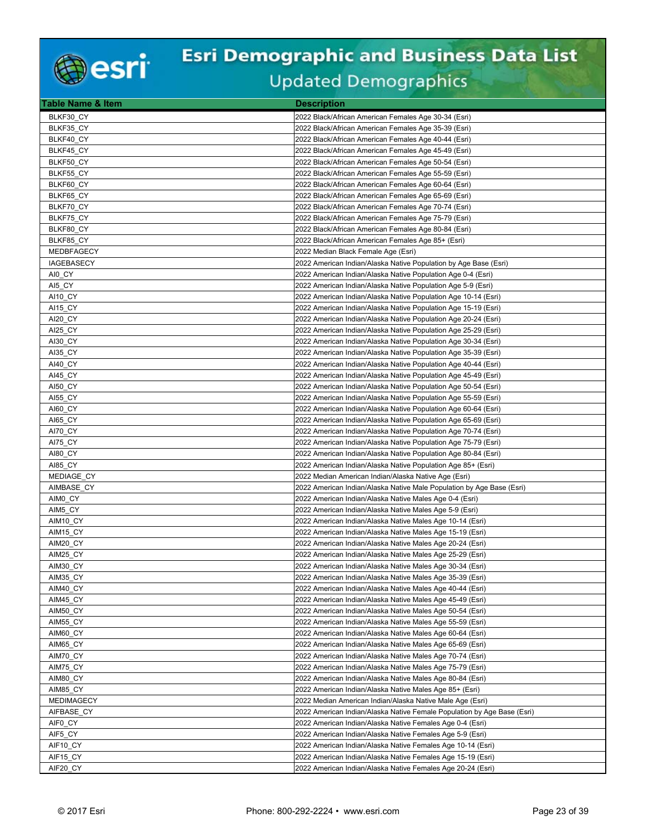

| <b>Table Name &amp; Item</b> | <b>Description</b>                                                      |
|------------------------------|-------------------------------------------------------------------------|
| BLKF30 CY                    | 2022 Black/African American Females Age 30-34 (Esri)                    |
| BLKF35 CY                    | 2022 Black/African American Females Age 35-39 (Esri)                    |
| BLKF40_CY                    | 2022 Black/African American Females Age 40-44 (Esri)                    |
| BLKF45 CY                    | 2022 Black/African American Females Age 45-49 (Esri)                    |
| BLKF50 CY                    | 2022 Black/African American Females Age 50-54 (Esri)                    |
| BLKF55 CY                    | 2022 Black/African American Females Age 55-59 (Esri)                    |
| BLKF60_CY                    | 2022 Black/African American Females Age 60-64 (Esri)                    |
| BLKF65_CY                    | 2022 Black/African American Females Age 65-69 (Esri)                    |
| BLKF70_CY                    | 2022 Black/African American Females Age 70-74 (Esri)                    |
| BLKF75_CY                    | 2022 Black/African American Females Age 75-79 (Esri)                    |
| BLKF80 CY                    | 2022 Black/African American Females Age 80-84 (Esri)                    |
| BLKF85 CY                    | 2022 Black/African American Females Age 85+ (Esri)                      |
| MEDBFAGECY                   | 2022 Median Black Female Age (Esri)                                     |
| <b>IAGEBASECY</b>            | 2022 American Indian/Alaska Native Population by Age Base (Esri)        |
| AI0 CY                       | 2022 American Indian/Alaska Native Population Age 0-4 (Esri)            |
| AI5_CY                       | 2022 American Indian/Alaska Native Population Age 5-9 (Esri)            |
| AI10 CY                      | 2022 American Indian/Alaska Native Population Age 10-14 (Esri)          |
| <b>AI15 CY</b>               | 2022 American Indian/Alaska Native Population Age 15-19 (Esri)          |
| AI20 CY                      | 2022 American Indian/Alaska Native Population Age 20-24 (Esri)          |
| AI25_CY                      | 2022 American Indian/Alaska Native Population Age 25-29 (Esri)          |
| AI30 CY                      | 2022 American Indian/Alaska Native Population Age 30-34 (Esri)          |
| AI35 CY                      | 2022 American Indian/Alaska Native Population Age 35-39 (Esri)          |
| AI40 CY                      | 2022 American Indian/Alaska Native Population Age 40-44 (Esri)          |
| AI45_CY                      | 2022 American Indian/Alaska Native Population Age 45-49 (Esri)          |
|                              | 2022 American Indian/Alaska Native Population Age 50-54 (Esri)          |
| <b>AI50 CY</b>               |                                                                         |
| <b>AI55 CY</b>               | 2022 American Indian/Alaska Native Population Age 55-59 (Esri)          |
| AI60 CY                      | 2022 American Indian/Alaska Native Population Age 60-64 (Esri)          |
| AI65 CY                      | 2022 American Indian/Alaska Native Population Age 65-69 (Esri)          |
| AI70_CY                      | 2022 American Indian/Alaska Native Population Age 70-74 (Esri)          |
| AI75 CY                      | 2022 American Indian/Alaska Native Population Age 75-79 (Esri)          |
| AI80_CY                      | 2022 American Indian/Alaska Native Population Age 80-84 (Esri)          |
| <b>AI85 CY</b>               | 2022 American Indian/Alaska Native Population Age 85+ (Esri)            |
| MEDIAGE_CY                   | 2022 Median American Indian/Alaska Native Age (Esri)                    |
| AIMBASE CY                   | 2022 American Indian/Alaska Native Male Population by Age Base (Esri)   |
| AIM0_CY                      | 2022 American Indian/Alaska Native Males Age 0-4 (Esri)                 |
| AIM5_CY                      | 2022 American Indian/Alaska Native Males Age 5-9 (Esri)                 |
| AIM <sub>10</sub> CY         | 2022 American Indian/Alaska Native Males Age 10-14 (Esri)               |
| AIM15 CY                     | 2022 American Indian/Alaska Native Males Age 15-19 (Esri)               |
| AIM20_CY                     | 2022 American Indian/Alaska Native Males Age 20-24 (Esri)               |
| AIM25 CY                     | 2022 American Indian/Alaska Native Males Age 25-29 (Esri)               |
| AIM30 CY                     | 2022 American Indian/Alaska Native Males Age 30-34 (Esri)               |
| AIM35_CY                     | 2022 American Indian/Alaska Native Males Age 35-39 (Esri)               |
| AIM40 CY                     | 2022 American Indian/Alaska Native Males Age 40-44 (Esri)               |
| AIM45 CY                     | 2022 American Indian/Alaska Native Males Age 45-49 (Esri)               |
| AIM50_CY                     | 2022 American Indian/Alaska Native Males Age 50-54 (Esri)               |
| AIM55_CY                     | 2022 American Indian/Alaska Native Males Age 55-59 (Esri)               |
| AIM60 CY                     | 2022 American Indian/Alaska Native Males Age 60-64 (Esri)               |
| AIM65_CY                     | 2022 American Indian/Alaska Native Males Age 65-69 (Esri)               |
| AIM70_CY                     | 2022 American Indian/Alaska Native Males Age 70-74 (Esri)               |
| AIM75_CY                     | 2022 American Indian/Alaska Native Males Age 75-79 (Esri)               |
| AIM80 CY                     | 2022 American Indian/Alaska Native Males Age 80-84 (Esri)               |
| AIM85_CY                     | 2022 American Indian/Alaska Native Males Age 85+ (Esri)                 |
| <b>MEDIMAGECY</b>            | 2022 Median American Indian/Alaska Native Male Age (Esri)               |
| AIFBASE CY                   | 2022 American Indian/Alaska Native Female Population by Age Base (Esri) |
| AIF0_CY                      | 2022 American Indian/Alaska Native Females Age 0-4 (Esri)               |
| AIF5 CY                      | 2022 American Indian/Alaska Native Females Age 5-9 (Esri)               |
| AIF10 CY                     | 2022 American Indian/Alaska Native Females Age 10-14 (Esri)             |
| AIF15_CY                     | 2022 American Indian/Alaska Native Females Age 15-19 (Esri)             |
| AIF20_CY                     | 2022 American Indian/Alaska Native Females Age 20-24 (Esri)             |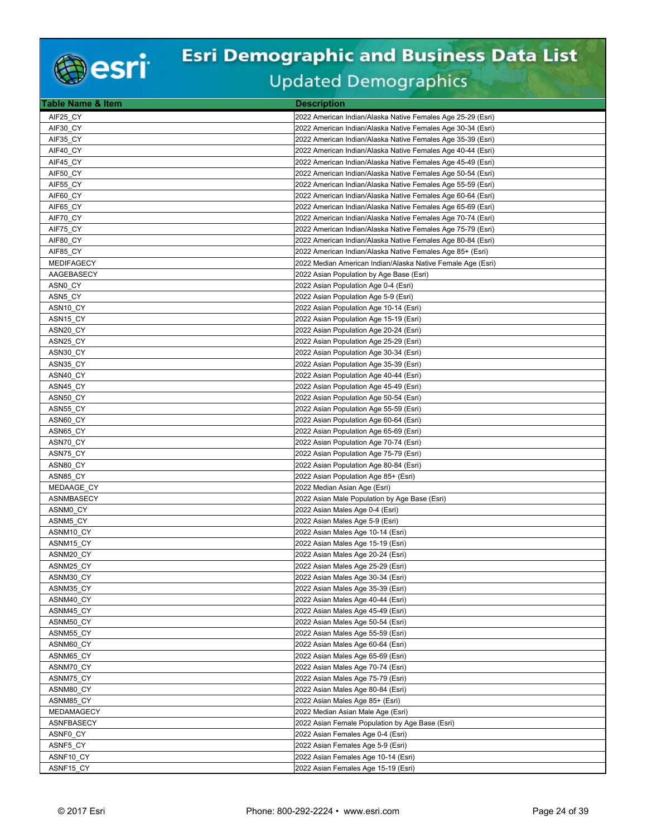

| <b>Table Name &amp; Item</b> | <b>Description</b>                                          |
|------------------------------|-------------------------------------------------------------|
| AIF25 CY                     | 2022 American Indian/Alaska Native Females Age 25-29 (Esri) |
| AIF30 CY                     | 2022 American Indian/Alaska Native Females Age 30-34 (Esri) |
| AIF35 CY                     | 2022 American Indian/Alaska Native Females Age 35-39 (Esri) |
| AIF40 CY                     | 2022 American Indian/Alaska Native Females Age 40-44 (Esri) |
| AIF45_CY                     | 2022 American Indian/Alaska Native Females Age 45-49 (Esri) |
| AIF50_CY                     | 2022 American Indian/Alaska Native Females Age 50-54 (Esri) |
| AIF55 CY                     | 2022 American Indian/Alaska Native Females Age 55-59 (Esri) |
| AIF60_CY                     | 2022 American Indian/Alaska Native Females Age 60-64 (Esri) |
|                              |                                                             |
| AIF65 CY                     | 2022 American Indian/Alaska Native Females Age 65-69 (Esri) |
| AIF70 CY                     | 2022 American Indian/Alaska Native Females Age 70-74 (Esri) |
| AIF75 CY                     | 2022 American Indian/Alaska Native Females Age 75-79 (Esri) |
| AIF80_CY                     | 2022 American Indian/Alaska Native Females Age 80-84 (Esri) |
| AIF85 CY                     | 2022 American Indian/Alaska Native Females Age 85+ (Esri)   |
| <b>MEDIFAGECY</b>            | 2022 Median American Indian/Alaska Native Female Age (Esri) |
| AAGEBASECY                   | 2022 Asian Population by Age Base (Esri)                    |
| ASN0 CY                      | 2022 Asian Population Age 0-4 (Esri)                        |
| ASN5_CY                      | 2022 Asian Population Age 5-9 (Esri)                        |
| ASN <sub>10_CY</sub>         | 2022 Asian Population Age 10-14 (Esri)                      |
| ASN <sub>15_CY</sub>         | 2022 Asian Population Age 15-19 (Esri)                      |
| ASN20 CY                     | 2022 Asian Population Age 20-24 (Esri)                      |
| ASN25_CY                     | 2022 Asian Population Age 25-29 (Esri)                      |
| ASN30 CY                     | 2022 Asian Population Age 30-34 (Esri)                      |
| ASN35_CY                     | 2022 Asian Population Age 35-39 (Esri)                      |
| ASN40 CY                     | 2022 Asian Population Age 40-44 (Esri)                      |
| ASN45 CY                     | 2022 Asian Population Age 45-49 (Esri)                      |
| ASN50_CY                     | 2022 Asian Population Age 50-54 (Esri)                      |
| ASN55 CY                     | 2022 Asian Population Age 55-59 (Esri)                      |
| ASN60 CY                     | 2022 Asian Population Age 60-64 (Esri)                      |
| ASN65 CY                     | 2022 Asian Population Age 65-69 (Esri)                      |
| ASN70_CY                     | 2022 Asian Population Age 70-74 (Esri)                      |
| ASN75 CY                     | 2022 Asian Population Age 75-79 (Esri)                      |
| ASN80_CY                     | 2022 Asian Population Age 80-84 (Esri)                      |
| ASN85_CY                     | 2022 Asian Population Age 85+ (Esri)                        |
| MEDAAGE CY                   | 2022 Median Asian Age (Esri)                                |
| ASNMBASECY                   | 2022 Asian Male Population by Age Base (Esri)               |
| ASNM0 CY                     | 2022 Asian Males Age 0-4 (Esri)                             |
| ASNM5 CY                     | 2022 Asian Males Age 5-9 (Esri)                             |
| ASNM10_CY                    | 2022 Asian Males Age 10-14 (Esri)                           |
| ASNM15_CY                    | 2022 Asian Males Age 15-19 (Esri)                           |
| ASNM20_CY                    | 2022 Asian Males Age 20-24 (Esri)                           |
| ASNM25 CY                    | 2022 Asian Males Age 25-29 (Esri)                           |
|                              |                                                             |
| ASNM30_CY                    | 2022 Asian Males Age 30-34 (Esri)                           |
| ASNM35 CY                    | 2022 Asian Males Age 35-39 (Esri)                           |
| ASNM40 CY                    | 2022 Asian Males Age 40-44 (Esri)                           |
| ASNM45_CY                    | 2022 Asian Males Age 45-49 (Esri)                           |
| ASNM50 CY                    | 2022 Asian Males Age 50-54 (Esri)                           |
| ASNM55 CY                    | 2022 Asian Males Age 55-59 (Esri)                           |
| ASNM60 CY                    | 2022 Asian Males Age 60-64 (Esri)                           |
| ASNM65_CY                    | 2022 Asian Males Age 65-69 (Esri)                           |
| ASNM70 CY                    | 2022 Asian Males Age 70-74 (Esri)                           |
| ASNM75_CY                    | 2022 Asian Males Age 75-79 (Esri)                           |
| ASNM80_CY                    | 2022 Asian Males Age 80-84 (Esri)                           |
| ASNM85_CY                    | 2022 Asian Males Age 85+ (Esri)                             |
| MEDAMAGECY                   | 2022 Median Asian Male Age (Esri)                           |
| ASNFBASECY                   | 2022 Asian Female Population by Age Base (Esri)             |
| ASNF0 CY                     | 2022 Asian Females Age 0-4 (Esri)                           |
| ASNF5_CY                     | 2022 Asian Females Age 5-9 (Esri)                           |
| ASNF10_CY                    | 2022 Asian Females Age 10-14 (Esri)                         |
| ASNF15 CY                    | 2022 Asian Females Age 15-19 (Esri)                         |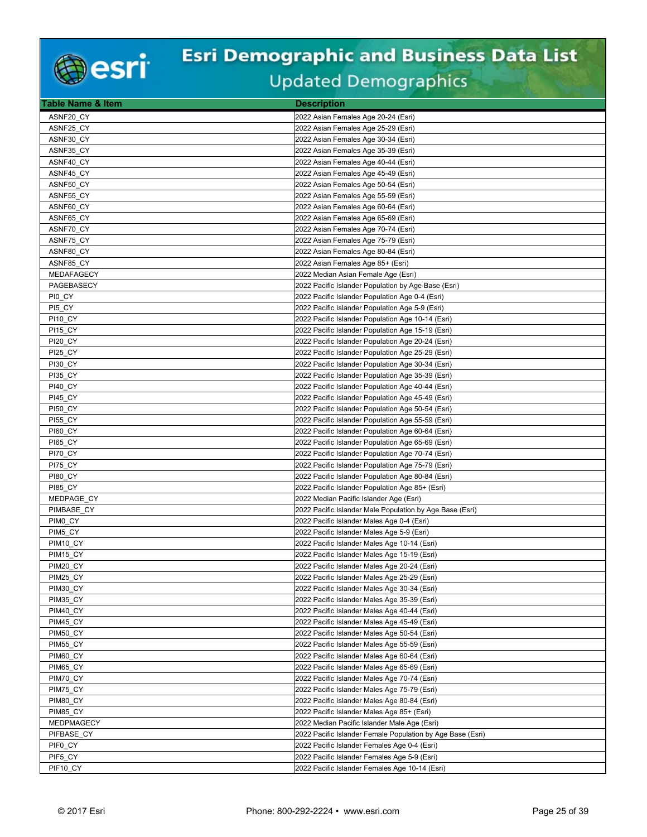

| Table Name & Item | <b>Description</b>                                         |
|-------------------|------------------------------------------------------------|
| ASNF20 CY         | 2022 Asian Females Age 20-24 (Esri)                        |
| ASNF25_CY         | 2022 Asian Females Age 25-29 (Esri)                        |
| ASNF30_CY         | 2022 Asian Females Age 30-34 (Esri)                        |
| ASNF35 CY         | 2022 Asian Females Age 35-39 (Esri)                        |
| ASNF40 CY         | 2022 Asian Females Age 40-44 (Esri)                        |
| ASNF45 CY         | 2022 Asian Females Age 45-49 (Esri)                        |
| ASNF50 CY         | 2022 Asian Females Age 50-54 (Esri)                        |
| ASNF55 CY         | 2022 Asian Females Age 55-59 (Esri)                        |
| ASNF60 CY         | 2022 Asian Females Age 60-64 (Esri)                        |
| ASNF65 CY         | 2022 Asian Females Age 65-69 (Esri)                        |
| ASNF70_CY         | 2022 Asian Females Age 70-74 (Esri)                        |
| ASNF75_CY         | 2022 Asian Females Age 75-79 (Esri)                        |
| ASNF80 CY         | 2022 Asian Females Age 80-84 (Esri)                        |
| ASNF85 CY         | 2022 Asian Females Age 85+ (Esri)                          |
| MEDAFAGECY        | 2022 Median Asian Female Age (Esri)                        |
| PAGEBASECY        | 2022 Pacific Islander Population by Age Base (Esri)        |
| PIO CY            | 2022 Pacific Islander Population Age 0-4 (Esri)            |
| PI5 CY            | 2022 Pacific Islander Population Age 5-9 (Esri)            |
| <b>PI10 CY</b>    | 2022 Pacific Islander Population Age 10-14 (Esri)          |
| <b>PI15 CY</b>    | 2022 Pacific Islander Population Age 15-19 (Esri)          |
| <b>PI20 CY</b>    | 2022 Pacific Islander Population Age 20-24 (Esri)          |
| <b>PI25 CY</b>    | 2022 Pacific Islander Population Age 25-29 (Esri)          |
| <b>PI30_CY</b>    | 2022 Pacific Islander Population Age 30-34 (Esri)          |
| <b>PI35 CY</b>    | 2022 Pacific Islander Population Age 35-39 (Esri)          |
| <b>PI40 CY</b>    | 2022 Pacific Islander Population Age 40-44 (Esri)          |
| <b>PI45 CY</b>    | 2022 Pacific Islander Population Age 45-49 (Esri)          |
| <b>PI50 CY</b>    | 2022 Pacific Islander Population Age 50-54 (Esri)          |
| <b>PI55 CY</b>    | 2022 Pacific Islander Population Age 55-59 (Esri)          |
| <b>PI60_CY</b>    | 2022 Pacific Islander Population Age 60-64 (Esri)          |
| <b>PI65 CY</b>    | 2022 Pacific Islander Population Age 65-69 (Esri)          |
| PI70 CY           | 2022 Pacific Islander Population Age 70-74 (Esri)          |
| <b>PI75_CY</b>    | 2022 Pacific Islander Population Age 75-79 (Esri)          |
| <b>PI80_CY</b>    | 2022 Pacific Islander Population Age 80-84 (Esri)          |
| <b>PI85 CY</b>    | 2022 Pacific Islander Population Age 85+ (Esri)            |
| MEDPAGE CY        | 2022 Median Pacific Islander Age (Esri)                    |
| PIMBASE CY        | 2022 Pacific Islander Male Population by Age Base (Esri)   |
| PIMO CY           | 2022 Pacific Islander Males Age 0-4 (Esri)                 |
| PIM5_CY           | 2022 Pacific Islander Males Age 5-9 (Esri)                 |
| PIM10 CY          | 2022 Pacific Islander Males Age 10-14 (Esri)               |
| PIM15 CY          | 2022 Pacific Islander Males Age 15-19 (Esri)               |
| PIM20 CY          | 2022 Pacific Islander Males Age 20-24 (Esri)               |
| PIM25_CY          | 2022 Pacific Islander Males Age 25-29 (Esri)               |
| PIM30 CY          | 2022 Pacific Islander Males Age 30-34 (Esri)               |
| PIM35 CY          | 2022 Pacific Islander Males Age 35-39 (Esri)               |
| PIM40_CY          | 2022 Pacific Islander Males Age 40-44 (Esri)               |
| PIM45_CY          | 2022 Pacific Islander Males Age 45-49 (Esri)               |
| PIM50 CY          | 2022 Pacific Islander Males Age 50-54 (Esri)               |
| <b>PIM55_CY</b>   | 2022 Pacific Islander Males Age 55-59 (Esri)               |
| PIM60_CY          | 2022 Pacific Islander Males Age 60-64 (Esri)               |
| PIM65_CY          | 2022 Pacific Islander Males Age 65-69 (Esri)               |
| PIM70_CY          | 2022 Pacific Islander Males Age 70-74 (Esri)               |
| PIM75_CY          | 2022 Pacific Islander Males Age 75-79 (Esri)               |
| PIM80 CY          | 2022 Pacific Islander Males Age 80-84 (Esri)               |
| PIM85_CY          | 2022 Pacific Islander Males Age 85+ (Esri)                 |
| MEDPMAGECY        | 2022 Median Pacific Islander Male Age (Esri)               |
| PIFBASE CY        | 2022 Pacific Islander Female Population by Age Base (Esri) |
| PIF0 CY           | 2022 Pacific Islander Females Age 0-4 (Esri)               |
| PIF5 CY           | 2022 Pacific Islander Females Age 5-9 (Esri)               |
| PIF10_CY          | 2022 Pacific Islander Females Age 10-14 (Esri)             |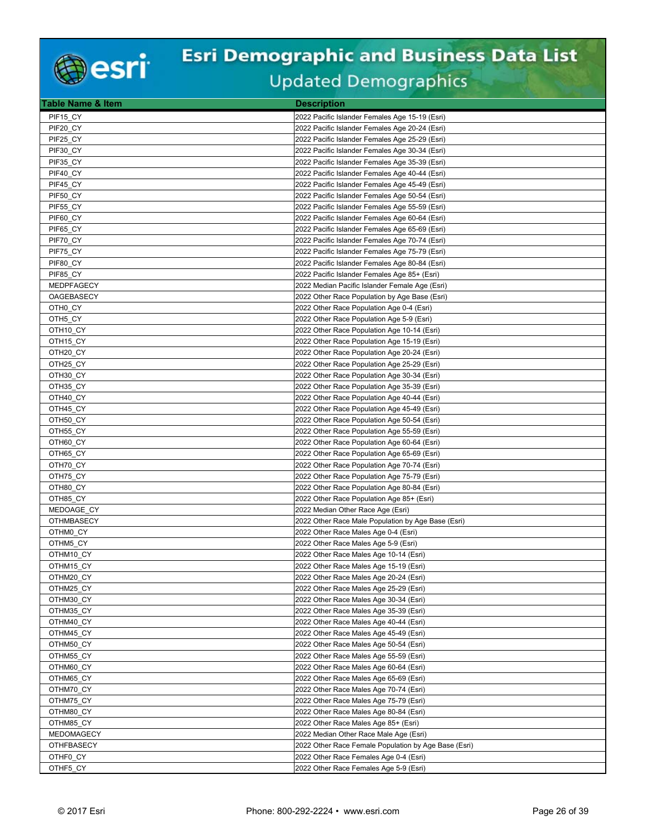

| Table Name & Item      | <b>Description</b>                                                             |
|------------------------|--------------------------------------------------------------------------------|
| PIF15 CY               | 2022 Pacific Islander Females Age 15-19 (Esri)                                 |
| PIF20 CY               | 2022 Pacific Islander Females Age 20-24 (Esri)                                 |
| PIF25_CY               | 2022 Pacific Islander Females Age 25-29 (Esri)                                 |
| PIF30 CY               | 2022 Pacific Islander Females Age 30-34 (Esri)                                 |
| PIF35_CY               | 2022 Pacific Islander Females Age 35-39 (Esri)                                 |
| PIF40 CY               | 2022 Pacific Islander Females Age 40-44 (Esri)                                 |
| PIF45 CY               | 2022 Pacific Islander Females Age 45-49 (Esri)                                 |
| PIF50 CY               | 2022 Pacific Islander Females Age 50-54 (Esri)                                 |
| PIF55_CY               | 2022 Pacific Islander Females Age 55-59 (Esri)                                 |
| PIF60 CY               | 2022 Pacific Islander Females Age 60-64 (Esri)                                 |
| PIF65_CY               | 2022 Pacific Islander Females Age 65-69 (Esri)                                 |
| PIF70 CY               | 2022 Pacific Islander Females Age 70-74 (Esri)                                 |
| PIF75 CY               | 2022 Pacific Islander Females Age 75-79 (Esri)                                 |
| PIF80 CY               | 2022 Pacific Islander Females Age 80-84 (Esri)                                 |
| PIF85 CY               | 2022 Pacific Islander Females Age 85+ (Esri)                                   |
| <b>MEDPFAGECY</b>      | 2022 Median Pacific Islander Female Age (Esri)                                 |
| OAGEBASECY             | 2022 Other Race Population by Age Base (Esri)                                  |
| OTH0 CY                | 2022 Other Race Population Age 0-4 (Esri)                                      |
| OTH5 CY                | 2022 Other Race Population Age 5-9 (Esri)                                      |
| OTH <sub>10</sub> CY   | 2022 Other Race Population Age 10-14 (Esri)                                    |
| OTH15_CY               | 2022 Other Race Population Age 15-19 (Esri)                                    |
| OTH20 CY               | 2022 Other Race Population Age 20-24 (Esri)                                    |
| OTH25_CY               | 2022 Other Race Population Age 25-29 (Esri)                                    |
| OTH30_CY               | 2022 Other Race Population Age 30-34 (Esri)                                    |
| OTH35 CY               | 2022 Other Race Population Age 35-39 (Esri)                                    |
| OTH40 CY               | 2022 Other Race Population Age 40-44 (Esri)                                    |
| OTH45_CY               | 2022 Other Race Population Age 45-49 (Esri)                                    |
| OTH50 CY               | 2022 Other Race Population Age 50-54 (Esri)                                    |
| OTH55_CY               | 2022 Other Race Population Age 55-59 (Esri)                                    |
| OTH60 CY               | 2022 Other Race Population Age 60-64 (Esri)                                    |
| OTH65 CY               | 2022 Other Race Population Age 65-69 (Esri)                                    |
| OTH70 CY               | 2022 Other Race Population Age 70-74 (Esri)                                    |
| OTH75_CY               | 2022 Other Race Population Age 75-79 (Esri)                                    |
| OTH80 CY               | 2022 Other Race Population Age 80-84 (Esri)                                    |
| OTH85_CY<br>MEDOAGE_CY | 2022 Other Race Population Age 85+ (Esri)<br>2022 Median Other Race Age (Esri) |
| <b>OTHMBASECY</b>      | 2022 Other Race Male Population by Age Base (Esri)                             |
| OTHM0 CY               | 2022 Other Race Males Age 0-4 (Esri)                                           |
| OTHM5 CY               | 2022 Other Race Males Age 5-9 (Esri)                                           |
| OTHM10 CY              | 2022 Other Race Males Age 10-14 (Esri)                                         |
| OTHM15 CY              | 2022 Other Race Males Age 15-19 (Esri)                                         |
| OTHM20_CY              | 2022 Other Race Males Age 20-24 (Esri)                                         |
| OTHM25_CY              | 2022 Other Race Males Age 25-29 (Esri)                                         |
| OTHM30 CY              | 2022 Other Race Males Age 30-34 (Esri)                                         |
| OTHM35_CY              | 2022 Other Race Males Age 35-39 (Esri)                                         |
| OTHM40_CY              | 2022 Other Race Males Age 40-44 (Esri)                                         |
| OTHM45 CY              | 2022 Other Race Males Age 45-49 (Esri)                                         |
| OTHM50_CY              | 2022 Other Race Males Age 50-54 (Esri)                                         |
| OTHM55_CY              | 2022 Other Race Males Age 55-59 (Esri)                                         |
| OTHM60_CY              | 2022 Other Race Males Age 60-64 (Esri)                                         |
| OTHM65_CY              | 2022 Other Race Males Age 65-69 (Esri)                                         |
| OTHM70_CY              | 2022 Other Race Males Age 70-74 (Esri)                                         |
| OTHM75 CY              | 2022 Other Race Males Age 75-79 (Esri)                                         |
| OTHM80_CY              | 2022 Other Race Males Age 80-84 (Esri)                                         |
| OTHM85_CY              | 2022 Other Race Males Age 85+ (Esri)                                           |
| MEDOMAGECY             | 2022 Median Other Race Male Age (Esri)                                         |
| <b>OTHFBASECY</b>      | 2022 Other Race Female Population by Age Base (Esri)                           |
| OTHF0_CY               | 2022 Other Race Females Age 0-4 (Esri)                                         |
| OTHF5_CY               | 2022 Other Race Females Age 5-9 (Esri)                                         |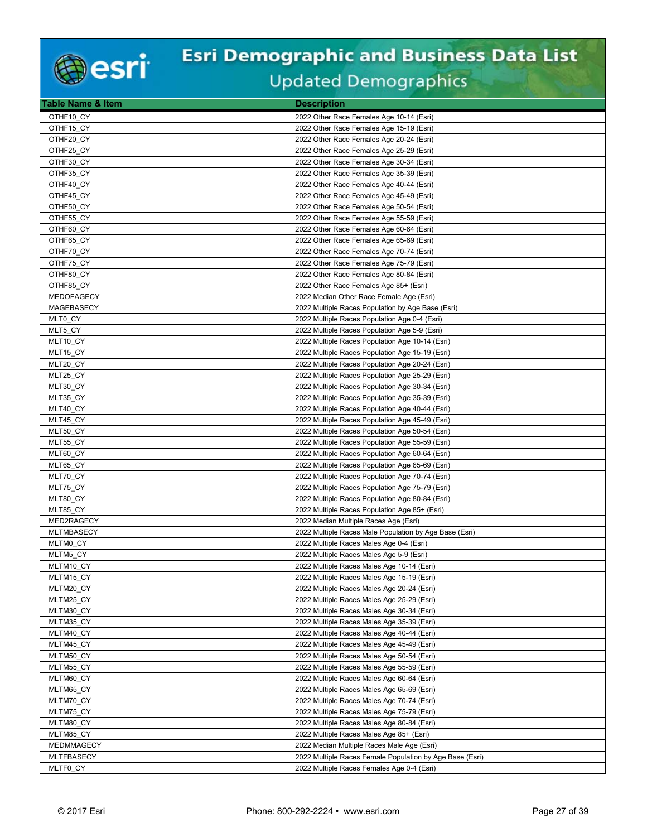

| <b>Table Name &amp; Item</b> | <b>Description</b>                                                                               |
|------------------------------|--------------------------------------------------------------------------------------------------|
| OTHF10 CY                    | 2022 Other Race Females Age 10-14 (Esri)                                                         |
| OTHF15 CY                    | 2022 Other Race Females Age 15-19 (Esri)                                                         |
| OTHF20 CY                    | 2022 Other Race Females Age 20-24 (Esri)                                                         |
| OTHF25_CY                    | 2022 Other Race Females Age 25-29 (Esri)                                                         |
| OTHF30 CY                    | 2022 Other Race Females Age 30-34 (Esri)                                                         |
| OTHF35_CY                    | 2022 Other Race Females Age 35-39 (Esri)                                                         |
| OTHF40_CY                    | 2022 Other Race Females Age 40-44 (Esri)                                                         |
| OTHF45_CY                    | 2022 Other Race Females Age 45-49 (Esri)                                                         |
| OTHF50 CY                    | 2022 Other Race Females Age 50-54 (Esri)                                                         |
| OTHF55 CY                    | 2022 Other Race Females Age 55-59 (Esri)                                                         |
| OTHF60_CY                    | 2022 Other Race Females Age 60-64 (Esri)                                                         |
| OTHF65_CY                    | 2022 Other Race Females Age 65-69 (Esri)                                                         |
| OTHF70 CY                    | 2022 Other Race Females Age 70-74 (Esri)                                                         |
| OTHF75_CY                    | 2022 Other Race Females Age 75-79 (Esri)                                                         |
| OTHF80 CY                    | 2022 Other Race Females Age 80-84 (Esri)                                                         |
| OTHF85 CY                    | 2022 Other Race Females Age 85+ (Esri)                                                           |
| MEDOFAGECY                   | 2022 Median Other Race Female Age (Esri)                                                         |
| MAGEBASECY                   | 2022 Multiple Races Population by Age Base (Esri)                                                |
| MLT0 CY                      | 2022 Multiple Races Population Age 0-4 (Esri)                                                    |
| MLT5_CY                      | 2022 Multiple Races Population Age 5-9 (Esri)                                                    |
| MLT10 CY                     | 2022 Multiple Races Population Age 10-14 (Esri)                                                  |
| MLT15_CY                     | 2022 Multiple Races Population Age 15-19 (Esri)                                                  |
| MLT20_CY                     | 2022 Multiple Races Population Age 20-24 (Esri)                                                  |
| MLT25 CY                     | 2022 Multiple Races Population Age 25-29 (Esri)                                                  |
| MLT30_CY                     | 2022 Multiple Races Population Age 30-34 (Esri)                                                  |
| MLT35 CY                     | 2022 Multiple Races Population Age 35-39 (Esri)                                                  |
| MLT40_CY                     | 2022 Multiple Races Population Age 40-44 (Esri)                                                  |
| MLT45 CY                     | 2022 Multiple Races Population Age 45-49 (Esri)                                                  |
| MLT50 CY                     | 2022 Multiple Races Population Age 50-54 (Esri)                                                  |
| MLT55 CY                     | 2022 Multiple Races Population Age 55-59 (Esri)                                                  |
| MLT60 CY                     | 2022 Multiple Races Population Age 60-64 (Esri)                                                  |
| MLT65_CY                     | 2022 Multiple Races Population Age 65-69 (Esri)                                                  |
| MLT70_CY                     | 2022 Multiple Races Population Age 70-74 (Esri)                                                  |
| MLT75_CY                     | 2022 Multiple Races Population Age 75-79 (Esri)                                                  |
| MLT80_CY                     | 2022 Multiple Races Population Age 80-84 (Esri)<br>2022 Multiple Races Population Age 85+ (Esri) |
| MLT85_CY<br>MED2RAGECY       |                                                                                                  |
| <b>MLTMBASECY</b>            | 2022 Median Multiple Races Age (Esri)<br>2022 Multiple Races Male Population by Age Base (Esri)  |
| MLTM0 CY                     | 2022 Multiple Races Males Age 0-4 (Esri)                                                         |
| MLTM5 CY                     | 2022 Multiple Races Males Age 5-9 (Esri)                                                         |
| MLTM10 CY                    | 2022 Multiple Races Males Age 10-14 (Esri)                                                       |
| MLTM15_CY                    | 2022 Multiple Races Males Age 15-19 (Esri)                                                       |
| MLTM20 CY                    | 2022 Multiple Races Males Age 20-24 (Esri)                                                       |
| MLTM25 CY                    | 2022 Multiple Races Males Age 25-29 (Esri)                                                       |
| MLTM30_CY                    | 2022 Multiple Races Males Age 30-34 (Esri)                                                       |
| MLTM35_CY                    | 2022 Multiple Races Males Age 35-39 (Esri)                                                       |
| MLTM40 CY                    | 2022 Multiple Races Males Age 40-44 (Esri)                                                       |
| MLTM45 CY                    | 2022 Multiple Races Males Age 45-49 (Esri)                                                       |
| MLTM50_CY                    | 2022 Multiple Races Males Age 50-54 (Esri)                                                       |
| MLTM55_CY                    | 2022 Multiple Races Males Age 55-59 (Esri)                                                       |
| MLTM60_CY                    | 2022 Multiple Races Males Age 60-64 (Esri)                                                       |
| MLTM65_CY                    | 2022 Multiple Races Males Age 65-69 (Esri)                                                       |
| MLTM70 CY                    | 2022 Multiple Races Males Age 70-74 (Esri)                                                       |
| MLTM75_CY                    | 2022 Multiple Races Males Age 75-79 (Esri)                                                       |
| MLTM80_CY                    | 2022 Multiple Races Males Age 80-84 (Esri)                                                       |
| MLTM85 CY                    | 2022 Multiple Races Males Age 85+ (Esri)                                                         |
| MEDMMAGECY                   | 2022 Median Multiple Races Male Age (Esri)                                                       |
| <b>MLTFBASECY</b>            | 2022 Multiple Races Female Population by Age Base (Esri)                                         |
| MLTF0 CY                     | 2022 Multiple Races Females Age 0-4 (Esri)                                                       |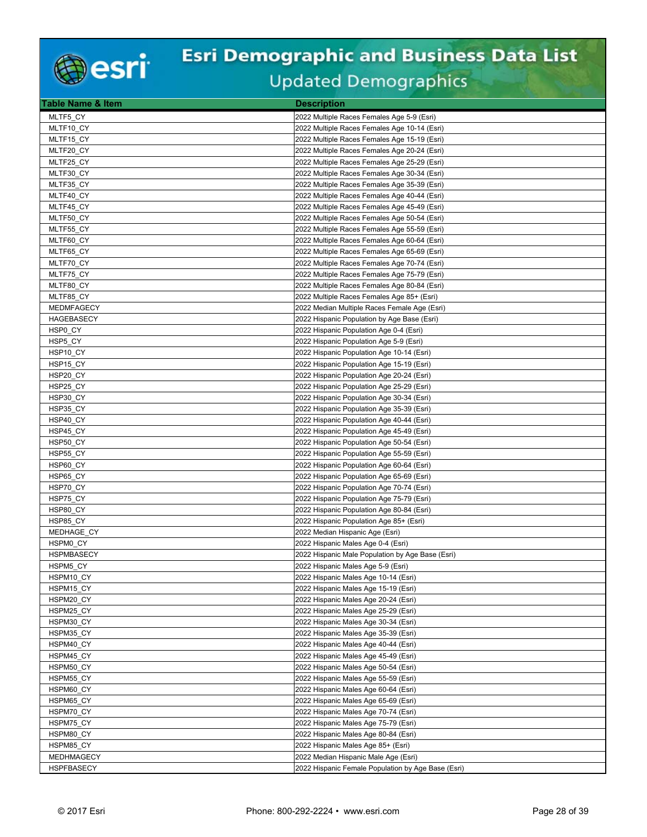

| <b>Table Name &amp; Item</b> | <b>Description</b>                                                         |
|------------------------------|----------------------------------------------------------------------------|
| MLTF5 CY                     | 2022 Multiple Races Females Age 5-9 (Esri)                                 |
| MLTF10_CY                    | 2022 Multiple Races Females Age 10-14 (Esri)                               |
| MLTF15_CY                    | 2022 Multiple Races Females Age 15-19 (Esri)                               |
| MLTF20 CY                    | 2022 Multiple Races Females Age 20-24 (Esri)                               |
| MLTF25 CY                    | 2022 Multiple Races Females Age 25-29 (Esri)                               |
| MLTF30 CY                    | 2022 Multiple Races Females Age 30-34 (Esri)                               |
| MLTF35_CY                    | 2022 Multiple Races Females Age 35-39 (Esri)                               |
| MLTF40 CY                    | 2022 Multiple Races Females Age 40-44 (Esri)                               |
| MLTF45_CY                    | 2022 Multiple Races Females Age 45-49 (Esri)                               |
| MLTF50_CY                    | 2022 Multiple Races Females Age 50-54 (Esri)                               |
| MLTF55_CY                    | 2022 Multiple Races Females Age 55-59 (Esri)                               |
| MLTF60 CY                    | 2022 Multiple Races Females Age 60-64 (Esri)                               |
| MLTF65 CY                    | 2022 Multiple Races Females Age 65-69 (Esri)                               |
| MLTF70_CY                    | 2022 Multiple Races Females Age 70-74 (Esri)                               |
| MLTF75 CY                    | 2022 Multiple Races Females Age 75-79 (Esri)                               |
| MLTF80_CY                    | 2022 Multiple Races Females Age 80-84 (Esri)                               |
| MLTF85_CY                    | 2022 Multiple Races Females Age 85+ (Esri)                                 |
| <b>MEDMFAGECY</b>            | 2022 Median Multiple Races Female Age (Esri)                               |
| <b>HAGEBASECY</b>            | 2022 Hispanic Population by Age Base (Esri)                                |
| HSP0_CY                      | 2022 Hispanic Population Age 0-4 (Esri)                                    |
| HSP5 CY                      | 2022 Hispanic Population Age 5-9 (Esri)                                    |
| HSP10 CY                     | 2022 Hispanic Population Age 10-14 (Esri)                                  |
| HSP15_CY                     | 2022 Hispanic Population Age 15-19 (Esri)                                  |
| HSP20_CY                     | 2022 Hispanic Population Age 20-24 (Esri)                                  |
| HSP25 CY                     | 2022 Hispanic Population Age 25-29 (Esri)                                  |
| HSP30_CY                     | 2022 Hispanic Population Age 30-34 (Esri)                                  |
| HSP35_CY                     | 2022 Hispanic Population Age 35-39 (Esri)                                  |
| HSP40 CY                     | 2022 Hispanic Population Age 40-44 (Esri)                                  |
| HSP45_CY                     | 2022 Hispanic Population Age 45-49 (Esri)                                  |
| HSP50 CY                     | 2022 Hispanic Population Age 50-54 (Esri)                                  |
| HSP55 CY                     | 2022 Hispanic Population Age 55-59 (Esri)                                  |
| HSP60_CY                     | 2022 Hispanic Population Age 60-64 (Esri)                                  |
| HSP65_CY                     | 2022 Hispanic Population Age 65-69 (Esri)                                  |
| HSP70 CY                     | 2022 Hispanic Population Age 70-74 (Esri)                                  |
| HSP75_CY                     | 2022 Hispanic Population Age 75-79 (Esri)                                  |
| HSP80_CY                     | 2022 Hispanic Population Age 80-84 (Esri)                                  |
| HSP85 CY<br>MEDHAGE_CY       | 2022 Hispanic Population Age 85+ (Esri)<br>2022 Median Hispanic Age (Esri) |
| HSPM0 CY                     | 2022 Hispanic Males Age 0-4 (Esri)                                         |
| <b>HSPMBASECY</b>            | 2022 Hispanic Male Population by Age Base (Esri)                           |
| HSPM5 CY                     | 2022 Hispanic Males Age 5-9 (Esri)                                         |
| HSPM10 CY                    | 2022 Hispanic Males Age 10-14 (Esri)                                       |
| HSPM15 CY                    | 2022 Hispanic Males Age 15-19 (Esri)                                       |
| HSPM20 CY                    | 2022 Hispanic Males Age 20-24 (Esri)                                       |
| HSPM25_CY                    | 2022 Hispanic Males Age 25-29 (Esri)                                       |
| HSPM30_CY                    | 2022 Hispanic Males Age 30-34 (Esri)                                       |
| HSPM35 CY                    | 2022 Hispanic Males Age 35-39 (Esri)                                       |
| HSPM40_CY                    | 2022 Hispanic Males Age 40-44 (Esri)                                       |
| HSPM45_CY                    | 2022 Hispanic Males Age 45-49 (Esri)                                       |
| HSPM50_CY                    | 2022 Hispanic Males Age 50-54 (Esri)                                       |
| HSPM55 CY                    | 2022 Hispanic Males Age 55-59 (Esri)                                       |
| HSPM60 CY                    | 2022 Hispanic Males Age 60-64 (Esri)                                       |
| HSPM65 CY                    | 2022 Hispanic Males Age 65-69 (Esri)                                       |
| HSPM70_CY                    | 2022 Hispanic Males Age 70-74 (Esri)                                       |
| HSPM75_CY                    | 2022 Hispanic Males Age 75-79 (Esri)                                       |
| HSPM80 CY                    | 2022 Hispanic Males Age 80-84 (Esri)                                       |
| HSPM85 CY                    | 2022 Hispanic Males Age 85+ (Esri)                                         |
| MEDHMAGECY                   | 2022 Median Hispanic Male Age (Esri)                                       |
| <b>HSPFBASECY</b>            | 2022 Hispanic Female Population by Age Base (Esri)                         |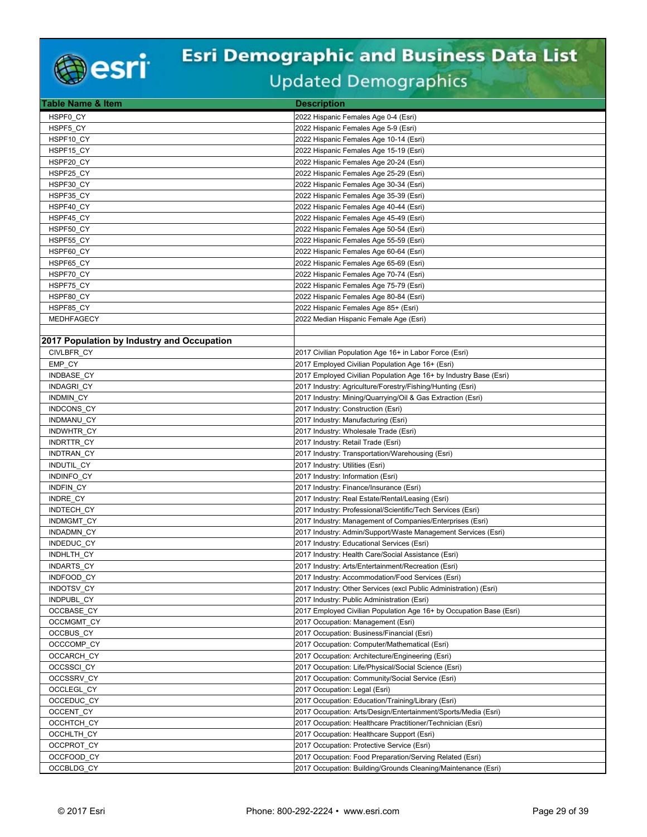

| <b>Table Name &amp; Item</b>               | <b>Description</b>                                                                  |
|--------------------------------------------|-------------------------------------------------------------------------------------|
| HSPF0 CY                                   | 2022 Hispanic Females Age 0-4 (Esri)                                                |
| HSPF5 CY                                   | 2022 Hispanic Females Age 5-9 (Esri)                                                |
| HSPF10 CY                                  | 2022 Hispanic Females Age 10-14 (Esri)                                              |
| HSPF15 CY                                  | 2022 Hispanic Females Age 15-19 (Esri)                                              |
| HSPF20 CY                                  | 2022 Hispanic Females Age 20-24 (Esri)                                              |
| HSPF25_CY                                  | 2022 Hispanic Females Age 25-29 (Esri)                                              |
| HSPF30_CY                                  | 2022 Hispanic Females Age 30-34 (Esri)                                              |
| HSPF35_CY                                  | 2022 Hispanic Females Age 35-39 (Esri)                                              |
| HSPF40 CY                                  | 2022 Hispanic Females Age 40-44 (Esri)                                              |
| HSPF45 CY                                  | 2022 Hispanic Females Age 45-49 (Esri)                                              |
| HSPF50_CY                                  | 2022 Hispanic Females Age 50-54 (Esri)                                              |
| HSPF55 CY                                  | 2022 Hispanic Females Age 55-59 (Esri)                                              |
| HSPF60 CY                                  | 2022 Hispanic Females Age 60-64 (Esri)                                              |
| HSPF65_CY                                  | 2022 Hispanic Females Age 65-69 (Esri)                                              |
| HSPF70 CY                                  | 2022 Hispanic Females Age 70-74 (Esri)                                              |
| HSPF75 CY                                  | 2022 Hispanic Females Age 75-79 (Esri)                                              |
| HSPF80 CY                                  | 2022 Hispanic Females Age 80-84 (Esri)                                              |
| HSPF85_CY                                  | 2022 Hispanic Females Age 85+ (Esri)                                                |
| MEDHFAGECY                                 | 2022 Median Hispanic Female Age (Esri)                                              |
|                                            |                                                                                     |
| 2017 Population by Industry and Occupation |                                                                                     |
| <b>CIVLBFR CY</b>                          | 2017 Civilian Population Age 16+ in Labor Force (Esri)                              |
| EMP_CY                                     | 2017 Employed Civilian Population Age 16+ (Esri)                                    |
| INDBASE CY                                 | 2017 Employed Civilian Population Age 16+ by Industry Base (Esri)                   |
| <b>INDAGRI CY</b>                          | 2017 Industry: Agriculture/Forestry/Fishing/Hunting (Esri)                          |
| INDMIN_CY                                  | 2017 Industry: Mining/Quarrying/Oil & Gas Extraction (Esri)                         |
| INDCONS_CY                                 | 2017 Industry: Construction (Esri)                                                  |
| INDMANU CY                                 | 2017 Industry: Manufacturing (Esri)                                                 |
| <b>INDWHTR CY</b>                          | 2017 Industry: Wholesale Trade (Esri)                                               |
| INDRTTR_CY                                 | 2017 Industry: Retail Trade (Esri)                                                  |
| INDTRAN CY                                 | 2017 Industry: Transportation/Warehousing (Esri)                                    |
| INDUTIL_CY                                 | 2017 Industry: Utilities (Esri)                                                     |
| INDINFO_CY                                 | 2017 Industry: Information (Esri)                                                   |
| <b>INDFIN CY</b>                           | 2017 Industry: Finance/Insurance (Esri)                                             |
| INDRE_CY                                   | 2017 Industry: Real Estate/Rental/Leasing (Esri)                                    |
| INDTECH_CY                                 | 2017 Industry: Professional/Scientific/Tech Services (Esri)                         |
| <b>INDMGMT CY</b>                          | 2017 Industry: Management of Companies/Enterprises (Esri)                           |
| INDADMN_CY                                 | 2017 Industry: Admin/Support/Waste Management Services (Esri)                       |
| INDEDUC CY                                 | 2017 Industry: Educational Services (Esri)                                          |
| INDHLTH_CY                                 | 2017 Industry: Health Care/Social Assistance (Esri)                                 |
| <b>INDARTS CY</b>                          | 2017 Industry: Arts/Entertainment/Recreation (Esri)                                 |
| INDFOOD CY                                 | 2017 Industry: Accommodation/Food Services (Esri)                                   |
| INDOTSV CY                                 | 2017 Industry: Other Services (excl Public Administration) (Esri)                   |
| INDPUBL_CY                                 | 2017 Industry: Public Administration (Esri)                                         |
| OCCBASE_CY                                 | 2017 Employed Civilian Population Age 16+ by Occupation Base (Esri)                 |
| OCCMGMT_CY                                 | 2017 Occupation: Management (Esri)                                                  |
| OCCBUS CY                                  | 2017 Occupation: Business/Financial (Esri)                                          |
| OCCCOMP_CY                                 | 2017 Occupation: Computer/Mathematical (Esri)                                       |
| OCCARCH_CY                                 | 2017 Occupation: Architecture/Engineering (Esri)                                    |
| OCCSSCI CY                                 | 2017 Occupation: Life/Physical/Social Science (Esri)                                |
| OCCSSRV_CY                                 | 2017 Occupation: Community/Social Service (Esri)                                    |
| OCCLEGL_CY<br>OCCEDUC_CY                   | 2017 Occupation: Legal (Esri)<br>2017 Occupation: Education/Training/Library (Esri) |
|                                            |                                                                                     |
| OCCENT_CY                                  | 2017 Occupation: Arts/Design/Entertainment/Sports/Media (Esri)                      |
| OCCHTCH_CY                                 | 2017 Occupation: Healthcare Practitioner/Technician (Esri)                          |
| OCCHLTH_CY                                 | 2017 Occupation: Healthcare Support (Esri)                                          |
| OCCPROT_CY                                 | 2017 Occupation: Protective Service (Esri)                                          |
| OCCFOOD_CY                                 | 2017 Occupation: Food Preparation/Serving Related (Esri)                            |
| OCCBLDG CY                                 | 2017 Occupation: Building/Grounds Cleaning/Maintenance (Esri)                       |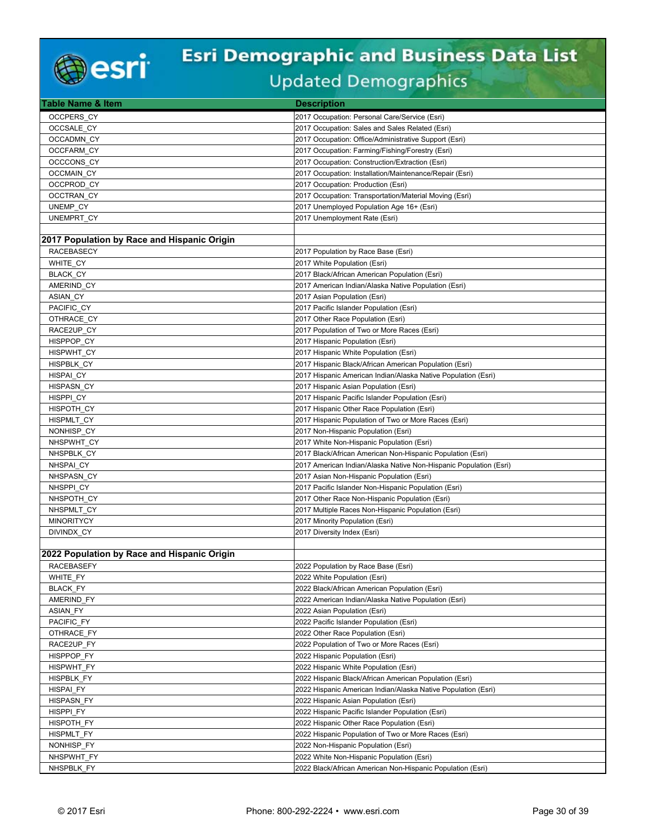

| <b>Table Name &amp; Item</b>                | <b>Description</b>                                                                                 |
|---------------------------------------------|----------------------------------------------------------------------------------------------------|
| OCCPERS CY                                  | 2017 Occupation: Personal Care/Service (Esri)                                                      |
| OCCSALE CY                                  | 2017 Occupation: Sales and Sales Related (Esri)                                                    |
| <b>OCCADMN CY</b>                           | 2017 Occupation: Office/Administrative Support (Esri)                                              |
| <b>OCCFARM CY</b>                           | 2017 Occupation: Farming/Fishing/Forestry (Esri)                                                   |
| OCCCONS CY                                  | 2017 Occupation: Construction/Extraction (Esri)                                                    |
| <b>OCCMAIN CY</b>                           | 2017 Occupation: Installation/Maintenance/Repair (Esri)                                            |
| OCCPROD CY                                  | 2017 Occupation: Production (Esri)                                                                 |
| OCCTRAN CY                                  | 2017 Occupation: Transportation/Material Moving (Esri)                                             |
| UNEMP CY                                    | 2017 Unemployed Population Age 16+ (Esri)                                                          |
| UNEMPRT CY                                  | 2017 Unemployment Rate (Esri)                                                                      |
|                                             |                                                                                                    |
| 2017 Population by Race and Hispanic Origin |                                                                                                    |
| <b>RACEBASECY</b>                           | 2017 Population by Race Base (Esri)                                                                |
| WHITE_CY                                    | 2017 White Population (Esri)                                                                       |
| <b>BLACK CY</b>                             | 2017 Black/African American Population (Esri)                                                      |
| AMERIND CY                                  | 2017 American Indian/Alaska Native Population (Esri)                                               |
| <b>ASIAN CY</b>                             | 2017 Asian Population (Esri)                                                                       |
| PACIFIC CY                                  | 2017 Pacific Islander Population (Esri)                                                            |
| OTHRACE CY                                  | 2017 Other Race Population (Esri)                                                                  |
| RACE2UP CY                                  | 2017 Population of Two or More Races (Esri)                                                        |
| HISPPOP CY                                  | 2017 Hispanic Population (Esri)                                                                    |
| HISPWHT CY                                  | 2017 Hispanic White Population (Esri)                                                              |
| HISPBLK CY                                  | 2017 Hispanic Black/African American Population (Esri)                                             |
| HISPAI CY                                   | 2017 Hispanic American Indian/Alaska Native Population (Esri)                                      |
| <b>HISPASN CY</b>                           | 2017 Hispanic Asian Population (Esri)                                                              |
| HISPPI CY<br>HISPOTH CY                     | 2017 Hispanic Pacific Islander Population (Esri)                                                   |
|                                             | 2017 Hispanic Other Race Population (Esri)<br>2017 Hispanic Population of Two or More Races (Esri) |
| HISPMLT CY<br>NONHISP CY                    | 2017 Non-Hispanic Population (Esri)                                                                |
| NHSPWHT CY                                  | 2017 White Non-Hispanic Population (Esri)                                                          |
| NHSPBLK CY                                  | 2017 Black/African American Non-Hispanic Population (Esri)                                         |
| NHSPAI CY                                   | 2017 American Indian/Alaska Native Non-Hispanic Population (Esri)                                  |
| NHSPASN_CY                                  | 2017 Asian Non-Hispanic Population (Esri)                                                          |
| NHSPPI CY                                   | 2017 Pacific Islander Non-Hispanic Population (Esri)                                               |
| NHSPOTH CY                                  | 2017 Other Race Non-Hispanic Population (Esri)                                                     |
| NHSPMLT CY                                  | 2017 Multiple Races Non-Hispanic Population (Esri)                                                 |
| <b>MINORITYCY</b>                           | 2017 Minority Population (Esri)                                                                    |
| DIVINDX_CY                                  | 2017 Diversity Index (Esri)                                                                        |
|                                             |                                                                                                    |
| 2022 Population by Race and Hispanic Origin |                                                                                                    |
| <b>RACEBASEFY</b>                           | 2022 Population by Race Base (Esri)                                                                |
| WHITE_FY                                    | 2022 White Population (Esri)                                                                       |
| <b>BLACK FY</b>                             | 2022 Black/African American Population (Esri)                                                      |
| AMERIND FY                                  | 2022 American Indian/Alaska Native Population (Esri)                                               |
| <b>ASIAN FY</b>                             | 2022 Asian Population (Esri)                                                                       |
| PACIFIC_FY                                  | 2022 Pacific Islander Population (Esri)                                                            |
| OTHRACE FY                                  | 2022 Other Race Population (Esri)                                                                  |
| RACE2UP FY                                  | 2022 Population of Two or More Races (Esri)                                                        |
| HISPPOP_FY                                  | 2022 Hispanic Population (Esri)                                                                    |
| HISPWHT_FY                                  | 2022 Hispanic White Population (Esri)                                                              |
| <b>HISPBLK FY</b>                           | 2022 Hispanic Black/African American Population (Esri)                                             |
| <b>HISPAI FY</b>                            | 2022 Hispanic American Indian/Alaska Native Population (Esri)                                      |
| <b>HISPASN FY</b>                           | 2022 Hispanic Asian Population (Esri)                                                              |
| HISPPI FY                                   | 2022 Hispanic Pacific Islander Population (Esri)                                                   |
| HISPOTH_FY                                  | 2022 Hispanic Other Race Population (Esri)                                                         |
| HISPMLT FY<br>NONHISP_FY                    | 2022 Hispanic Population of Two or More Races (Esri)<br>2022 Non-Hispanic Population (Esri)        |
| NHSPWHT_FY                                  | 2022 White Non-Hispanic Population (Esri)                                                          |
| NHSPBLK_FY                                  | 2022 Black/African American Non-Hispanic Population (Esri)                                         |
|                                             |                                                                                                    |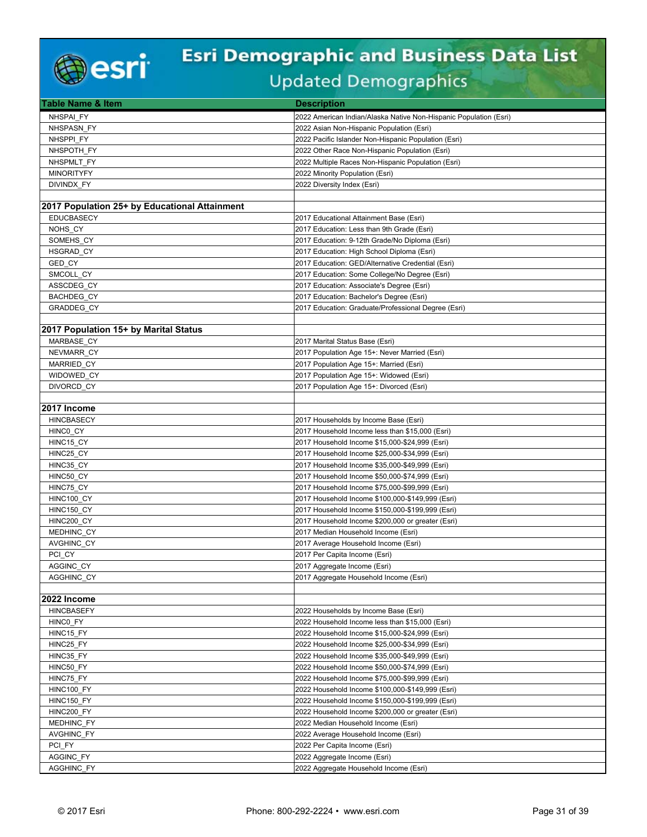

| Table Name & Item                             | <b>Description</b>                                                |
|-----------------------------------------------|-------------------------------------------------------------------|
| NHSPAI FY                                     | 2022 American Indian/Alaska Native Non-Hispanic Population (Esri) |
| NHSPASN_FY                                    | 2022 Asian Non-Hispanic Population (Esri)                         |
| NHSPPI FY                                     | 2022 Pacific Islander Non-Hispanic Population (Esri)              |
| NHSPOTH FY                                    | 2022 Other Race Non-Hispanic Population (Esri)                    |
| NHSPMLT FY                                    | 2022 Multiple Races Non-Hispanic Population (Esri)                |
| <b>MINORITYFY</b>                             | 2022 Minority Population (Esri)                                   |
| DIVINDX_FY                                    | 2022 Diversity Index (Esri)                                       |
|                                               |                                                                   |
| 2017 Population 25+ by Educational Attainment |                                                                   |
| <b>EDUCBASECY</b>                             | 2017 Educational Attainment Base (Esri)                           |
| NOHS CY                                       | 2017 Education: Less than 9th Grade (Esri)                        |
| SOMEHS CY                                     | 2017 Education: 9-12th Grade/No Diploma (Esri)                    |
| <b>HSGRAD CY</b>                              | 2017 Education: High School Diploma (Esri)                        |
| GED CY                                        | 2017 Education: GED/Alternative Credential (Esri)                 |
| SMCOLL CY                                     | 2017 Education: Some College/No Degree (Esri)                     |
| ASSCDEG CY                                    | 2017 Education: Associate's Degree (Esri)                         |
| BACHDEG_CY                                    | 2017 Education: Bachelor's Degree (Esri)                          |
| <b>GRADDEG CY</b>                             | 2017 Education: Graduate/Professional Degree (Esri)               |
|                                               |                                                                   |
| 2017 Population 15+ by Marital Status         |                                                                   |
| MARBASE CY                                    | 2017 Marital Status Base (Esri)                                   |
| NEVMARR_CY                                    | 2017 Population Age 15+: Never Married (Esri)                     |
| MARRIED_CY                                    | 2017 Population Age 15+: Married (Esri)                           |
| WIDOWED CY                                    | 2017 Population Age 15+: Widowed (Esri)                           |
| DIVORCD CY                                    | 2017 Population Age 15+: Divorced (Esri)                          |
|                                               |                                                                   |
| 2017 Income                                   |                                                                   |
| <b>HINCBASECY</b>                             | 2017 Households by Income Base (Esri)                             |
| HINCO CY                                      | 2017 Household Income less than \$15,000 (Esri)                   |
| HINC15 CY                                     | 2017 Household Income \$15,000-\$24,999 (Esri)                    |
| HINC25 CY                                     | 2017 Household Income \$25,000-\$34,999 (Esri)                    |
| HINC35_CY                                     | 2017 Household Income \$35,000-\$49,999 (Esri)                    |
| HINC50_CY                                     | 2017 Household Income \$50,000-\$74,999 (Esri)                    |
| HINC75 CY                                     | 2017 Household Income \$75,000-\$99,999 (Esri)                    |
| HINC100_CY                                    | 2017 Household Income \$100,000-\$149,999 (Esri)                  |
| HINC150_CY                                    | 2017 Household Income \$150,000-\$199,999 (Esri)                  |
| HINC200_CY                                    | 2017 Household Income \$200,000 or greater (Esri)                 |
| MEDHINC CY                                    | 2017 Median Household Income (Esri)                               |
| <b>AVGHINC CY</b>                             | 2017 Average Household Income (Esri)                              |
| PCI CY                                        | 2017 Per Capita Income (Esri)                                     |
| AGGINC CY                                     | 2017 Aggregate Income (Esri)                                      |
| AGGHINC_CY                                    | 2017 Aggregate Household Income (Esri)                            |
|                                               |                                                                   |
| 2022 Income                                   |                                                                   |
| <b>HINCBASEFY</b>                             | 2022 Households by Income Base (Esri)                             |
| HINCO_FY                                      | 2022 Household Income less than \$15,000 (Esri)                   |
| HINC15 FY                                     | 2022 Household Income \$15,000-\$24,999 (Esri)                    |
| HINC25_FY                                     | 2022 Household Income \$25,000-\$34,999 (Esri)                    |
| HINC35_FY                                     | 2022 Household Income \$35,000-\$49,999 (Esri)                    |
| HINC50_FY                                     | 2022 Household Income \$50,000-\$74,999 (Esri)                    |
| HINC75_FY                                     | 2022 Household Income \$75,000-\$99,999 (Esri)                    |
| HINC100 FY                                    | 2022 Household Income \$100,000-\$149,999 (Esri)                  |
| HINC150 FY                                    | 2022 Household Income \$150,000-\$199,999 (Esri)                  |
| HINC200_FY                                    | 2022 Household Income \$200,000 or greater (Esri)                 |
| MEDHINC_FY                                    | 2022 Median Household Income (Esri)                               |
| <b>AVGHINC FY</b>                             | 2022 Average Household Income (Esri)                              |
| PCI FY                                        | 2022 Per Capita Income (Esri)                                     |
| <b>AGGINC FY</b>                              | 2022 Aggregate Income (Esri)                                      |
| AGGHINC_FY                                    | 2022 Aggregate Household Income (Esri)                            |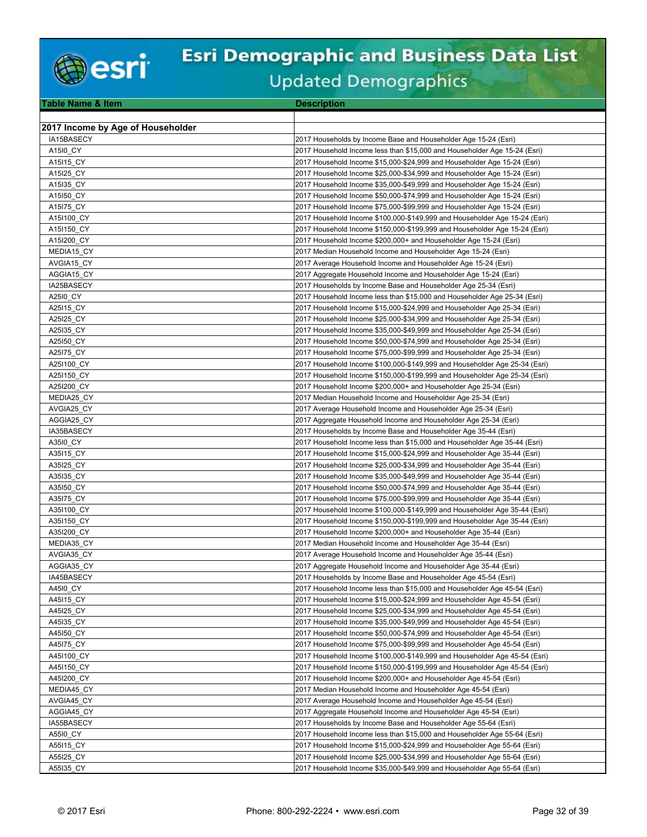

| <b>Table Name &amp; Item</b>      | <b>Description</b>                                                         |
|-----------------------------------|----------------------------------------------------------------------------|
|                                   |                                                                            |
| 2017 Income by Age of Householder |                                                                            |
| IA15BASECY                        | 2017 Households by Income Base and Householder Age 15-24 (Esri)            |
| A15I0 CY                          | 2017 Household Income less than \$15,000 and Householder Age 15-24 (Esri)  |
| A15I15_CY                         | 2017 Household Income \$15,000-\$24,999 and Householder Age 15-24 (Esri)   |
| A15I25 CY                         | 2017 Household Income \$25,000-\$34,999 and Householder Age 15-24 (Esri)   |
|                                   |                                                                            |
| A15I35 CY                         | 2017 Household Income \$35,000-\$49,999 and Householder Age 15-24 (Esri)   |
| A15150_CY                         | 2017 Household Income \$50,000-\$74,999 and Householder Age 15-24 (Esri)   |
| A15175 CY                         | 2017 Household Income \$75,000-\$99,999 and Householder Age 15-24 (Esri)   |
| A151100 CY                        | 2017 Household Income \$100,000-\$149,999 and Householder Age 15-24 (Esri) |
| A151150 CY                        | 2017 Household Income \$150,000-\$199,999 and Householder Age 15-24 (Esri) |
| A15I200 CY                        | 2017 Household Income \$200,000+ and Householder Age 15-24 (Esri)          |
| MEDIA15_CY                        | 2017 Median Household Income and Householder Age 15-24 (Esri)              |
| AVGIA15 CY                        | 2017 Average Household Income and Householder Age 15-24 (Esri)             |
| AGGIA15 CY                        | 2017 Aggregate Household Income and Householder Age 15-24 (Esri)           |
| IA25BASECY                        | 2017 Households by Income Base and Householder Age 25-34 (Esri)            |
| A25I0 CY                          | 2017 Household Income less than \$15,000 and Householder Age 25-34 (Esri)  |
| A25115 CY                         | 2017 Household Income \$15,000-\$24,999 and Householder Age 25-34 (Esri)   |
| A25I25 CY                         | 2017 Household Income \$25,000-\$34,999 and Householder Age 25-34 (Esri)   |
| A25I35 CY                         | 2017 Household Income \$35,000-\$49,999 and Householder Age 25-34 (Esri)   |
| A25150_CY                         | 2017 Household Income \$50,000-\$74,999 and Householder Age 25-34 (Esri)   |
| A25175 CY                         | 2017 Household Income \$75,000-\$99,999 and Householder Age 25-34 (Esri)   |
| A251100 CY                        | 2017 Household Income \$100,000-\$149,999 and Householder Age 25-34 (Esri) |
| A251150 CY                        | 2017 Household Income \$150,000-\$199,999 and Householder Age 25-34 (Esri) |
| A25I200 CY                        | 2017 Household Income \$200,000+ and Householder Age 25-34 (Esri)          |
| MEDIA25 CY                        | 2017 Median Household Income and Householder Age 25-34 (Esri)              |
| AVGIA25_CY                        | 2017 Average Household Income and Householder Age 25-34 (Esri)             |
|                                   |                                                                            |
| AGGIA25 CY                        | 2017 Aggregate Household Income and Householder Age 25-34 (Esri)           |
| IA35BASECY                        | 2017 Households by Income Base and Householder Age 35-44 (Esri)            |
| A3510 CY                          | 2017 Household Income less than \$15,000 and Householder Age 35-44 (Esri)  |
| A35115 CY                         | 2017 Household Income \$15,000-\$24,999 and Householder Age 35-44 (Esri)   |
| A35I25 CY                         | 2017 Household Income \$25,000-\$34,999 and Householder Age 35-44 (Esri)   |
| A35I35 CY                         | 2017 Household Income \$35,000-\$49,999 and Householder Age 35-44 (Esri)   |
| A35150 CY                         | 2017 Household Income \$50,000-\$74,999 and Householder Age 35-44 (Esri)   |
| A35175_CY                         | 2017 Household Income \$75,000-\$99,999 and Householder Age 35-44 (Esri)   |
| A351100 CY                        | 2017 Household Income \$100,000-\$149,999 and Householder Age 35-44 (Esri) |
| A351150 CY                        | 2017 Household Income \$150,000-\$199,999 and Householder Age 35-44 (Esri) |
| A35I200 CY                        | 2017 Household Income \$200,000+ and Householder Age 35-44 (Esri)          |
| MEDIA35_CY                        | 2017 Median Household Income and Householder Age 35-44 (Esri)              |
| AVGIA35 CY                        | 2017 Average Household Income and Householder Age 35-44 (Esri)             |
| AGGIA35_CY                        | 2017 Aggregate Household Income and Householder Age 35-44 (Esri)           |
| IA45BASECY                        | 2017 Households by Income Base and Householder Age 45-54 (Esri)            |
| A4510 CY                          | 2017 Household Income less than \$15,000 and Householder Age 45-54 (Esri)  |
| A45115 CY                         | 2017 Household Income \$15,000-\$24,999 and Householder Age 45-54 (Esri)   |
| A45I25 CY                         | 2017 Household Income \$25,000-\$34,999 and Householder Age 45-54 (Esri)   |
| A45135 CY                         | 2017 Household Income \$35,000-\$49,999 and Householder Age 45-54 (Esri)   |
| A45150 CY                         | 2017 Household Income \$50,000-\$74,999 and Householder Age 45-54 (Esri)   |
| A45175_CY                         | 2017 Household Income \$75,000-\$99,999 and Householder Age 45-54 (Esri)   |
| A451100_CY                        | 2017 Household Income \$100,000-\$149,999 and Householder Age 45-54 (Esri) |
|                                   | 2017 Household Income \$150,000-\$199,999 and Householder Age 45-54 (Esri) |
| A451150 CY                        |                                                                            |
| A45I200 CY                        | 2017 Household Income \$200,000+ and Householder Age 45-54 (Esri)          |
| MEDIA45_CY                        | 2017 Median Household Income and Householder Age 45-54 (Esri)              |
| AVGIA45 CY                        | 2017 Average Household Income and Householder Age 45-54 (Esri)             |
| AGGIA45 CY                        | 2017 Aggregate Household Income and Householder Age 45-54 (Esri)           |
| IA55BASECY                        | 2017 Households by Income Base and Householder Age 55-64 (Esri)            |
| A5510 CY                          | 2017 Household Income less than \$15,000 and Householder Age 55-64 (Esri)  |
| A55115 CY                         | 2017 Household Income \$15,000-\$24,999 and Householder Age 55-64 (Esri)   |
| A55I25_CY                         | 2017 Household Income \$25,000-\$34,999 and Householder Age 55-64 (Esri)   |
| A55135_CY                         | 2017 Household Income \$35,000-\$49,999 and Householder Age 55-64 (Esri)   |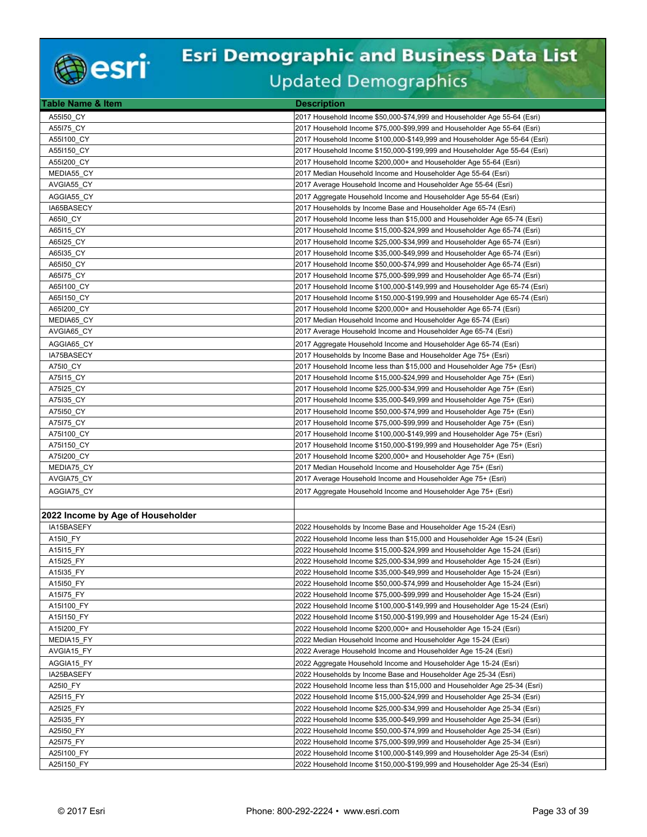

| Table Name & Item                 | <b>Description</b>                                                                                                             |
|-----------------------------------|--------------------------------------------------------------------------------------------------------------------------------|
| A55150 CY                         | 2017 Household Income \$50,000-\$74,999 and Householder Age 55-64 (Esri)                                                       |
| A55I75_CY                         | 2017 Household Income \$75,000-\$99,999 and Householder Age 55-64 (Esri)                                                       |
| A551100 CY                        | 2017 Household Income \$100,000-\$149,999 and Householder Age 55-64 (Esri)                                                     |
| A551150 CY                        | 2017 Household Income \$150,000-\$199,999 and Householder Age 55-64 (Esri)                                                     |
| A55I200_CY                        | 2017 Household Income \$200,000+ and Householder Age 55-64 (Esri)                                                              |
| MEDIA55_CY                        | 2017 Median Household Income and Householder Age 55-64 (Esri)                                                                  |
| AVGIA55_CY                        | 2017 Average Household Income and Householder Age 55-64 (Esri)                                                                 |
| AGGIA55 CY                        | 2017 Aggregate Household Income and Householder Age 55-64 (Esri)                                                               |
| IA65BASECY                        | 2017 Households by Income Base and Householder Age 65-74 (Esri)                                                                |
| A65I0_CY                          | 2017 Household Income less than \$15,000 and Householder Age 65-74 (Esri)                                                      |
| A65115_CY                         | 2017 Household Income \$15,000-\$24,999 and Householder Age 65-74 (Esri)                                                       |
| A65I25 CY                         | 2017 Household Income \$25,000-\$34,999 and Householder Age 65-74 (Esri)                                                       |
| A65I35 CY                         | 2017 Household Income \$35,000-\$49,999 and Householder Age 65-74 (Esri)                                                       |
| A65I50_CY                         | 2017 Household Income \$50,000-\$74,999 and Householder Age 65-74 (Esri)                                                       |
| A65I75 CY                         | 2017 Household Income \$75,000-\$99,999 and Householder Age 65-74 (Esri)                                                       |
| A65I100 CY                        | 2017 Household Income \$100,000-\$149,999 and Householder Age 65-74 (Esri)                                                     |
| A65I150 CY                        | 2017 Household Income \$150,000-\$199,999 and Householder Age 65-74 (Esri)                                                     |
| A65I200 CY                        | 2017 Household Income \$200,000+ and Householder Age 65-74 (Esri)                                                              |
| MEDIA65_CY                        | 2017 Median Household Income and Householder Age 65-74 (Esri)                                                                  |
| AVGIA65 CY                        | 2017 Average Household Income and Householder Age 65-74 (Esri)                                                                 |
|                                   | 2017 Aggregate Household Income and Householder Age 65-74 (Esri)                                                               |
| AGGIA65 CY<br>IA75BASECY          | 2017 Households by Income Base and Householder Age 75+ (Esri)                                                                  |
|                                   | 2017 Household Income less than \$15,000 and Householder Age 75+ (Esri)                                                        |
| A7510_CY                          | 2017 Household Income \$15,000-\$24,999 and Householder Age 75+ (Esri)                                                         |
| A75115 CY                         |                                                                                                                                |
| A75125_CY<br>A75135 CY            | 2017 Household Income \$25,000-\$34,999 and Householder Age 75+ (Esri)                                                         |
|                                   | 2017 Household Income \$35,000-\$49,999 and Householder Age 75+ (Esri)                                                         |
| A75150 CY                         | 2017 Household Income \$50,000-\$74,999 and Householder Age 75+ (Esri)                                                         |
| A75175_CY                         | 2017 Household Income \$75,000-\$99,999 and Householder Age 75+ (Esri)                                                         |
| A751100_CY                        | 2017 Household Income \$100,000-\$149,999 and Householder Age 75+ (Esri)                                                       |
| A751150 CY                        | 2017 Household Income \$150,000-\$199,999 and Householder Age 75+ (Esri)                                                       |
| A75I200 CY<br>MEDIA75_CY          | 2017 Household Income \$200,000+ and Householder Age 75+ (Esri)<br>2017 Median Household Income and Householder Age 75+ (Esri) |
|                                   |                                                                                                                                |
| AVGIA75_CY                        | 2017 Average Household Income and Householder Age 75+ (Esri)                                                                   |
| AGGIA75_CY                        | 2017 Aggregate Household Income and Householder Age 75+ (Esri)                                                                 |
|                                   |                                                                                                                                |
| 2022 Income by Age of Householder |                                                                                                                                |
| IA15BASEFY                        | 2022 Households by Income Base and Householder Age 15-24 (Esri)                                                                |
| A15I0_FY                          | 2022 Household Income less than \$15,000 and Householder Age 15-24 (Esri)                                                      |
| A15I15_FY                         | 2022 Household Income \$15,000-\$24,999 and Householder Age 15-24 (Esri)                                                       |
| A15I25 FY                         | 2022 Household Income \$25,000-\$34,999 and Householder Age 15-24 (Esri)                                                       |
| A15135_FY                         | 2022 Household Income \$35,000-\$49,999 and Householder Age 15-24 (Esri)                                                       |
| A15150 FY                         | 2022 Household Income \$50,000-\$74,999 and Householder Age 15-24 (Esri)                                                       |
| A15175 FY                         | 2022 Household Income \$75,000-\$99,999 and Householder Age 15-24 (Esri)                                                       |
| A151100 FY                        | 2022 Household Income \$100,000-\$149,999 and Householder Age 15-24 (Esri)                                                     |
| A15I150_FY                        | 2022 Household Income \$150,000-\$199,999 and Householder Age 15-24 (Esri)                                                     |
| A15I200 FY                        | 2022 Household Income \$200,000+ and Householder Age 15-24 (Esri)                                                              |
| MEDIA15 FY                        | 2022 Median Household Income and Householder Age 15-24 (Esri)                                                                  |
| AVGIA15 FY                        | 2022 Average Household Income and Householder Age 15-24 (Esri)                                                                 |
| AGGIA15 FY                        | 2022 Aggregate Household Income and Householder Age 15-24 (Esri)                                                               |
| IA25BASEFY                        | 2022 Households by Income Base and Householder Age 25-34 (Esri)                                                                |
| A25I0_FY                          | 2022 Household Income less than \$15,000 and Householder Age 25-34 (Esri)                                                      |
| A25115 FY                         | 2022 Household Income \$15,000-\$24,999 and Householder Age 25-34 (Esri)                                                       |
| A25I25_FY                         | 2022 Household Income \$25,000-\$34,999 and Householder Age 25-34 (Esri)                                                       |
| A25135_FY                         | 2022 Household Income \$35,000-\$49,999 and Householder Age 25-34 (Esri)                                                       |
| A25150 FY                         | 2022 Household Income \$50,000-\$74,999 and Householder Age 25-34 (Esri)                                                       |
| A25175 FY                         | 2022 Household Income \$75,000-\$99,999 and Householder Age 25-34 (Esri)                                                       |
| A25I100_FY                        | 2022 Household Income \$100,000-\$149,999 and Householder Age 25-34 (Esri)                                                     |
| A251150 FY                        | 2022 Household Income \$150,000-\$199,999 and Householder Age 25-34 (Esri)                                                     |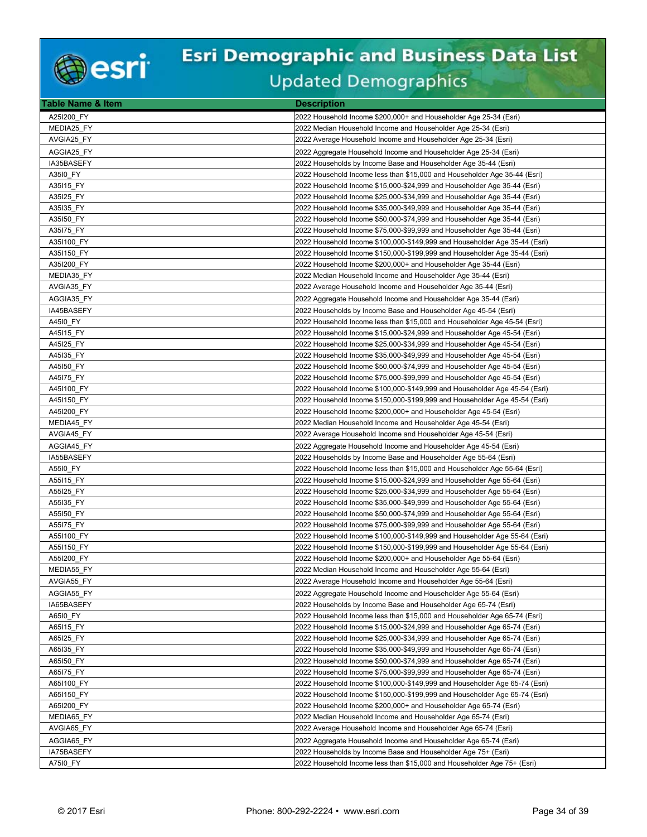

| Table Name & Item        | <b>Description</b>                                                         |
|--------------------------|----------------------------------------------------------------------------|
| A25I200 FY               | 2022 Household Income \$200,000+ and Householder Age 25-34 (Esri)          |
| MEDIA25 FY               | 2022 Median Household Income and Householder Age 25-34 (Esri)              |
| AVGIA25 FY               | 2022 Average Household Income and Householder Age 25-34 (Esri)             |
| AGGIA25 FY               | 2022 Aggregate Household Income and Householder Age 25-34 (Esri)           |
| IA35BASEFY               | 2022 Households by Income Base and Householder Age 35-44 (Esri)            |
| A35I0 FY                 | 2022 Household Income less than \$15,000 and Householder Age 35-44 (Esri)  |
| A35115 FY                | 2022 Household Income \$15,000-\$24,999 and Householder Age 35-44 (Esri)   |
| A35I25 FY                | 2022 Household Income \$25,000-\$34,999 and Householder Age 35-44 (Esri)   |
| A35I35_FY                | 2022 Household Income \$35,000-\$49,999 and Householder Age 35-44 (Esri)   |
| A35150_FY                | 2022 Household Income \$50,000-\$74,999 and Householder Age 35-44 (Esri)   |
| A35175_FY                | 2022 Household Income \$75,000-\$99,999 and Householder Age 35-44 (Esri)   |
| A35I100 FY               | 2022 Household Income \$100,000-\$149,999 and Householder Age 35-44 (Esri) |
| A351150 FY               | 2022 Household Income \$150,000-\$199,999 and Householder Age 35-44 (Esri) |
| A35I200_FY               | 2022 Household Income \$200,000+ and Householder Age 35-44 (Esri)          |
| MEDIA35 FY               | 2022 Median Household Income and Householder Age 35-44 (Esri)              |
| AVGIA35 FY               | 2022 Average Household Income and Householder Age 35-44 (Esri)             |
| AGGIA35 FY               | 2022 Aggregate Household Income and Householder Age 35-44 (Esri)           |
|                          |                                                                            |
| IA45BASEFY               | 2022 Households by Income Base and Householder Age 45-54 (Esri)            |
| A4510 FY                 | 2022 Household Income less than \$15,000 and Householder Age 45-54 (Esri)  |
| A45115 FY                | 2022 Household Income \$15,000-\$24,999 and Householder Age 45-54 (Esri)   |
| A45I25 FY                | 2022 Household Income \$25,000-\$34,999 and Householder Age 45-54 (Esri)   |
| A45135 FY                | 2022 Household Income \$35,000-\$49,999 and Householder Age 45-54 (Esri)   |
| A45150 FY                | 2022 Household Income \$50,000-\$74,999 and Householder Age 45-54 (Esri)   |
| A45175 FY                | 2022 Household Income \$75,000-\$99,999 and Householder Age 45-54 (Esri)   |
| A451100 FY<br>A451150 FY | 2022 Household Income \$100,000-\$149,999 and Householder Age 45-54 (Esri) |
|                          | 2022 Household Income \$150,000-\$199,999 and Householder Age 45-54 (Esri) |
| A45I200 FY               | 2022 Household Income \$200,000+ and Householder Age 45-54 (Esri)          |
| MEDIA45_FY               | 2022 Median Household Income and Householder Age 45-54 (Esri)              |
| AVGIA45 FY               | 2022 Average Household Income and Householder Age 45-54 (Esri)             |
| AGGIA45 FY               | 2022 Aggregate Household Income and Householder Age 45-54 (Esri)           |
| IA55BASEFY               | 2022 Households by Income Base and Householder Age 55-64 (Esri)            |
| A5510 FY                 | 2022 Household Income less than \$15,000 and Householder Age 55-64 (Esri)  |
| A55115_FY                | 2022 Household Income \$15,000-\$24,999 and Householder Age 55-64 (Esri)   |
| A55I25_FY                | 2022 Household Income \$25,000-\$34,999 and Householder Age 55-64 (Esri)   |
| A55I35 FY                | 2022 Household Income \$35,000-\$49,999 and Householder Age 55-64 (Esri)   |
| A55150 FY                | 2022 Household Income \$50,000-\$74,999 and Householder Age 55-64 (Esri)   |
| A55175_FY                | 2022 Household Income \$75,000-\$99,999 and Householder Age 55-64 (Esri)   |
| A551100_FY               | 2022 Household Income \$100,000-\$149,999 and Householder Age 55-64 (Esri) |
| A55I150 FY               | 2022 Household Income \$150,000-\$199,999 and Householder Age 55-64 (Esri) |
| A55I200 FY               | 2022 Household Income \$200,000+ and Householder Age 55-64 (Esri)          |
| MEDIA55 FY               | 2022 Median Household Income and Householder Age 55-64 (Esri)              |
| AVGIA55_FY               | 2022 Average Household Income and Householder Age 55-64 (Esri)             |
| AGGIA55 FY               | 2022 Aggregate Household Income and Householder Age 55-64 (Esri)           |
| IA65BASEFY               | 2022 Households by Income Base and Householder Age 65-74 (Esri)            |
| A65I0_FY                 | 2022 Household Income less than \$15,000 and Householder Age 65-74 (Esri)  |
| A65I15_FY                | 2022 Household Income \$15,000-\$24,999 and Householder Age 65-74 (Esri)   |
| A65I25_FY                | 2022 Household Income \$25,000-\$34,999 and Householder Age 65-74 (Esri)   |
| A65I35_FY                | 2022 Household Income \$35,000-\$49,999 and Householder Age 65-74 (Esri)   |
| A65I50_FY                | 2022 Household Income \$50,000-\$74,999 and Householder Age 65-74 (Esri)   |
| A65175 FY                | 2022 Household Income \$75,000-\$99,999 and Householder Age 65-74 (Esri)   |
| A65I100_FY               | 2022 Household Income \$100,000-\$149,999 and Householder Age 65-74 (Esri) |
| A651150 FY               | 2022 Household Income \$150,000-\$199,999 and Householder Age 65-74 (Esri) |
| A65I200 FY               | 2022 Household Income \$200,000+ and Householder Age 65-74 (Esri)          |
| MEDIA65_FY               | 2022 Median Household Income and Householder Age 65-74 (Esri)              |
| AVGIA65_FY               | 2022 Average Household Income and Householder Age 65-74 (Esri)             |
| AGGIA65 FY               | 2022 Aggregate Household Income and Householder Age 65-74 (Esri)           |
| IA75BASEFY               | 2022 Households by Income Base and Householder Age 75+ (Esri)              |
| A7510_FY                 | 2022 Household Income less than \$15,000 and Householder Age 75+ (Esri)    |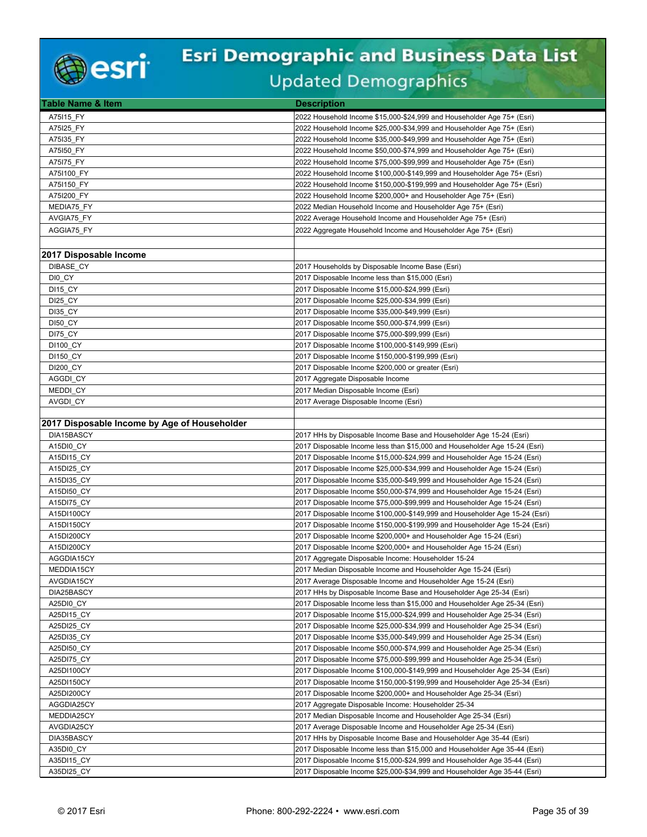

| Table Name & Item                            | <b>Description</b>                                                          |
|----------------------------------------------|-----------------------------------------------------------------------------|
| A75115 FY                                    | 2022 Household Income \$15,000-\$24,999 and Householder Age 75+ (Esri)      |
| A75I25 FY                                    | 2022 Household Income \$25,000-\$34,999 and Householder Age 75+ (Esri)      |
| A75135 FY                                    | 2022 Household Income \$35,000-\$49,999 and Householder Age 75+ (Esri)      |
| A75150 FY                                    | 2022 Household Income \$50,000-\$74,999 and Householder Age 75+ (Esri)      |
| A75175_FY                                    | 2022 Household Income \$75,000-\$99,999 and Householder Age 75+ (Esri)      |
| A751100 FY                                   | 2022 Household Income \$100,000-\$149,999 and Householder Age 75+ (Esri)    |
| A751150 FY                                   | 2022 Household Income \$150,000-\$199,999 and Householder Age 75+ (Esri)    |
| A75I200 FY                                   | 2022 Household Income \$200,000+ and Householder Age 75+ (Esri)             |
| MEDIA75_FY                                   | 2022 Median Household Income and Householder Age 75+ (Esri)                 |
| AVGIA75_FY                                   | 2022 Average Household Income and Householder Age 75+ (Esri)                |
| AGGIA75 FY                                   | 2022 Aggregate Household Income and Householder Age 75+ (Esri)              |
|                                              |                                                                             |
| 2017 Disposable Income                       |                                                                             |
| DIBASE CY                                    | 2017 Households by Disposable Income Base (Esri)                            |
| DIO_CY                                       | 2017 Disposable Income less than \$15,000 (Esri)                            |
| <b>DI15_CY</b>                               | 2017 Disposable Income \$15,000-\$24,999 (Esri)                             |
| DI25 CY                                      | 2017 Disposable Income \$25,000-\$34,999 (Esri)                             |
| <b>DI35 CY</b>                               | 2017 Disposable Income \$35,000-\$49,999 (Esri)                             |
| <b>DI50 CY</b>                               | 2017 Disposable Income \$50,000-\$74,999 (Esri)                             |
| DI75 CY                                      | 2017 Disposable Income \$75,000-\$99,999 (Esri)                             |
| <b>DI100 CY</b>                              | 2017 Disposable Income \$100,000-\$149,999 (Esri)                           |
| DI150_CY                                     | 2017 Disposable Income \$150,000-\$199,999 (Esri)                           |
| <b>DI200 CY</b>                              | 2017 Disposable Income \$200,000 or greater (Esri)                          |
| AGGDI CY                                     | 2017 Aggregate Disposable Income                                            |
| MEDDI_CY                                     | 2017 Median Disposable Income (Esri)                                        |
| AVGDI CY                                     | 2017 Average Disposable Income (Esri)                                       |
|                                              |                                                                             |
| 2017 Disposable Income by Age of Householder |                                                                             |
| DIA15BASCY                                   | 2017 HHs by Disposable Income Base and Householder Age 15-24 (Esri)         |
| A15DI0_CY                                    | 2017 Disposable Income less than \$15,000 and Householder Age 15-24 (Esri)  |
| A15DI15 CY                                   | 2017 Disposable Income \$15,000-\$24,999 and Householder Age 15-24 (Esri)   |
| A15DI25 CY                                   | 2017 Disposable Income \$25,000-\$34,999 and Householder Age 15-24 (Esri)   |
| A15DI35 CY                                   | 2017 Disposable Income \$35,000-\$49,999 and Householder Age 15-24 (Esri)   |
| A15DI50_CY                                   | 2017 Disposable Income \$50,000-\$74,999 and Householder Age 15-24 (Esri)   |
| A15DI75 CY                                   | 2017 Disposable Income \$75,000-\$99,999 and Householder Age 15-24 (Esri)   |
| A15DI100CY                                   | 2017 Disposable Income \$100,000-\$149,999 and Householder Age 15-24 (Esri) |
| A15DI150CY                                   | 2017 Disposable Income \$150,000-\$199,999 and Householder Age 15-24 (Esri) |
| A15DI200CY                                   | 2017 Disposable Income \$200,000+ and Householder Age 15-24 (Esri)          |
| A15DI200CY                                   | 2017 Disposable Income \$200,000+ and Householder Age 15-24 (Esri)          |
| AGGDIA15CY                                   | 2017 Aggregate Disposable Income: Householder 15-24                         |
| MEDDIA15CY                                   | 2017 Median Disposable Income and Householder Age 15-24 (Esri)              |
| AVGDIA15CY                                   | 2017 Average Disposable Income and Householder Age 15-24 (Esri)             |
| DIA25BASCY                                   | 2017 HHs by Disposable Income Base and Householder Age 25-34 (Esri)         |
| A25DI0 CY                                    | 2017 Disposable Income less than \$15,000 and Householder Age 25-34 (Esri)  |
| A25DI15 CY                                   | 2017 Disposable Income \$15,000-\$24,999 and Householder Age 25-34 (Esri)   |
| A25DI25 CY                                   | 2017 Disposable Income \$25,000-\$34,999 and Householder Age 25-34 (Esri)   |
| A25DI35_CY                                   | 2017 Disposable Income \$35,000-\$49,999 and Householder Age 25-34 (Esri)   |
| A25DI50 CY                                   | 2017 Disposable Income \$50,000-\$74,999 and Householder Age 25-34 (Esri)   |
| A25DI75_CY                                   | 2017 Disposable Income \$75,000-\$99,999 and Householder Age 25-34 (Esri)   |
| A25DI100CY                                   | 2017 Disposable Income \$100,000-\$149,999 and Householder Age 25-34 (Esri) |
| A25DI150CY                                   | 2017 Disposable Income \$150,000-\$199,999 and Householder Age 25-34 (Esri) |
| A25DI200CY                                   | 2017 Disposable Income \$200,000+ and Householder Age 25-34 (Esri)          |
| AGGDIA25CY                                   | 2017 Aggregate Disposable Income: Householder 25-34                         |
| MEDDIA25CY                                   | 2017 Median Disposable Income and Householder Age 25-34 (Esri)              |
| AVGDIA25CY                                   | 2017 Average Disposable Income and Householder Age 25-34 (Esri)             |
| DIA35BASCY                                   | 2017 HHs by Disposable Income Base and Householder Age 35-44 (Esri)         |
| A35DI0_CY                                    | 2017 Disposable Income less than \$15,000 and Householder Age 35-44 (Esri)  |
| A35DI15_CY                                   | 2017 Disposable Income \$15,000-\$24,999 and Householder Age 35-44 (Esri)   |
| A35DI25 CY                                   | 2017 Disposable Income \$25,000-\$34,999 and Householder Age 35-44 (Esri)   |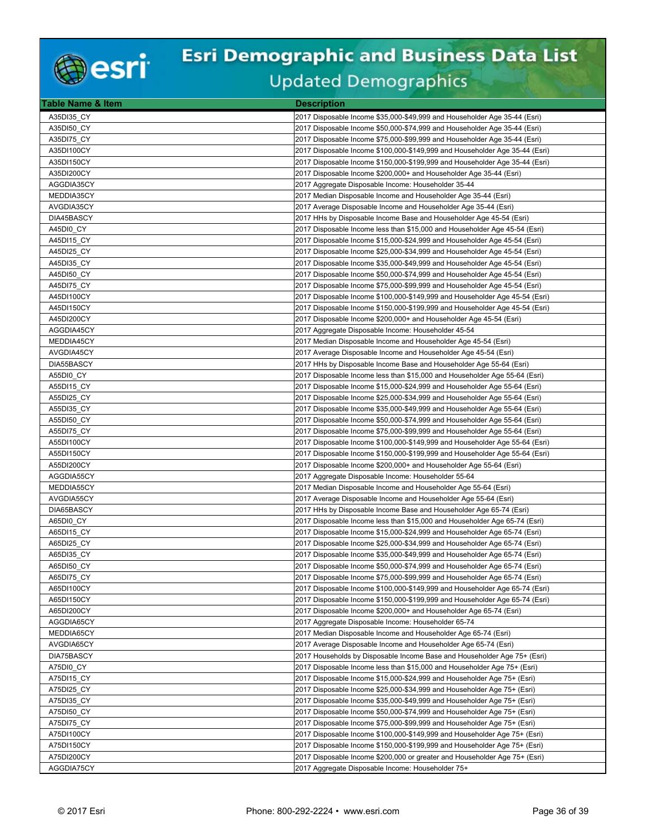

| Table Name & Item | <b>Description</b>                                                          |
|-------------------|-----------------------------------------------------------------------------|
| A35DI35 CY        | 2017 Disposable Income \$35,000-\$49,999 and Householder Age 35-44 (Esri)   |
| A35DI50 CY        | 2017 Disposable Income \$50,000-\$74,999 and Householder Age 35-44 (Esri)   |
| A35DI75_CY        | 2017 Disposable Income \$75,000-\$99,999 and Householder Age 35-44 (Esri)   |
| A35DI100CY        | 2017 Disposable Income \$100,000-\$149,999 and Householder Age 35-44 (Esri) |
| A35DI150CY        | 2017 Disposable Income \$150,000-\$199,999 and Householder Age 35-44 (Esri) |
| A35DI200CY        | 2017 Disposable Income \$200,000+ and Householder Age 35-44 (Esri)          |
| AGGDIA35CY        | 2017 Aggregate Disposable Income: Householder 35-44                         |
| MEDDIA35CY        | 2017 Median Disposable Income and Householder Age 35-44 (Esri)              |
| AVGDIA35CY        | 2017 Average Disposable Income and Householder Age 35-44 (Esri)             |
| DIA45BASCY        | 2017 HHs by Disposable Income Base and Householder Age 45-54 (Esri)         |
| A45DI0 CY         | 2017 Disposable Income less than \$15,000 and Householder Age 45-54 (Esri)  |
| A45DI15 CY        | 2017 Disposable Income \$15,000-\$24,999 and Householder Age 45-54 (Esri)   |
| A45DI25 CY        | 2017 Disposable Income \$25,000-\$34,999 and Householder Age 45-54 (Esri)   |
| A45DI35 CY        |                                                                             |
|                   | 2017 Disposable Income \$35,000-\$49,999 and Householder Age 45-54 (Esri)   |
| A45DI50 CY        | 2017 Disposable Income \$50,000-\$74,999 and Householder Age 45-54 (Esri)   |
| A45DI75_CY        | 2017 Disposable Income \$75,000-\$99,999 and Householder Age 45-54 (Esri)   |
| A45DI100CY        | 2017 Disposable Income \$100,000-\$149,999 and Householder Age 45-54 (Esri) |
| A45DI150CY        | 2017 Disposable Income \$150,000-\$199,999 and Householder Age 45-54 (Esri) |
| A45DI200CY        | 2017 Disposable Income \$200,000+ and Householder Age 45-54 (Esri)          |
| AGGDIA45CY        | 2017 Aggregate Disposable Income: Householder 45-54                         |
| MEDDIA45CY        | 2017 Median Disposable Income and Householder Age 45-54 (Esri)              |
| AVGDIA45CY        | 2017 Average Disposable Income and Householder Age 45-54 (Esri)             |
| DIA55BASCY        | 2017 HHs by Disposable Income Base and Householder Age 55-64 (Esri)         |
| A55DI0 CY         | 2017 Disposable Income less than \$15,000 and Householder Age 55-64 (Esri)  |
| A55DI15 CY        | 2017 Disposable Income \$15,000-\$24,999 and Householder Age 55-64 (Esri)   |
| A55DI25 CY        | 2017 Disposable Income \$25,000-\$34,999 and Householder Age 55-64 (Esri)   |
| A55DI35_CY        | 2017 Disposable Income \$35,000-\$49,999 and Householder Age 55-64 (Esri)   |
| A55DI50 CY        | 2017 Disposable Income \$50,000-\$74,999 and Householder Age 55-64 (Esri)   |
| A55DI75 CY        | 2017 Disposable Income \$75,000-\$99,999 and Householder Age 55-64 (Esri)   |
| A55DI100CY        | 2017 Disposable Income \$100,000-\$149,999 and Householder Age 55-64 (Esri) |
| A55DI150CY        | 2017 Disposable Income \$150,000-\$199,999 and Householder Age 55-64 (Esri) |
| A55DI200CY        | 2017 Disposable Income \$200,000+ and Householder Age 55-64 (Esri)          |
| AGGDIA55CY        | 2017 Aggregate Disposable Income: Householder 55-64                         |
| MEDDIA55CY        | 2017 Median Disposable Income and Householder Age 55-64 (Esri)              |
| AVGDIA55CY        | 2017 Average Disposable Income and Householder Age 55-64 (Esri)             |
| DIA65BASCY        | 2017 HHs by Disposable Income Base and Householder Age 65-74 (Esri)         |
| A65DI0 CY         | 2017 Disposable Income less than \$15,000 and Householder Age 65-74 (Esri)  |
| A65DI15 CY        | 2017 Disposable Income \$15,000-\$24,999 and Householder Age 65-74 (Esri)   |
| A65DI25 CY        | 2017 Disposable Income \$25,000-\$34,999 and Householder Age 65-74 (Esri)   |
| A65DI35 CY        | 2017 Disposable Income \$35,000-\$49,999 and Householder Age 65-74 (Esri)   |
| A65DI50 CY        | 2017 Disposable Income \$50,000-\$74,999 and Householder Age 65-74 (Esri)   |
| A65DI75_CY        | 2017 Disposable Income \$75,000-\$99,999 and Householder Age 65-74 (Esri)   |
| A65DI100CY        | 2017 Disposable Income \$100,000-\$149,999 and Householder Age 65-74 (Esri) |
| A65DI150CY        | 2017 Disposable Income \$150,000-\$199,999 and Householder Age 65-74 (Esri) |
| A65DI200CY        | 2017 Disposable Income \$200,000+ and Householder Age 65-74 (Esri)          |
| AGGDIA65CY        | 2017 Aggregate Disposable Income: Householder 65-74                         |
| MEDDIA65CY        | 2017 Median Disposable Income and Householder Age 65-74 (Esri)              |
| AVGDIA65CY        | 2017 Average Disposable Income and Householder Age 65-74 (Esri)             |
| DIA75BASCY        | 2017 Households by Disposable Income Base and Householder Age 75+ (Esri)    |
| A75DI0 CY         | 2017 Disposable Income less than \$15,000 and Householder Age 75+ (Esri)    |
| A75DI15 CY        | 2017 Disposable Income \$15,000-\$24,999 and Householder Age 75+ (Esri)     |
| A75DI25_CY        | 2017 Disposable Income \$25,000-\$34,999 and Householder Age 75+ (Esri)     |
| A75DI35_CY        | 2017 Disposable Income \$35,000-\$49,999 and Householder Age 75+ (Esri)     |
| A75DI50 CY        | 2017 Disposable Income \$50,000-\$74,999 and Householder Age 75+ (Esri)     |
| A75DI75_CY        | 2017 Disposable Income \$75,000-\$99,999 and Householder Age 75+ (Esri)     |
| A75DI100CY        | 2017 Disposable Income \$100,000-\$149,999 and Householder Age 75+ (Esri)   |
| A75DI150CY        | 2017 Disposable Income \$150,000-\$199,999 and Householder Age 75+ (Esri)   |
| A75DI200CY        |                                                                             |
|                   | 2017 Disposable Income \$200,000 or greater and Householder Age 75+ (Esri)  |
| AGGDIA75CY        | 2017 Aggregate Disposable Income: Householder 75+                           |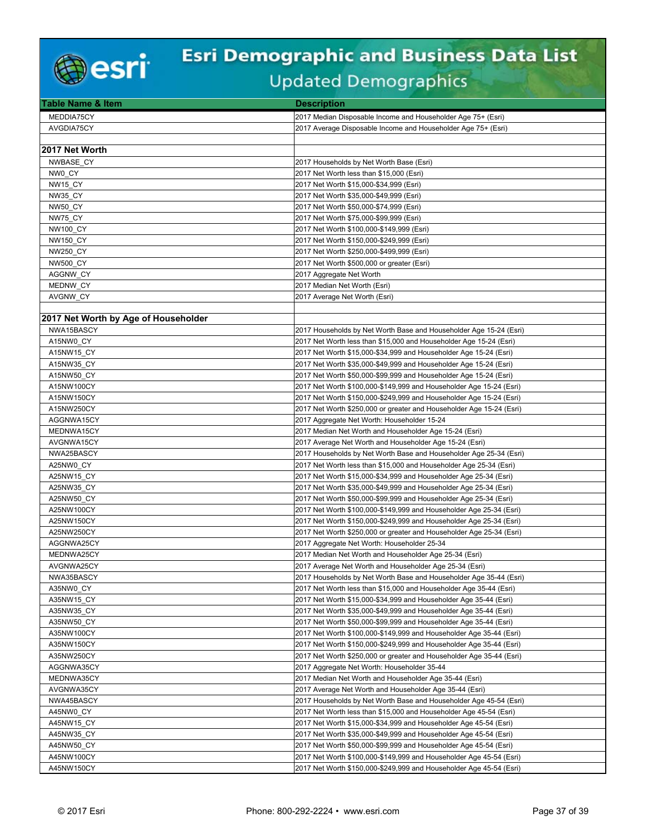

| <b>Table Name &amp; Item</b>         | <b>Description</b>                                                   |
|--------------------------------------|----------------------------------------------------------------------|
| MEDDIA75CY                           | 2017 Median Disposable Income and Householder Age 75+ (Esri)         |
| AVGDIA75CY                           | 2017 Average Disposable Income and Householder Age 75+ (Esri)        |
|                                      |                                                                      |
| 2017 Net Worth                       |                                                                      |
| NWBASE CY                            | 2017 Households by Net Worth Base (Esri)                             |
| NW0 CY                               | 2017 Net Worth less than \$15,000 (Esri)                             |
| NW15 CY                              | 2017 Net Worth \$15,000-\$34,999 (Esri)                              |
| <b>NW35 CY</b>                       | 2017 Net Worth \$35,000-\$49,999 (Esri)                              |
| <b>NW50 CY</b>                       | 2017 Net Worth \$50,000-\$74,999 (Esri)                              |
| NW75 CY                              | 2017 Net Worth \$75,000-\$99,999 (Esri)                              |
| <b>NW100 CY</b>                      | 2017 Net Worth \$100,000-\$149,999 (Esri)                            |
| <b>NW150 CY</b>                      | 2017 Net Worth \$150,000-\$249,999 (Esri)                            |
| <b>NW250 CY</b>                      | 2017 Net Worth \$250,000-\$499,999 (Esri)                            |
| <b>NW500 CY</b>                      | 2017 Net Worth \$500,000 or greater (Esri)                           |
| AGGNW CY                             | 2017 Aggregate Net Worth                                             |
| MEDNW CY                             | 2017 Median Net Worth (Esri)                                         |
| AVGNW_CY                             | 2017 Average Net Worth (Esri)                                        |
|                                      |                                                                      |
| 2017 Net Worth by Age of Householder |                                                                      |
| NWA15BASCY                           | 2017 Households by Net Worth Base and Householder Age 15-24 (Esri)   |
| A15NW0 CY                            | 2017 Net Worth less than \$15,000 and Householder Age 15-24 (Esri)   |
| A15NW15 CY                           | 2017 Net Worth \$15,000-\$34,999 and Householder Age 15-24 (Esri)    |
| A15NW35 CY                           | 2017 Net Worth \$35,000-\$49,999 and Householder Age 15-24 (Esri)    |
| A15NW50 CY                           | 2017 Net Worth \$50,000-\$99,999 and Householder Age 15-24 (Esri)    |
| A15NW100CY                           | 2017 Net Worth \$100,000-\$149,999 and Householder Age 15-24 (Esri)  |
| A15NW150CY                           | 2017 Net Worth \$150,000-\$249,999 and Householder Age 15-24 (Esri)  |
| A15NW250CY                           | 2017 Net Worth \$250,000 or greater and Householder Age 15-24 (Esri) |
| AGGNWA15CY                           | 2017 Aggregate Net Worth: Householder 15-24                          |
| MEDNWA15CY                           | 2017 Median Net Worth and Householder Age 15-24 (Esri)               |
| AVGNWA15CY                           | 2017 Average Net Worth and Householder Age 15-24 (Esri)              |
| NWA25BASCY                           | 2017 Households by Net Worth Base and Householder Age 25-34 (Esri)   |
| A25NW0 CY                            | 2017 Net Worth less than \$15,000 and Householder Age 25-34 (Esri)   |
| A25NW15 CY                           | 2017 Net Worth \$15,000-\$34,999 and Householder Age 25-34 (Esri)    |
| A25NW35 CY                           | 2017 Net Worth \$35,000-\$49,999 and Householder Age 25-34 (Esri)    |
| A25NW50 CY                           | 2017 Net Worth \$50,000-\$99,999 and Householder Age 25-34 (Esri)    |
| A25NW100CY                           | 2017 Net Worth \$100,000-\$149,999 and Householder Age 25-34 (Esri)  |
| A25NW150CY                           | 2017 Net Worth \$150,000-\$249,999 and Householder Age 25-34 (Esri)  |
| A25NW250CY                           | 2017 Net Worth \$250,000 or greater and Householder Age 25-34 (Esri) |
| AGGNWA25CY                           | 2017 Aggregate Net Worth: Householder 25-34                          |
| MEDNWA25CY                           | 2017 Median Net Worth and Householder Age 25-34 (Esri)               |
| AVGNWA25CY                           | 2017 Average Net Worth and Householder Age 25-34 (Esri)              |
| NWA35BASCY                           | 2017 Households by Net Worth Base and Householder Age 35-44 (Esri)   |
| A35NW0 CY                            | 2017 Net Worth less than \$15,000 and Householder Age 35-44 (Esri)   |
| A35NW15 CY                           | 2017 Net Worth \$15,000-\$34,999 and Householder Age 35-44 (Esri)    |
| A35NW35_CY                           | 2017 Net Worth \$35,000-\$49,999 and Householder Age 35-44 (Esri)    |
| A35NW50 CY                           | 2017 Net Worth \$50,000-\$99,999 and Householder Age 35-44 (Esri)    |
| A35NW100CY                           | 2017 Net Worth \$100,000-\$149,999 and Householder Age 35-44 (Esri)  |
| A35NW150CY                           | 2017 Net Worth \$150,000-\$249,999 and Householder Age 35-44 (Esri)  |
| A35NW250CY                           | 2017 Net Worth \$250,000 or greater and Householder Age 35-44 (Esri) |
| AGGNWA35CY                           | 2017 Aggregate Net Worth: Householder 35-44                          |
| MEDNWA35CY                           | 2017 Median Net Worth and Householder Age 35-44 (Esri)               |
| AVGNWA35CY                           | 2017 Average Net Worth and Householder Age 35-44 (Esri)              |
| NWA45BASCY                           | 2017 Households by Net Worth Base and Householder Age 45-54 (Esri)   |
| A45NW0 CY                            | 2017 Net Worth less than \$15,000 and Householder Age 45-54 (Esri)   |
| A45NW15 CY                           | 2017 Net Worth \$15,000-\$34,999 and Householder Age 45-54 (Esri)    |
| A45NW35 CY                           | 2017 Net Worth \$35,000-\$49,999 and Householder Age 45-54 (Esri)    |
| A45NW50 CY                           | 2017 Net Worth \$50,000-\$99,999 and Householder Age 45-54 (Esri)    |
| A45NW100CY                           | 2017 Net Worth \$100,000-\$149,999 and Householder Age 45-54 (Esri)  |
| A45NW150CY                           | 2017 Net Worth \$150,000-\$249,999 and Householder Age 45-54 (Esri)  |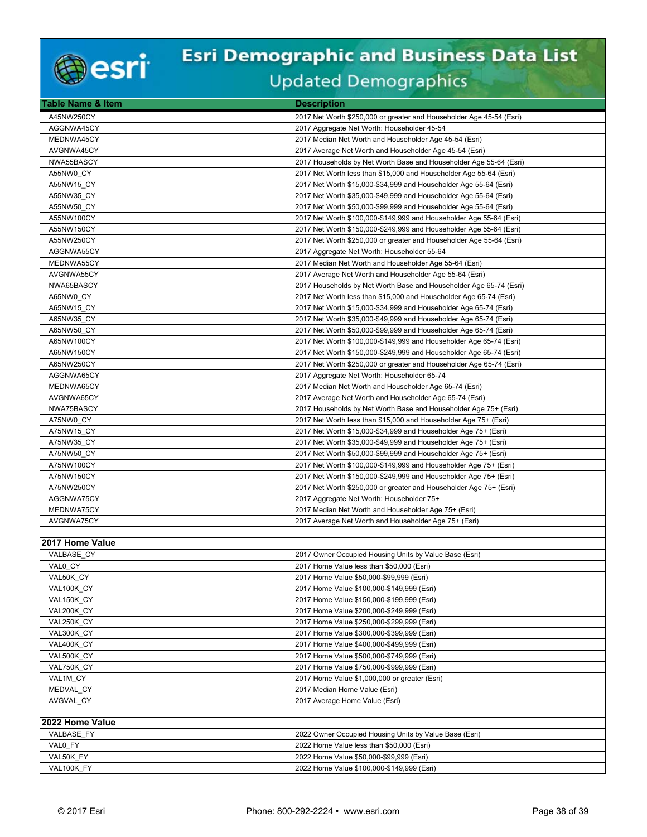

| Table Name & Item        | <b>Description</b>                                                                       |
|--------------------------|------------------------------------------------------------------------------------------|
| A45NW250CY               | 2017 Net Worth \$250,000 or greater and Householder Age 45-54 (Esri)                     |
| AGGNWA45CY               | 2017 Aggregate Net Worth: Householder 45-54                                              |
| MEDNWA45CY               | 2017 Median Net Worth and Householder Age 45-54 (Esri)                                   |
| AVGNWA45CY               | 2017 Average Net Worth and Householder Age 45-54 (Esri)                                  |
| NWA55BASCY               | 2017 Households by Net Worth Base and Householder Age 55-64 (Esri)                       |
| A55NW0 CY                | 2017 Net Worth less than \$15,000 and Householder Age 55-64 (Esri)                       |
| A55NW15 CY               | 2017 Net Worth \$15,000-\$34,999 and Householder Age 55-64 (Esri)                        |
| A55NW35_CY               | 2017 Net Worth \$35,000-\$49,999 and Householder Age 55-64 (Esri)                        |
| A55NW50 CY               | 2017 Net Worth \$50,000-\$99,999 and Householder Age 55-64 (Esri)                        |
| A55NW100CY               | 2017 Net Worth \$100,000-\$149,999 and Householder Age 55-64 (Esri)                      |
| A55NW150CY               | 2017 Net Worth \$150,000-\$249,999 and Householder Age 55-64 (Esri)                      |
| A55NW250CY               | 2017 Net Worth \$250,000 or greater and Householder Age 55-64 (Esri)                     |
| AGGNWA55CY               | 2017 Aggregate Net Worth: Householder 55-64                                              |
| MEDNWA55CY               | 2017 Median Net Worth and Householder Age 55-64 (Esri)                                   |
| AVGNWA55CY               | 2017 Average Net Worth and Householder Age 55-64 (Esri)                                  |
| NWA65BASCY               | 2017 Households by Net Worth Base and Householder Age 65-74 (Esri)                       |
| A65NW0_CY                | 2017 Net Worth less than \$15,000 and Householder Age 65-74 (Esri)                       |
| A65NW15 CY               | 2017 Net Worth \$15,000-\$34,999 and Householder Age 65-74 (Esri)                        |
| A65NW35 CY               | 2017 Net Worth \$35,000-\$49,999 and Householder Age 65-74 (Esri)                        |
| A65NW50 CY               | 2017 Net Worth \$50,000-\$99,999 and Householder Age 65-74 (Esri)                        |
| A65NW100CY               | 2017 Net Worth \$100,000-\$149,999 and Householder Age 65-74 (Esri)                      |
| A65NW150CY               | 2017 Net Worth \$150,000-\$249,999 and Householder Age 65-74 (Esri)                      |
| A65NW250CY               | 2017 Net Worth \$250,000 or greater and Householder Age 65-74 (Esri)                     |
| AGGNWA65CY               | 2017 Aggregate Net Worth: Householder 65-74                                              |
| MEDNWA65CY               | 2017 Median Net Worth and Householder Age 65-74 (Esri)                                   |
| AVGNWA65CY               | 2017 Average Net Worth and Householder Age 65-74 (Esri)                                  |
| NWA75BASCY               | 2017 Households by Net Worth Base and Householder Age 75+ (Esri)                         |
| A75NW0 CY                | 2017 Net Worth less than \$15,000 and Householder Age 75+ (Esri)                         |
| A75NW15_CY               | 2017 Net Worth \$15,000-\$34,999 and Householder Age 75+ (Esri)                          |
| A75NW35_CY               | 2017 Net Worth \$35,000-\$49,999 and Householder Age 75+ (Esri)                          |
| A75NW50 CY               | 2017 Net Worth \$50,000-\$99,999 and Householder Age 75+ (Esri)                          |
| A75NW100CY               | 2017 Net Worth \$100,000-\$149,999 and Householder Age 75+ (Esri)                        |
| A75NW150CY               | 2017 Net Worth \$150,000-\$249,999 and Householder Age 75+ (Esri)                        |
| A75NW250CY               | 2017 Net Worth \$250,000 or greater and Householder Age 75+ (Esri)                       |
| AGGNWA75CY               | 2017 Aggregate Net Worth: Householder 75+                                                |
| MEDNWA75CY               | 2017 Median Net Worth and Householder Age 75+ (Esri)                                     |
| AVGNWA75CY               | 2017 Average Net Worth and Householder Age 75+ (Esri)                                    |
|                          |                                                                                          |
| 2017 Home Value          |                                                                                          |
| VALBASE_CY               | 2017 Owner Occupied Housing Units by Value Base (Esri)                                   |
| VAL0 CY                  | 2017 Home Value less than \$50,000 (Esri)                                                |
| VAL50K_CY                | 2017 Home Value \$50,000-\$99,999 (Esri)                                                 |
| VAL100K CY               | 2017 Home Value \$100,000-\$149,999 (Esri)                                               |
| VAL150K_CY               | 2017 Home Value \$150,000-\$199,999 (Esri)                                               |
| VAL200K_CY               | 2017 Home Value \$200,000-\$249,999 (Esri)                                               |
| VAL250K CY               | 2017 Home Value \$250,000-\$299,999 (Esri)                                               |
| VAL300K CY               | 2017 Home Value \$300,000-\$399,999 (Esri)                                               |
| VAL400K_CY               | 2017 Home Value \$400,000-\$499,999 (Esri)<br>2017 Home Value \$500,000-\$749,999 (Esri) |
| VAL500K_CY<br>VAL750K CY | 2017 Home Value \$750,000-\$999,999 (Esri)                                               |
| VAL1M CY                 | 2017 Home Value \$1,000,000 or greater (Esri)                                            |
| MEDVAL_CY                | 2017 Median Home Value (Esri)                                                            |
| AVGVAL CY                | 2017 Average Home Value (Esri)                                                           |
|                          |                                                                                          |
| 2022 Home Value          |                                                                                          |
| VALBASE FY               | 2022 Owner Occupied Housing Units by Value Base (Esri)                                   |
| VALO FY                  | 2022 Home Value less than \$50,000 (Esri)                                                |
| VAL50K FY                | 2022 Home Value \$50,000-\$99,999 (Esri)                                                 |
| VAL100K FY               | 2022 Home Value \$100,000-\$149,999 (Esri)                                               |